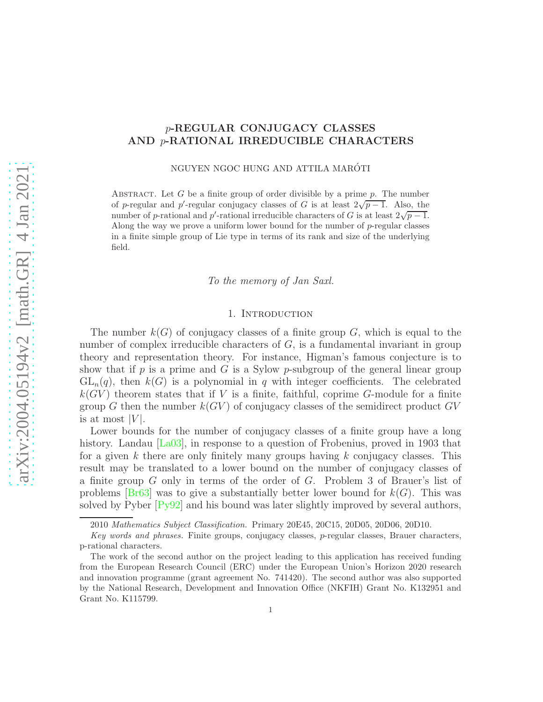# p-REGULAR CONJUGACY CLASSES AND p-RATIONAL IRREDUCIBLE CHARACTERS

NGUYEN NGOC HUNG AND ATTILA MARÓTI

ABSTRACT. Let G be a finite group of order divisible by a prime  $p$ . The number of p-regular and p'-regular conjugacy classes of G is at least  $2\sqrt{p-1}$ . Also, the number of p-rational and p'-rational irreducible characters of G is at least  $2\sqrt{p-1}$ . Along the way we prove a uniform lower bound for the number of  $p$ -regular classes in a finite simple group of Lie type in terms of its rank and size of the underlying field.

*To the memory of Jan Saxl.*

## 1. Introduction

The number  $k(G)$  of conjugacy classes of a finite group G, which is equal to the number of complex irreducible characters of  $G$ , is a fundamental invariant in group theory and representation theory. For instance, Higman's famous conjecture is to show that if  $p$  is a prime and  $G$  is a Sylow  $p$ -subgroup of the general linear group  $GL_n(q)$ , then  $k(G)$  is a polynomial in q with integer coefficients. The celebrated  $k(GV)$  theorem states that if V is a finite, faithful, coprime G-module for a finite group G then the number  $k(GV)$  of conjugacy classes of the semidirect product  $GV$ is at most  $|V|$ .

Lower bounds for the number of conjugacy classes of a finite group have a long history. Landau [\[La03\]](#page-44-0), in response to a question of Frobenius, proved in 1903 that for a given k there are only finitely many groups having k conjugacy classes. This result may be translated to a lower bound on the number of conjugacy classes of a finite group G only in terms of the order of G. Problem 3 of Brauer's list of problems  $[Br63]$  was to give a substantially better lower bound for  $k(G)$ . This was solved by Pyber [\[Py92\]](#page-45-0) and his bound was later slightly improved by several authors,

<sup>2010</sup> Mathematics Subject Classification. Primary 20E45, 20C15, 20D05, 20D06, 20D10.

Key words and phrases. Finite groups, conjugacy classes, p-regular classes, Brauer characters, p-rational characters.

The work of the second author on the project leading to this application has received funding from the European Research Council (ERC) under the European Union's Horizon 2020 research and innovation programme (grant agreement No. 741420). The second author was also supported by the National Research, Development and Innovation Office (NKFIH) Grant No. K132951 and Grant No. K115799.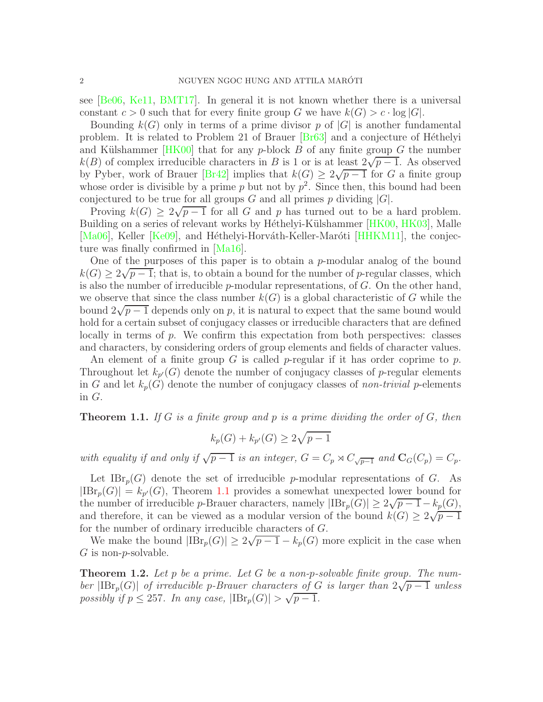see [\[Be06,](#page-43-1) [Ke11,](#page-44-1) [BMT17\]](#page-43-2). In general it is not known whether there is a universal constant  $c > 0$  such that for every finite group G we have  $k(G) > c \cdot \log |G|$ .

Bounding  $k(G)$  only in terms of a prime divisor p of  $|G|$  is another fundamental problem. It is related to Problem 21 of Brauer [\[Br63\]](#page-43-0) and a conjecture of H´ethelyi and Külshammer  $|HK00|$  that for any p-block B of any finite group G the number  $k(B)$  of complex irreducible characters in B is 1 or is at least  $2\sqrt{p-1}$ . As observed by Pyber, work of Brauer [\[Br42\]](#page-43-3) implies that  $k(G) \geq 2\sqrt{p-1}$  for G a finite group whose order is divisible by a prime  $p$  but not by  $p^2$ . Since then, this bound had been conjectured to be true for all groups G and all primes  $p$  dividing  $|G|$ .

Proving  $k(G) \geq 2\sqrt{p-1}$  for all G and p has turned out to be a hard problem. Building on a series of relevant works by Héthelyi-Külshammer [\[HK00,](#page-44-2) [HK03\]](#page-44-3), Malle  $[Ma06]$ , Keller [\[Ke09\]](#page-44-5), and Héthelyi-Horváth-Keller-Maróti [\[HHKM11\]](#page-44-6), the conjecture was finally confirmed in [\[Ma16\]](#page-45-1).

One of the purposes of this paper is to obtain a  $p$ -modular analog of the bound  $k(G) \geq 2\sqrt{p-1}$ ; that is, to obtain a bound for the number of p-regular classes, which is also the number of irreducible  $p$ -modular representations, of  $G$ . On the other hand, we observe that since the class number  $k(G)$  is a global characteristic of G while the bound  $2\sqrt{p-1}$  depends only on p, it is natural to expect that the same bound would hold for a certain subset of conjugacy classes or irreducible characters that are defined locally in terms of p. We confirm this expectation from both perspectives: classes and characters, by considering orders of group elements and fields of character values.

An element of a finite group  $G$  is called  $p$ -regular if it has order coprime to  $p$ . Throughout let  $k_{p'}(G)$  denote the number of conjugacy classes of p-regular elements in G and let  $k_p(G)$  denote the number of conjugacy classes of *non-trivial* p-elements in G.

<span id="page-1-0"></span>Theorem 1.1. *If* G *is a finite group and* p *is a prime dividing the order of* G*, then*

$$
k_p(G) + k_{p'}(G) \ge 2\sqrt{p-1}
$$

*with equality if and only if*  $\sqrt{p-1}$  *is an integer,*  $G = C_p \rtimes C_{\sqrt{p-1}}$  *and*  $\mathbf{C}_G(C_p) = C_p$ *.* 

Let  $\text{IBr}_p(G)$  denote the set of irreducible p-modular representations of G. As  $|\text{IBr}_p(G)| = k_{p'}(G)$ , Theorem [1.1](#page-1-0) provides a somewhat unexpected lower bound for the number of irreducible p-Brauer characters, namely  $|\text{IBr}_p(G)| \geq 2\sqrt{p-1} - k_p(G)$ , and therefore, it can be viewed as a modular version of the bound  $k(G) \geq 2\sqrt{p-1}$ for the number of ordinary irreducible characters of G.

We make the bound  $|\text{IBr}_p(G)| \geq 2\sqrt{p-1} - k_p(G)$  more explicit in the case when  $G$  is non-*p*-solvable.

<span id="page-1-1"></span>Theorem 1.2. *Let* p *be a prime. Let* G *be a non-*p*-solvable finite group. The number*  $|\text{IBr}_p(G)|$  *of irreducible* p-Brauer characters of G *is larger than*  $2\sqrt{p-1}$  *unless possibly if*  $p \le 257$ *. In any case,*  $|\text{IBr}_p(G)| > \sqrt{p-1}$ *.*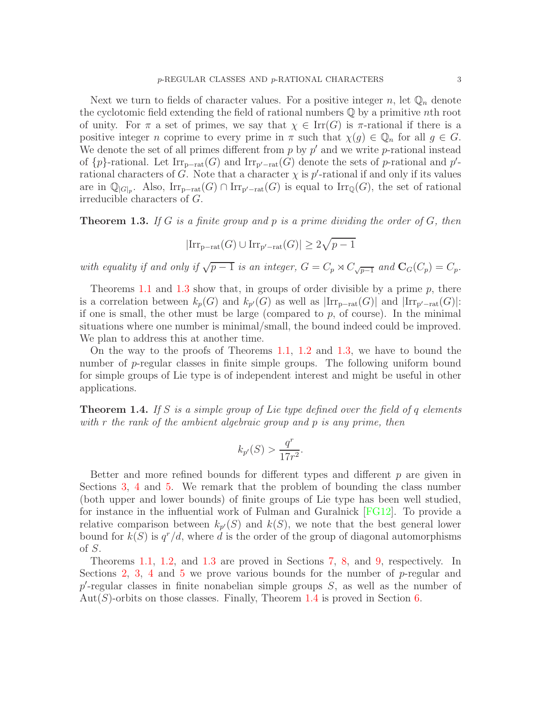Next we turn to fields of character values. For a positive integer n, let  $\mathbb{Q}_n$  denote the cyclotomic field extending the field of rational numbers  $\mathbb Q$  by a primitive nth root of unity. For  $\pi$  a set of primes, we say that  $\chi \in \text{Irr}(G)$  is  $\pi$ -rational if there is a positive integer n coprime to every prime in  $\pi$  such that  $\chi(g) \in \mathbb{Q}_n$  for all  $g \in G$ . We denote the set of all primes different from  $p$  by  $p'$  and we write  $p$ -rational instead of  $\{p\}$ -rational. Let  $\text{Irr}_{p-\text{rat}}(G)$  and  $\text{Irr}_{p'-\text{rat}}(G)$  denote the sets of p-rational and p'rational characters of G. Note that a character  $\chi$  is p'-rational if and only if its values are in  $\mathbb{Q}_{[G]_p}$ . Also,  $\text{Irr}_{p-\text{rat}}(G) \cap \text{Irr}_{p'-\text{rat}}(G)$  is equal to  $\text{Irr}_{\mathbb{Q}}(G)$ , the set of rational irreducible characters of G.

<span id="page-2-0"></span>Theorem 1.3. *If* G *is a finite group and* p *is a prime dividing the order of* G*, then*

$$
|\mathrm{Irr}_{\mathrm{p-rat}}(G)\cup\mathrm{Irr}_{\mathrm{p'-rat}}(G)|\geq 2\sqrt{p-1}
$$

*with equality if and only if*  $\sqrt{p-1}$  *is an integer,*  $G = C_p \rtimes C_{\sqrt{p-1}}$  *and*  $\mathbf{C}_G(C_p) = C_p$ *.* 

Theorems [1.1](#page-1-0) and [1.3](#page-2-0) show that, in groups of order divisible by a prime  $p$ , there is a correlation between  $k_p(G)$  and  $k_{p'}(G)$  as well as  $|\text{Irr}_{p-\text{rat}}(G)|$  and  $|\text{Irr}_{p'-\text{rat}}(G)|$ : if one is small, the other must be large (compared to  $p$ , of course). In the minimal situations where one number is minimal/small, the bound indeed could be improved. We plan to address this at another time.

On the way to the proofs of Theorems [1.1,](#page-1-0) [1.2](#page-1-1) and [1.3,](#page-2-0) we have to bound the number of p-regular classes in finite simple groups. The following uniform bound for simple groups of Lie type is of independent interest and might be useful in other applications.

<span id="page-2-1"></span>Theorem 1.4. *If* S *is a simple group of Lie type defined over the field of* q *elements with* r *the rank of the ambient algebraic group and* p *is any prime, then*

$$
k_{p'}(S) > \frac{q^r}{17r^2}.
$$

Better and more refined bounds for different types and different  $p$  are given in Sections [3,](#page-7-0) [4](#page-17-0) and [5.](#page-26-0) We remark that the problem of bounding the class number (both upper and lower bounds) of finite groups of Lie type has been well studied, for instance in the influential work of Fulman and Guralnick [\[FG12\]](#page-44-7). To provide a relative comparison between  $k_{p'}(S)$  and  $k(S)$ , we note that the best general lower bound for  $k(S)$  is  $q^r/d$ , where d is the order of the group of diagonal automorphisms of  $S$ .

Theorems [1.1,](#page-1-0) [1.2,](#page-1-1) and [1.3](#page-2-0) are proved in Sections [7,](#page-35-0) [8,](#page-38-0) and [9,](#page-39-0) respectively. In Sections [2,](#page-3-0) [3,](#page-7-0) [4](#page-17-0) and [5](#page-26-0) we prove various bounds for the number of  $p$ -regular and  $p'$ -regular classes in finite nonabelian simple groups  $S$ , as well as the number of  $Aut(S)$ -orbits on those classes. Finally, Theorem [1.4](#page-2-1) is proved in Section [6.](#page-33-0)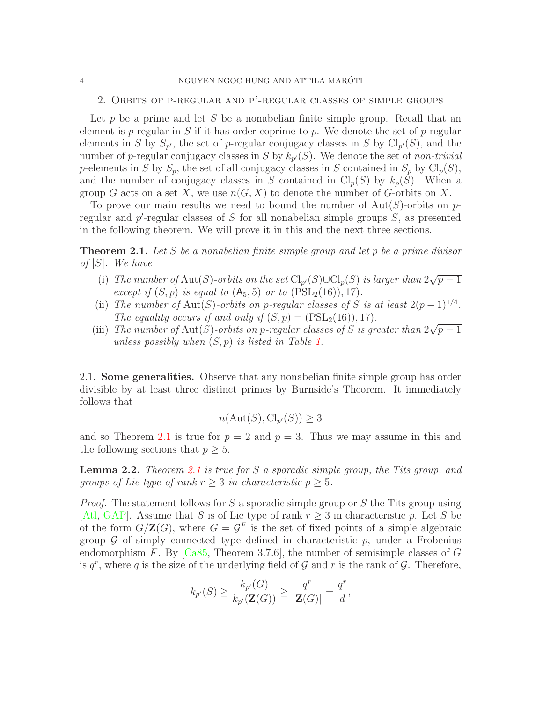#### <span id="page-3-0"></span>4 NGUYEN NGOC HUNG AND ATTILA MARÓTI

2. Orbits of p-regular and p'-regular classes of simple groups

Let  $p$  be a prime and let  $S$  be a nonabelian finite simple group. Recall that an element is *p*-regular in S if it has order coprime to p. We denote the set of *p*-regular elements in S by  $S_{p'}$ , the set of p-regular conjugacy classes in S by  $\text{Cl}_{p'}(S)$ , and the number of p-regular conjugacy classes in  $S$  by  $k_{p'}(S)$ . We denote the set of *non-trivial* p-elements in S by  $S_p$ , the set of all conjugacy classes in S contained in  $S_p$  by  $\text{Cl}_p(S)$ , and the number of conjugacy classes in S contained in  $\text{Cl}_p(S)$  by  $k_p(S)$ . When a group G acts on a set X, we use  $n(G, X)$  to denote the number of G-orbits on X.

To prove our main results we need to bound the number of  $Aut(S)$ -orbits on pregular and  $p'$ -regular classes of S for all nonabelian simple groups S, as presented in the following theorem. We will prove it in this and the next three sections.

<span id="page-3-1"></span>Theorem 2.1. *Let* S *be a nonabelian finite simple group and let* p *be a prime divisor of* |S|*. We have*

- (i) *The number of*  $Aut(S)$ -orbits on the set  $Cl_{p'}(S) \cup Cl_p(S)$  is larger than  $2\sqrt{p-1}$ *except if*  $(S, p)$  *is equal to*  $(A_5, 5)$  *or to*  $(PSL_2(16)), 17)$ *.*
- (ii) *The number of* Aut(S)-*orbits on p-regular classes of* S *is at least*  $2(p-1)^{1/4}$ . *The equality occurs if and only if*  $(S, p) = (PSL<sub>2</sub>(16)), 17)$ *.*
- (iii) *The number of* Aut(S)-*orbits on p-regular classes of* S *is greater than*  $2\sqrt{p-1}$ *unless possibly when* (S, p) *is listed in Table [1.](#page-4-0)*

2.1. Some generalities. Observe that any nonabelian finite simple group has order divisible by at least three distinct primes by Burnside's Theorem. It immediately follows that

$$
n(\text{Aut}(S), \text{Cl}_{p'}(S)) \ge 3
$$

and so Theorem [2.1](#page-3-1) is true for  $p = 2$  and  $p = 3$ . Thus we may assume in this and the following sections that  $p \geq 5$ .

<span id="page-3-2"></span>Lemma 2.2. *Theorem [2.1](#page-3-1) is true for* S *a sporadic simple group, the Tits group, and groups of Lie type of rank*  $r \geq 3$  *in characteristic*  $p \geq 5$ *.* 

*Proof.* The statement follows for S a sporadic simple group or S the Tits group using [\[Atl,](#page-43-4) [GAP\]](#page-44-8). Assume that S is of Lie type of rank  $r \geq 3$  in characteristic p. Let S be of the form  $G/\mathbf{Z}(G)$ , where  $G = \mathcal{G}^F$  is the set of fixed points of a simple algebraic group  $\mathcal G$  of simply connected type defined in characteristic  $p$ , under a Frobenius endomorphism F. By  $[Ca85, Theorem 3.7.6]$ , the number of semisimple classes of G is  $q^r$ , where q is the size of the underlying field of  $\mathcal G$  and  $r$  is the rank of  $\mathcal G$ . Therefore,

$$
k_{p'}(S) \ge \frac{k_{p'}(G)}{k_{p'}(\mathbf{Z}(G))} \ge \frac{q^r}{|\mathbf{Z}(G)|} = \frac{q^r}{d},
$$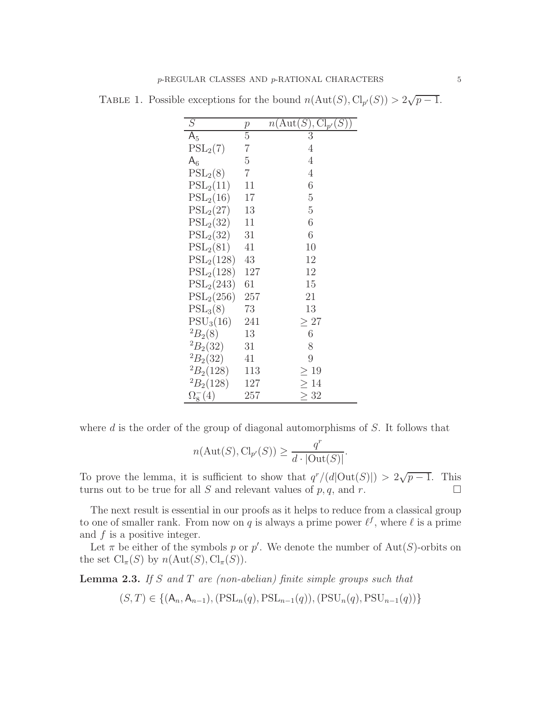<span id="page-4-0"></span>

| S                  | $\,p$          | $n(\text{Aut}(S), \text{Cl}_{p'}(S))$ |
|--------------------|----------------|---------------------------------------|
| $A_5$              | $\overline{5}$ | 3                                     |
| $PSL_2(7)$         | 7              | 4                                     |
| $A_6$              | $\overline{5}$ | 4                                     |
| $PSL_2(8)$         | $\overline{7}$ | 4                                     |
| $PSL_2(11)$        | 11             | 6                                     |
| $PSL_2(16)$        | 17             | $\overline{5}$                        |
| $PSL_2(27)$        | 13             | $\overline{5}$                        |
| $PSL_2(32)$        | 11             | 6                                     |
| $PSL_2(32)$        | 31             | 6                                     |
| $PSL_2(81)$        | 41             | 10                                    |
| $PSL_2(128)$       | 43             | 12                                    |
| $PSL_2(128)$       | 127            | 12                                    |
| $PSL_2(243)$       | 61             | 15                                    |
| $PSL_2(256)$       | 257            | 21                                    |
| $PSL_3(8)$         | 73             | 13                                    |
| $PSU_3(16)$        | 241            | $\geq 27$                             |
| $^{2}B_{2}(8)$     | 13             | 6                                     |
| ${}^{2}B_{2}(32)$  | 31             | 8                                     |
| ${}^{2}B_{2}(32)$  | 41             | 9                                     |
| ${}^{2}B_{2}(128)$ | 113            | $\geq 19$                             |
| ${}^{2}B_{2}(128)$ | 127            | $\geq 14$                             |
| $\Omega_8^{-}(4)$  | 257            | >32                                   |

TABLE 1. Possible exceptions for the bound  $n(\text{Aut}(S), \text{Cl}_{p'}(S)) > 2\sqrt{p-1}$ .

where  $d$  is the order of the group of diagonal automorphisms of  $S$ . It follows that

$$
n(\text{Aut}(S), \text{Cl}_{p'}(S)) \ge \frac{q^r}{d \cdot |\text{Out}(S)|}.
$$

To prove the lemma, it is sufficient to show that  $q^r/(d|\text{Out}(S)|) > 2\sqrt{p-1}$ . This turns out to be true for all S and relevant values of p, q, and r.

The next result is essential in our proofs as it helps to reduce from a classical group to one of smaller rank. From now on q is always a prime power  $\ell^f$ , where  $\ell$  is a prime and  $f$  is a positive integer.

Let  $\pi$  be either of the symbols p or p'. We denote the number of Aut(S)-orbits on the set  $\text{Cl}_{\pi}(S)$  by  $n(\text{Aut}(S), \text{Cl}_{\pi}(S)).$ 

<span id="page-4-1"></span>Lemma 2.3. *If* S *and* T *are (non-abelian) finite simple groups such that*

$$
(S,T)\in\{(\mathsf{A}_n,\mathsf{A}_{n-1}), (\mathrm{PSL}_n(q),\mathrm{PSL}_{n-1}(q)), (\mathrm{PSU}_n(q),\mathrm{PSU}_{n-1}(q))\}
$$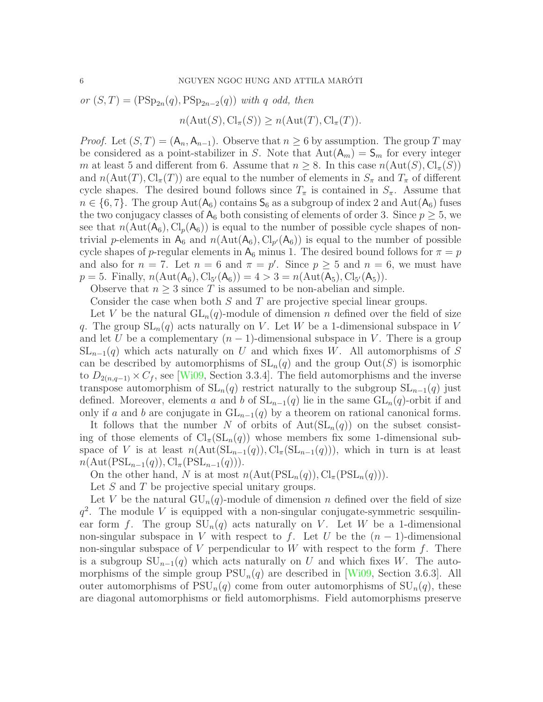or 
$$
(S,T) = (\text{PSp}_{2n}(q), \text{PSp}_{2n-2}(q))
$$
 with q odd, then  

$$
n(\text{Aut}(S), \text{Cl}_{\pi}(S)) \ge n(\text{Aut}(T), \text{Cl}_{\pi}(T)).
$$

*Proof.* Let  $(S, T) = (\mathsf{A}_n, \mathsf{A}_{n-1})$ . Observe that  $n \geq 6$  by assumption. The group T may be considered as a point-stabilizer in S. Note that  $Aut(A_m) = S_m$  for every integer m at least 5 and different from 6. Assume that  $n \geq 8$ . In this case  $n(\text{Aut}(S), \text{Cl}_{\pi}(S))$ and  $n(\text{Aut}(T), \text{Cl}_{\pi}(T))$  are equal to the number of elements in  $S_{\pi}$  and  $T_{\pi}$  of different cycle shapes. The desired bound follows since  $T_{\pi}$  is contained in  $S_{\pi}$ . Assume that  $n \in \{6, 7\}$ . The group  $\text{Aut}(\mathsf{A}_6)$  contains  $\mathsf{S}_6$  as a subgroup of index 2 and  $\text{Aut}(\mathsf{A}_6)$  fuses the two conjugacy classes of  $A_6$  both consisting of elements of order 3. Since  $p \geq 5$ , we see that  $n(\text{Aut}(\mathsf{A}_6), \text{Cl}_p(\mathsf{A}_6))$  is equal to the number of possible cycle shapes of nontrivial p-elements in  $A_6$  and  $n(\text{Aut}(A_6), \text{Cl}_{p'}(A_6))$  is equal to the number of possible cycle shapes of p-regular elements in  $A_6$  minus 1. The desired bound follows for  $\pi = p$ and also for  $n = 7$ . Let  $n = 6$  and  $\pi = p'$ . Since  $p \ge 5$  and  $n = 6$ , we must have  $p = 5$ . Finally,  $n(\text{Aut}(\mathsf{A}_{6}), \text{Cl}_{5'}(\mathsf{A}_{6})) = 4 > 3 = n(\text{Aut}(\mathsf{A}_{5}), \text{Cl}_{5'}(\mathsf{A}_{5}))$ .

Observe that  $n \geq 3$  since T is assumed to be non-abelian and simple.

Consider the case when both S and T are projective special linear groups.

Let V be the natural  $GL_n(q)$ -module of dimension n defined over the field of size q. The group  $SL_n(q)$  acts naturally on V. Let W be a 1-dimensional subspace in V and let U be a complementary  $(n-1)$ -dimensional subspace in V. There is a group  $SL_{n-1}(q)$  which acts naturally on U and which fixes W. All automorphisms of S can be described by automorphisms of  $SL_n(q)$  and the group  $Out(S)$  is isomorphic to  $D_{2(n,q-1)} \times C_f$ , see [\[Wi09,](#page-45-2) Section 3.3.4]. The field automorphisms and the inverse transpose automorphism of  $SL_n(q)$  restrict naturally to the subgroup  $SL_{n-1}(q)$  just defined. Moreover, elements a and b of  $SL_{n-1}(q)$  lie in the same  $GL_n(q)$ -orbit if and only if a and b are conjugate in  $GL_{n-1}(q)$  by a theorem on rational canonical forms.

It follows that the number N of orbits of  $Aut(SL_n(q))$  on the subset consisting of those elements of  $\text{Cl}_{\pi}(\text{SL}_n(q))$  whose members fix some 1-dimensional subspace of V is at least  $n(\text{Aut}(\text{SL}_{n-1}(q)), \text{Cl}_{\pi}(\text{SL}_{n-1}(q)))$ , which in turn is at least  $n(\text{Aut}(\text{PSL}_{n-1}(q)), \text{Cl}_{\pi}(\text{PSL}_{n-1}(q))).$ 

On the other hand, N is at most  $n(\text{Aut}(\text{PSL}_n(q)), \text{Cl}_{\pi}(\text{PSL}_n(q))).$ 

Let S and T be projective special unitary groups.

Let V be the natural  $GU_n(q)$ -module of dimension n defined over the field of size  $q^2$ . The module V is equipped with a non-singular conjugate-symmetric sesquilinear form f. The group  $SU_n(q)$  acts naturally on V. Let W be a 1-dimensional non-singular subspace in V with respect to f. Let U be the  $(n-1)$ -dimensional non-singular subspace of V perpendicular to W with respect to the form  $f$ . There is a subgroup  $SU_{n-1}(q)$  which acts naturally on U and which fixes W. The automorphisms of the simple group  $PSU_n(q)$  are described in [\[Wi09,](#page-45-2) Section 3.6.3]. All outer automorphisms of  $PSU_n(q)$  come from outer automorphisms of  $SU_n(q)$ , these are diagonal automorphisms or field automorphisms. Field automorphisms preserve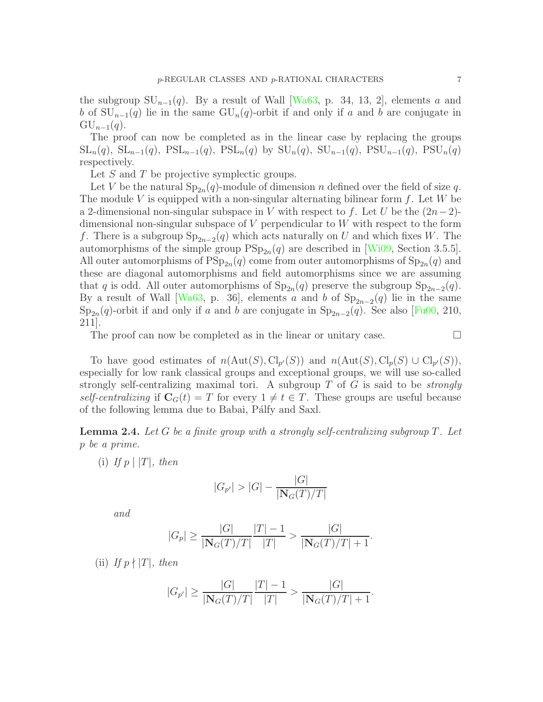the subgroup  $SU_{n-1}(q)$ . By a result of Wall [\[Wa63,](#page-45-3) p. 34, 13, 2], elements a and b of  $SU_{n-1}(q)$  lie in the same  $GU_n(q)$ -orbit if and only if a and b are conjugate in  $\mathrm{GU}_{n-1}(q).$ 

The proof can now be completed as in the linear case by replacing the groups  $\operatorname{SL}_n(q)$ ,  $\operatorname{SL}_{n-1}(q)$ ,  $\operatorname{PSL}_{n-1}(q)$ ,  $\operatorname{PSL}_n(q)$  by  $\operatorname{SU}_n(q)$ ,  $\operatorname{SU}_{n-1}(q)$ ,  $\operatorname{PSU}_{n-1}(q)$ ,  $\operatorname{PSU}_n(q)$ respectively.

Let S and T be projective symplectic groups.

Let V be the natural  $\text{Sp}_{2n}(q)$ -module of dimension n defined over the field of size q. The module V is equipped with a non-singular alternating bilinear form  $f$ . Let W be a 2-dimensional non-singular subspace in V with respect to f. Let U be the  $(2n-2)$ dimensional non-singular subspace of V perpendicular to W with respect to the form f. There is a subgroup  $\text{Sp}_{2n-2}(q)$  which acts naturally on U and which fixes W. The automorphisms of the simple group  $PSp_{2n}(q)$  are described in [\[Wi09,](#page-45-2) Section 3.5.5]. All outer automorphisms of  $\text{PSp}_{2n}(q)$  come from outer automorphisms of  $\text{Sp}_{2n}(q)$  and these are diagonal automorphisms and field automorphisms since we are assuming that q is odd. All outer automorphisms of  $\text{Sp}_{2n}(q)$  preserve the subgroup  $\text{Sp}_{2n-2}(q)$ . By a result of Wall [\[Wa63,](#page-45-3) p. 36], elements a and b of  $\text{Sp}_{2n-2}(q)$  lie in the same  $\text{Sp}_{2n}(q)$ -orbit if and only if a and b are conjugate in  $\text{Sp}_{2n-2}(q)$ . See also [\[Fu00,](#page-44-9) 210, 211].

The proof can now be completed as in the linear or unitary case.  $\Box$ 

To have good estimates of  $n(\text{Aut}(S), \text{Cl}_{p'}(S))$  and  $n(\text{Aut}(S), \text{Cl}_{p}(S) \cup \text{Cl}_{p'}(S)),$ especially for low rank classical groups and exceptional groups, we will use so-called strongly self-centralizing maximal tori. A subgroup T of G is said to be *strongly self-centralizing* if  $\mathbf{C}_G(t) = T$  for every  $1 \neq t \in T$ . These groups are useful because of the following lemma due to Babai, Pálfy and Saxl.

<span id="page-6-0"></span>Lemma 2.4. *Let* G *be a finite group with a strongly self-centralizing subgroup* T*. Let* p *be a prime.*

 $(i)$  *If*  $p \mid |T|$ *, then* 

$$
|G_{p'}| > |G| - \frac{|G|}{|\mathbf{N}_G(T)/T|}
$$

*and*

$$
|G_p| \ge \frac{|G|}{|\mathbf{N}_G(T)/T|} \frac{|T| - 1}{|T|} > \frac{|G|}{|\mathbf{N}_G(T)/T| + 1}.
$$

 $(iii)$  *If*  $p \nmid |T|$ *, then* 

$$
|G_{p'}| \ge \frac{|G|}{|\mathbf{N}_G(T)/T|} \frac{|T|-1}{|T|} > \frac{|G|}{|\mathbf{N}_G(T)/T|+1}.
$$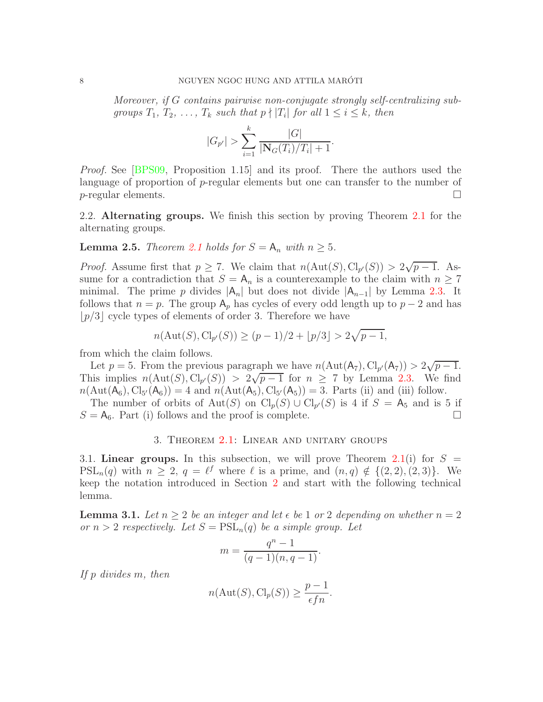*Moreover, if* G *contains pairwise non-conjugate strongly self-centralizing subgroups*  $T_1, T_2, \ldots, T_k$  *such that*  $p \nmid |T_i|$  *for all*  $1 \le i \le k$ *, then* 

$$
|G_{p'}| > \sum_{i=1}^{k} \frac{|G|}{|\mathbf{N}_G(T_i)/T_i|+1}.
$$

*Proof.* See [\[BPS09,](#page-43-6) Proposition 1.15] and its proof. There the authors used the language of proportion of p-regular elements but one can transfer to the number of  $p$ -regular elements.

2.2. Alternating groups. We finish this section by proving Theorem [2.1](#page-3-1) for the alternating groups.

**Lemma 2.5.** *Theorem [2.1](#page-3-1) holds for*  $S = A_n$  *with*  $n \geq 5$ *.* 

*Proof.* Assume first that  $p \ge 7$ . We claim that  $n(\text{Aut}(S), \text{Cl}_{p'}(S)) > 2\sqrt{p-1}$ . Assume for a contradiction that  $S = A_n$  is a counterexample to the claim with  $n \geq 7$ minimal. The prime p divides  $|A_n|$  but does not divide  $|A_{n-1}|$  by Lemma [2.3.](#page-4-1) It follows that  $n = p$ . The group  $A_p$  has cycles of every odd length up to  $p - 2$  and has  $\lfloor p/3 \rfloor$  cycle types of elements of order 3. Therefore we have

$$
n(\text{Aut}(S), \text{Cl}_{p'}(S)) \ge (p-1)/2 + \lfloor p/3 \rfloor > 2\sqrt{p-1},
$$

from which the claim follows.

Let  $p = 5$ . From the previous paragraph we have  $n(\text{Aut}(A_7), \text{Cl}_{p'}(A_7)) > 2\sqrt{p-1}$ . This implies  $n(\text{Aut}(S), \text{Cl}_{p'}(S)) > 2\sqrt{p-1}$  for  $n \ge 7$  by Lemma [2.3.](#page-4-1) We find  $n(\text{Aut}(\mathsf{A}_{6}), \text{Cl}_{5'}(\mathsf{A}_{6})) = 4$  and  $n(\text{Aut}(\mathsf{A}_{5}), \text{Cl}_{5'}(\mathsf{A}_{5})) = 3$ . Parts (ii) and (iii) follow.

<span id="page-7-0"></span>The number of orbits of Aut(S) on  $\text{Cl}_p(S) \cup \text{Cl}_{p'}(S)$  is 4 if  $S = \mathsf{A}_5$  and is 5 if  $S = \mathsf{A}_6$ . Part (i) follows and the proof is complete.

## 3. Theorem [2.1:](#page-3-1) Linear and unitary groups

<span id="page-7-2"></span>3.1. Linear groups. In this subsection, we will prove Theorem [2.1\(](#page-3-1)i) for  $S =$  $PSL_n(q)$  with  $n \geq 2$ ,  $q = \ell^f$  where  $\ell$  is a prime, and  $(n, q) \notin \{(2, 2), (2, 3)\}.$  We keep the notation introduced in Section [2](#page-3-0) and start with the following technical lemma.

<span id="page-7-1"></span>**Lemma 3.1.** Let  $n \geq 2$  be an integer and let  $\epsilon$  be 1 or 2 depending on whether  $n = 2$ *or*  $n > 2$  *respectively.* Let  $S = \text{PSL}_n(q)$  be a simple group. Let

$$
m = \frac{q^n - 1}{(q - 1)(n, q - 1)}.
$$

*If* p *divides* m*, then*

$$
n(\text{Aut}(S), \text{Cl}_p(S)) \ge \frac{p-1}{\epsilon fn}.
$$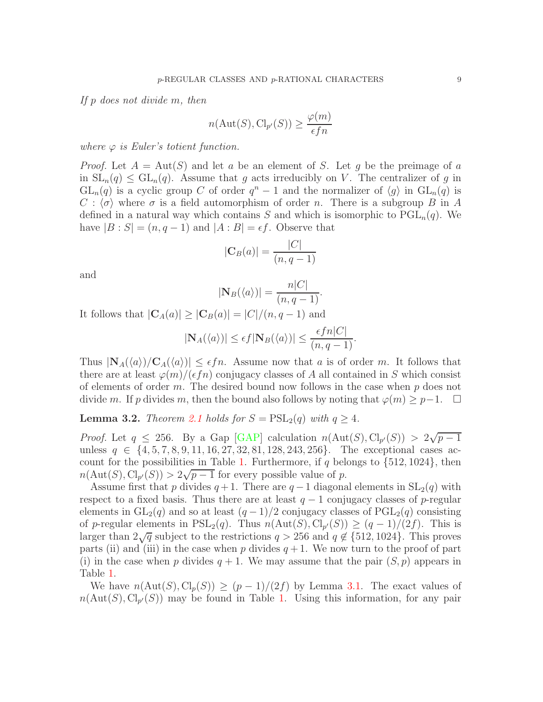*If* p *does not divide* m*, then*

$$
n(\text{Aut}(S), \text{Cl}_{p'}(S)) \ge \frac{\varphi(m)}{\epsilon fn}
$$

*where*  $\varphi$  *is Euler's totient function.* 

*Proof.* Let  $A = Aut(S)$  and let a be an element of S. Let g be the preimage of a in  $SL_n(q) \leq GL_n(q)$ . Assume that g acts irreducibly on V. The centralizer of g in  $GL_n(q)$  is a cyclic group C of order  $q^n-1$  and the normalizer of  $\langle g \rangle$  in  $GL_n(q)$  is  $C : \langle \sigma \rangle$  where  $\sigma$  is a field automorphism of order n. There is a subgroup B in A defined in a natural way which contains S and which is isomorphic to  $PGL_n(q)$ . We have  $|B : S| = (n, q - 1)$  and  $|A : B| = \epsilon f$ . Observe that

$$
|\mathbf{C}_B(a)| = \frac{|C|}{(n, q-1)}
$$

and

$$
|\mathbf{N}_B(\langle a \rangle)| = \frac{n|C|}{(n, q-1)}.
$$

It follows that  $|\mathbf{C}_A(a)| \geq |\mathbf{C}_B(a)| = |C|/(n, q - 1)$  and

$$
|\mathbf{N}_A(\langle a \rangle)| \le \epsilon f |\mathbf{N}_B(\langle a \rangle)| \le \frac{\epsilon f n |C|}{(n, q - 1)}.
$$

Thus  $|\mathbf{N}_A(\langle a \rangle)/\mathbf{C}_A(\langle a \rangle)| \leq \epsilon f n$ . Assume now that a is of order m. It follows that there are at least  $\varphi(m)/(\epsilon f n)$  conjugacy classes of A all contained in S which consist of elements of order m. The desired bound now follows in the case when  $p$  does not divide m. If p divides m, then the bound also follows by noting that  $\varphi(m) \geq p-1$ .  $\Box$ 

<span id="page-8-0"></span>**Lemma 3.2.** *Theorem [2.1](#page-3-1) holds for*  $S = \text{PSL}_2(q)$  *with*  $q \geq 4$ *.* 

*Proof.* Let  $q \leq 256$ . By a Gap [\[GAP\]](#page-44-8) calculation  $n(\text{Aut}(S), \text{Cl}_{p'}(S)) > 2\sqrt{p-1}$ unless  $q \in \{4, 5, 7, 8, 9, 11, 16, 27, 32, 81, 128, 243, 256\}$ . The exceptional cases ac-count for the possibilities in Table [1.](#page-4-0) Furthermore, if q belongs to  $\{512, 1024\}$ , then  $n(\text{Aut}(S), \text{Cl}_{p'}(S)) > 2\sqrt{p-1}$  for every possible value of p.

Assume first that p divides  $q + 1$ . There are  $q - 1$  diagonal elements in  $SL_2(q)$  with respect to a fixed basis. Thus there are at least  $q-1$  conjugacy classes of p-regular elements in  $GL_2(q)$  and so at least  $(q-1)/2$  conjugacy classes of  $PGL_2(q)$  consisting of p-regular elements in  $PSL_2(q)$ . Thus  $n(\text{Aut}(S), \text{Cl}_{p'}(S)) \ge (q-1)/(2f)$ . This is larger than 2 $\sqrt{q}$  subject to the restrictions  $q > 256$  and  $q \notin \{512, 1024\}$ . This proves parts (ii) and (iii) in the case when p divides  $q + 1$ . We now turn to the proof of part (i) in the case when p divides  $q + 1$ . We may assume that the pair  $(S, p)$  appears in Table [1.](#page-4-0)

We have  $n(\text{Aut}(S), \text{Cl}_p(S)) \ge (p-1)/(2f)$  by Lemma [3.1.](#page-7-1) The exact values of  $n(\text{Aut}(S), \text{Cl}_{p'}(S))$  may be found in Table [1.](#page-4-0) Using this information, for any pair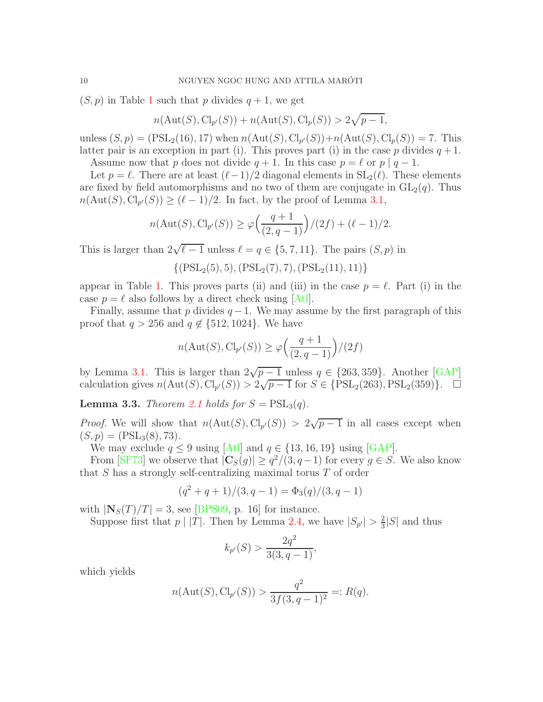$(S, p)$  in Table [1](#page-4-0) such that p divides  $q + 1$ , we get

$$
n(\mathrm{Aut}(S),\mathrm{Cl}_{p'}(S))+n(\mathrm{Aut}(S),\mathrm{Cl}_p(S))>2\sqrt{p-1},
$$

unless  $(S, p) = (PSL_2(16), 17)$  when  $n(Aut(S), Cl_{p'}(S)) + n(Aut(S), Cl_p(S)) = 7$ . This latter pair is an exception in part (i). This proves part (i) in the case p divides  $q + 1$ . Assume now that p does not divide  $q + 1$ . In this case  $p = \ell$  or  $p | q - 1$ .

Let  $p = \ell$ . There are at least  $(\ell-1)/2$  diagonal elements in  $SL_2(\ell)$ . These elements

are fixed by field automorphisms and no two of them are conjugate in  $GL_2(q)$ . Thus  $n(\text{Aut}(S), \text{Cl}_{p'}(S)) \geq (\ell - 1)/2$ . In fact, by the proof of Lemma [3.1,](#page-7-1)

$$
n(\text{Aut}(S), \text{Cl}_{p'}(S)) \ge \varphi\Big(\frac{q+1}{(2,q-1)}\Big)/(2f) + (\ell - 1)/2.
$$

This is larger than  $2\sqrt{\ell-1}$  unless  $\ell = q \in \{5, 7, 11\}$ . The pairs  $(S, p)$  in

 $\{(\text{PSL}_2(5), 5), (\text{PSL}_2(7), 7), (\text{PSL}_2(11), 11)\}\$ 

appear in Table [1.](#page-4-0) This proves parts (ii) and (iii) in the case  $p = \ell$ . Part (i) in the case  $p = \ell$  also follows by a direct check using [\[Atl\]](#page-43-4).

Finally, assume that p divides  $q-1$ . We may assume by the first paragraph of this proof that  $q > 256$  and  $q \notin \{512, 1024\}$ . We have

$$
n(\text{Aut}(S), \text{Cl}_{p'}(S)) \ge \varphi\Big(\frac{q+1}{(2,q-1)}\Big)/(2f)
$$

by Lemma [3.1.](#page-7-1) This is larger than  $2\sqrt{p-1}$  unless  $q \in \{263, 359\}$ . Another [\[GAP\]](#page-44-8) calculation gives  $n(\text{Aut}(S), \text{Cl}_{p'}(S)) > 2\sqrt{p-1}$  for  $S \in \{\text{PSL}_2(263), \text{PSL}_2(359)\}\.$  □

<span id="page-9-0"></span>**Lemma 3.3.** *Theorem [2.1](#page-3-1) holds for*  $S = \text{PSL}_3(q)$ *.* 

*Proof.* We will show that  $n(\text{Aut}(S), \text{Cl}_{p'}(S)) > 2\sqrt{p-1}$  in all cases except when  $(S, p) = (PSL<sub>3</sub>(8), 73).$ 

We may exclude  $q \leq 9$  using [\[Atl\]](#page-43-4) and  $q \in \{13, 16, 19\}$  using [\[GAP\]](#page-44-8).

From [\[SF73\]](#page-45-4) we observe that  $|\mathbf{C}_S(g)| \geq q^2/(3, q-1)$  for every  $g \in S$ . We also know that S has a strongly self-centralizing maximal torus T of order

$$
(q2 + q + 1)/(3, q - 1) = \Phi_3(q)/(3, q - 1)
$$

with  $|\mathbf{N}_S(T)/T| = 3$ , see [\[BPS09,](#page-43-6) p. 16] for instance.

Suppose first that  $p \mid |T|$ . Then by Lemma [2.4,](#page-6-0) we have  $|S_{p'}| > \frac{2}{3}$  $\frac{2}{3}|S|$  and thus

$$
k_{p'}(S) > \frac{2q^2}{3(3, q - 1)},
$$

which yields

$$
n(\text{Aut}(S), \text{Cl}_{p'}(S)) > \frac{q^2}{3f(3, q-1)^2} =: R(q).
$$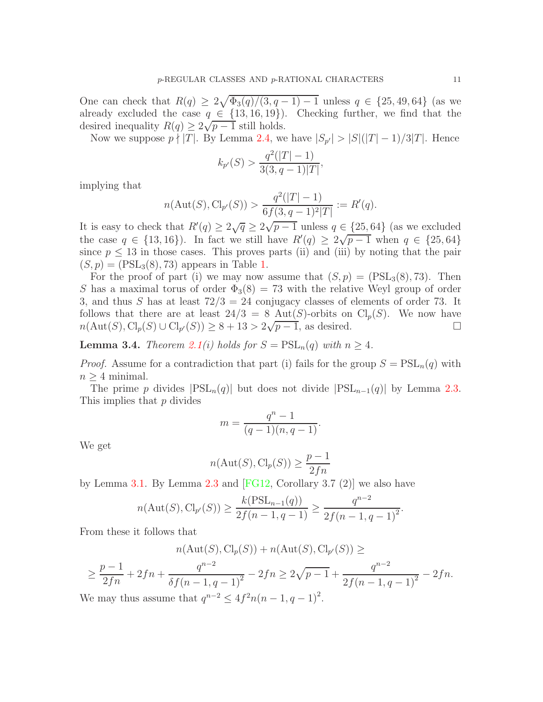One can check that  $R(q) \geq 2\sqrt{\Phi_3(q)/(3,q-1)-1}$  unless  $q \in \{25, 49, 64\}$  (as we already excluded the case  $q \in \{13, 16, 19\}$ . Checking further, we find that the desired inequality  $R(q) \geq 2\sqrt{p-1}$  still holds.

Now we suppose  $p \nmid |T|$ . By Lemma [2.4,](#page-6-0) we have  $|S_{p'}| > |S|(|T|-1)/3|T|$ . Hence

$$
k_{p'}(S) > \frac{q^2(|T|-1)}{3(3,q-1)|T|},
$$

implying that

$$
n(\text{Aut}(S), \text{Cl}_{p'}(S)) > \frac{q^2(|T|-1)}{6f(3, q-1)^2|T|} := R'(q).
$$

It is easy to check that  $R'(q) \geq 2\sqrt{q} \geq 2\sqrt{p-1}$  unless  $q \in \{25, 64\}$  (as we excluded the case  $q \in \{13, 16\}$ . In fact we still have  $R'(q) \geq 2\sqrt{p-1}$  when  $q \in \{25, 64\}$ since  $p \leq 13$  in those cases. This proves parts (ii) and (iii) by noting that the pair  $(S, p) = (PSL<sub>3</sub>(8), 73)$  appears in Table [1.](#page-4-0)

For the proof of part (i) we may now assume that  $(S, p) = (PSL<sub>3</sub>(8), 73)$ . Then S has a maximal torus of order  $\Phi_3(8) = 73$  with the relative Weyl group of order 3, and thus S has at least  $72/3 = 24$  conjugacy classes of elements of order 73. It follows that there are at least  $24/3 = 8$  Aut(S)-orbits on Cl<sub>p</sub>(S). We now have  $n(\text{Aut}(S), \text{Cl}_p(S) \cup \text{Cl}_{p'}(S)) \ge 8 + 13 > 2\sqrt{p-1}$ , as desired. □

**Lemma 3.4.** *Theorem [2.1\(](#page-3-1)i) holds for*  $S = \text{PSL}_n(q)$  *with*  $n \geq 4$ *.* 

*Proof.* Assume for a contradiction that part (i) fails for the group  $S = \text{PSL}_n(q)$  with  $n \geq 4$  minimal.

The prime p divides  $|PSL_n(q)|$  but does not divide  $|PSL_{n-1}(q)|$  by Lemma [2.3.](#page-4-1) This implies that p divides

$$
m = \frac{q^n - 1}{(q - 1)(n, q - 1)}.
$$

We get

$$
n(\text{Aut}(S), \text{Cl}_p(S)) \ge \frac{p-1}{2fn}
$$

by Lemma [3.1.](#page-7-1) By Lemma [2.3](#page-4-1) and  $[FG12, Corollary 3.7 (2)]$  we also have

$$
n(\text{Aut}(S), \text{Cl}_{p'}(S)) \ge \frac{k(\text{PSL}_{n-1}(q))}{2f(n-1, q-1)} \ge \frac{q^{n-2}}{2f(n-1, q-1)^2}.
$$

From these it follows that

$$
n(\mathrm{Aut}(S),\mathrm{Cl}_p(S)) + n(\mathrm{Aut}(S),\mathrm{Cl}_{p'}(S)) \ge
$$

$$
\geq \frac{p-1}{2fn} + 2fn + \frac{q^{n-2}}{\delta f(n-1, q-1)^2} - 2fn \geq 2\sqrt{p-1} + \frac{q^{n-2}}{2f(n-1, q-1)^2} - 2fn.
$$
  
We may thus assume that  $q^{n-2} \leq 4f^2n(n-1, q-1)^2$ .

We may thus assume that  $q$  $n-2 \leq 4f$  $^{2}n(n-1,q-1)^{2}$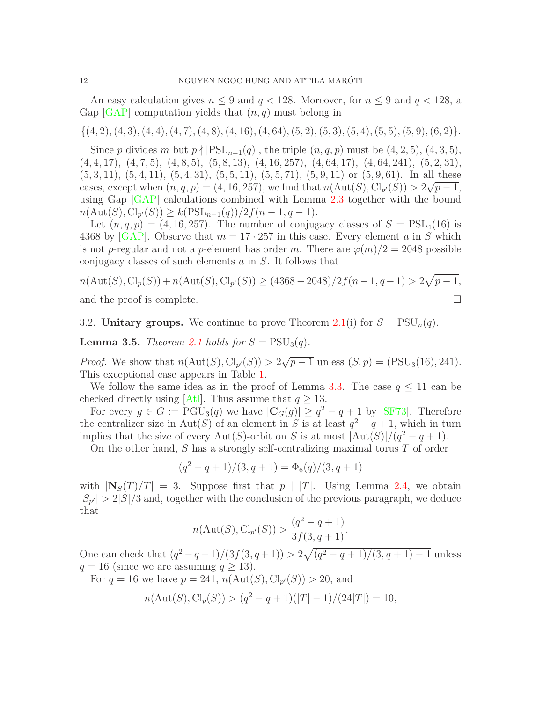An easy calculation gives  $n \leq 9$  and  $q < 128$ . Moreover, for  $n \leq 9$  and  $q < 128$ , a Gap  $[GAP]$  computation yields that  $(n, q)$  must belong in

 $\{(4, 2), (4, 3), (4, 4), (4, 7), (4, 8), (4, 16), (4, 64), (5, 2), (5, 3), (5, 4), (5, 5), (5, 9), (6, 2)\}.$ 

Since p divides m but  $p \nmid \text{PSL}_{n-1}(q)$ , the triple  $(n, q, p)$  must be  $(4, 2, 5)$ ,  $(4, 3, 5)$ ,  $(4, 4, 17), (4, 7, 5), (4, 8, 5), (5, 8, 13), (4, 16, 257), (4, 64, 17), (4, 64, 241), (5, 2, 31),$  $(5, 3, 11), (5, 4, 11), (5, 4, 31), (5, 5, 11), (5, 5, 71), (5, 9, 11)$  or  $(5, 9, 61)$ . In all these cases, except when  $(n, q, p) = (4, 16, 257)$ , we find that  $n(Aut(S), Cl_{p'}(S)) > 2\sqrt{p-1}$ , using Gap  $[GAP]$  calculations combined with Lemma [2.3](#page-4-1) together with the bound  $n(\text{Aut}(S), \text{Cl}_{p'}(S)) \geq k(\text{PSL}_{n-1}(q))/2f(n-1, q-1).$ 

Let  $(n, q, p) = (4, 16, 257)$ . The number of conjugacy classes of  $S = \text{PSL}_4(16)$  is 4368 by [\[GAP\]](#page-44-8). Observe that  $m = 17 \cdot 257$  in this case. Every element a in S which is not p-regular and not a p-element has order m. There are  $\varphi(m)/2 = 2048$  possible conjugacy classes of such elements a in S. It follows that

$$
n(\text{Aut}(S), \text{Cl}_p(S)) + n(\text{Aut}(S), \text{Cl}_{p'}(S)) \ge (4368 - 2048)/2f(n - 1, q - 1) > 2\sqrt{p - 1},
$$
  
and the proof is complete.

<span id="page-11-1"></span>3.2. Unitary groups. We continue to prove Theorem [2.1\(](#page-3-1)i) for  $S = \text{PSU}_n(q)$ .

<span id="page-11-0"></span>**Lemma 3.5.** *Theorem [2.1](#page-3-1) holds for*  $S = \text{PSU}_3(q)$ *.* 

*Proof.* We show that  $n(\text{Aut}(S), \text{Cl}_{p'}(S)) > 2\sqrt{p-1}$  unless  $(S, p) = (\text{PSU}_3(16), 241)$ . This exceptional case appears in Table [1.](#page-4-0)

We follow the same idea as in the proof of Lemma [3.3.](#page-9-0) The case  $q \leq 11$  can be checked directly using [\[Atl\]](#page-43-4). Thus assume that  $q > 13$ .

For every  $g \in G := \text{PGU}_3(q)$  we have  $|\mathbf{C}_G(g)| \geq q^2 - q + 1$  by [\[SF73\]](#page-45-4). Therefore the centralizer size in Aut(S) of an element in S is at least  $q^2 - q + 1$ , which in turn implies that the size of every Aut(S)-orbit on S is at most  $|\text{Aut}(S)|/(q^2-q+1)$ .

On the other hand,  $S$  has a strongly self-centralizing maximal torus  $T$  of order

$$
(q2 - q + 1)/(3, q + 1) = \Phi6(q)/(3, q + 1)
$$

with  $|\mathbf{N}_S(T)/T| = 3$ . Suppose first that  $p | |T|$ . Using Lemma [2.4,](#page-6-0) we obtain  $|S_{p'}| > 2|S|/3$  and, together with the conclusion of the previous paragraph, we deduce that

$$
n(\text{Aut}(S), \text{Cl}_{p'}(S)) > \frac{(q^2 - q + 1)}{3f(3, q + 1)}.
$$

One can check that  $(q^2 - q + 1)/(3f(3, q + 1)) > 2\sqrt{(q^2 - q + 1)/(3, q + 1)} - 1$  unless  $q = 16$  (since we are assuming  $q > 13$ ).

For  $q = 16$  we have  $p = 241$ ,  $n(\text{Aut}(S), \text{Cl}_{p'}(S)) > 20$ , and

$$
n(\text{Aut}(S), \text{Cl}_p(S)) > (q^2 - q + 1)(|T| - 1)/(24|T|) = 10,
$$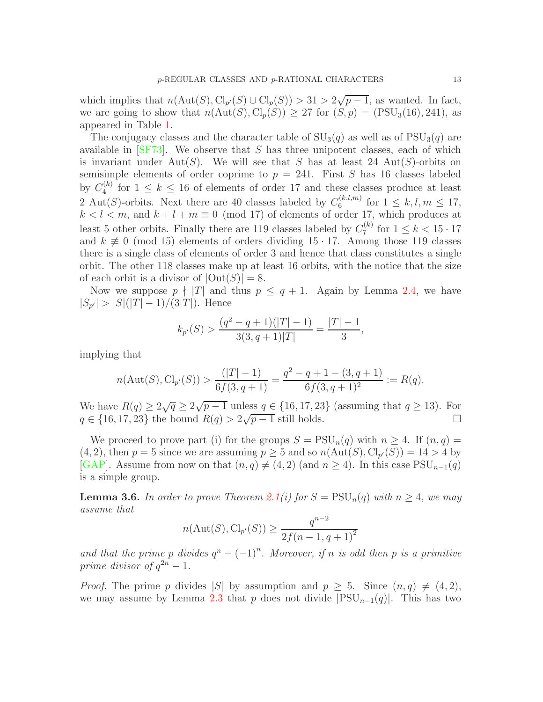which implies that  $n(\text{Aut}(S), \text{Cl}_{p'}(S) \cup \text{Cl}_{p}(S)) > 31 > 2\sqrt{p-1}$ , as wanted. In fact, we are going to show that  $n(\text{Aut}(S), \text{Cl}_n(S)) \geq 27$  for  $(S, p) = (\text{PSU}_3(16), 241)$ , as appeared in Table [1.](#page-4-0)

The conjugacy classes and the character table of  $SU<sub>3</sub>(q)$  as well as of  $PSU<sub>3</sub>(q)$  are available in  $\text{[SF73]}$ . We observe that S has three unipotent classes, each of which is invariant under Aut(S). We will see that S has at least 24 Aut(S)-orbits on semisimple elements of order coprime to  $p = 241$ . First S has 16 classes labeled by  $C_4^{(k)}$  $\binom{k}{4}$  for  $1 \leq k \leq 16$  of elements of order 17 and these classes produce at least 2 Aut(S)-orbits. Next there are 40 classes labeled by  $C_6^{(k,l,m)}$  $\int_6^{(k,l,m)}$  for  $1 \leq k,l,m \leq 17$ ,  $k < l < m$ , and  $k + l + m \equiv 0 \pmod{17}$  of elements of order 17, which produces at least 5 other orbits. Finally there are 119 classes labeled by  $C_7^{(k)}$  $f_7^{(k)}$  for  $1 \leq k < 15 \cdot 17$ and  $k \neq 0 \pmod{15}$  elements of orders dividing 15 · 17. Among those 119 classes there is a single class of elements of order 3 and hence that class constitutes a single orbit. The other 118 classes make up at least 16 orbits, with the notice that the size of each orbit is a divisor of  $|\text{Out}(S)| = 8$ .

Now we suppose  $p \nmid |T|$  and thus  $p \leq q+1$ . Again by Lemma [2.4,](#page-6-0) we have  $|S_{p'}| > |S|(|T|-1)/(3|T|)$ . Hence

$$
k_{p'}(S) > \frac{(q^2 - q + 1)(|T| - 1)}{3(3, q + 1)|T|} = \frac{|T| - 1}{3},
$$

implying that

$$
n(\text{Aut}(S),\text{Cl}_{p'}(S)) > \frac{(|T|-1)}{6f(3,q+1)} = \frac{q^2-q+1-(3,q+1)}{6f(3,q+1)^2} := R(q).
$$

We have  $R(q) \ge 2\sqrt{q} \ge 2\sqrt{p-1}$  unless  $q \in \{16, 17, 23\}$  (assuming that  $q \ge 13$ ). For  $q \in \{16, 17, 23\}$  the bound  $R(q) > 2\sqrt{p-1}$  still holds.

We proceed to prove part (i) for the groups  $S = \text{PSU}_n(q)$  with  $n \geq 4$ . If  $(n, q) =$  $(4, 2)$ , then  $p = 5$  since we are assuming  $p \ge 5$  and so  $n(\text{Aut}(S), \text{Cl}_{p'}(S)) = 14 > 4$  by [\[GAP\]](#page-44-8). Assume from now on that  $(n, q) \neq (4, 2)$  (and  $n \geq 4$ ). In this case PSU<sub>n-1</sub>(q) is a simple group.

<span id="page-12-0"></span>**Lemma 3.6.** In order to prove Theorem [2.1\(](#page-3-1)*i*) for  $S = \text{PSU}_n(q)$  with  $n \geq 4$ , we may *assume that*

$$
n(\text{Aut}(S), \text{Cl}_{p'}(S)) \ge \frac{q^{n-2}}{2f(n-1, q+1)^2}
$$

and that the prime p divides  $q^n - (-1)^n$ . Moreover, if n is odd then p is a primitive *prime divisor of*  $q^{2n} - 1$ *.* 

*Proof.* The prime p divides |S| by assumption and  $p > 5$ . Since  $(n, q) \neq (4, 2)$ , we may assume by Lemma [2.3](#page-4-1) that p does not divide  $|PSU_{n-1}(q)|$ . This has two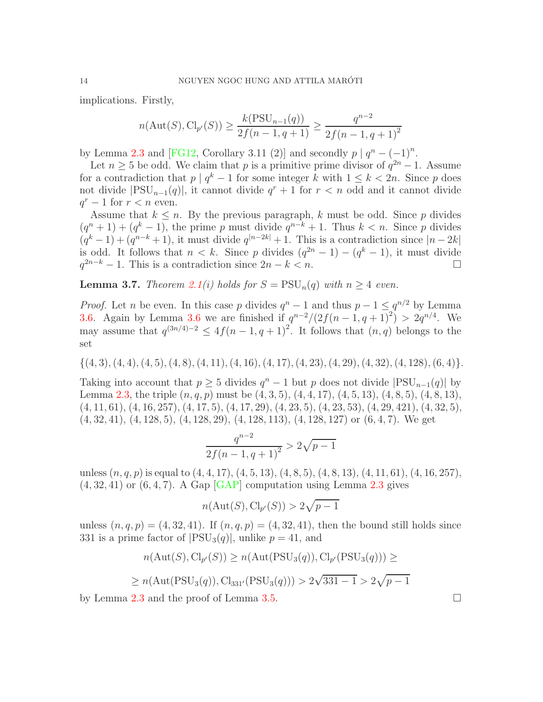implications. Firstly,

$$
n(\text{Aut}(S), \text{Cl}_{p'}(S)) \ge \frac{k(\text{PSU}_{n-1}(q))}{2f(n-1, q+1)} \ge \frac{q^{n-2}}{2f(n-1, q+1)^2}
$$

by Lemma [2.3](#page-4-1) and [\[FG12,](#page-44-7) Corollary 3.11 (2)] and secondly  $p \mid q^n - (-1)^n$ .

Let  $n \geq 5$  be odd. We claim that p is a primitive prime divisor of  $q^{2n} - 1$ . Assume for a contradiction that  $p \mid q^k - 1$  for some integer k with  $1 \leq k < 2n$ . Since p does not divide  $|PSU_{n-1}(q)|$ , it cannot divide  $q^r + 1$  for  $r < n$  odd and it cannot divide  $q^r - 1$  for  $r < n$  even.

Assume that  $k \leq n$ . By the previous paragraph, k must be odd. Since p divides  $(q^n + 1) + (q^k - 1)$ , the prime p must divide  $q^{n-k} + 1$ . Thus  $k < n$ . Since p divides  $(q^k-1) + (q^{n-k}+1)$ , it must divide  $q^{|n-2k|}+1$ . This is a contradiction since  $|n-2k|$ is odd. It follows that  $n < k$ . Since p divides  $(q^{2n} - 1) - (q^k - 1)$ , it must divide  $q^{2n-k} - 1$ . This is a contradiction since  $2n - k < n$ .

**Lemma 3.7.** *Theorem [2.1\(](#page-3-1)i) holds for*  $S = \text{PSU}_n(q)$  *with*  $n > 4$  *even.* 

*Proof.* Let *n* be even. In this case *p* divides  $q^n - 1$  and thus  $p - 1 \leq q^{n/2}$  by Lemma [3.6.](#page-12-0) Again by Lemma [3.6](#page-12-0) we are finished if  $q^{n-2}/(2f(n-1, q+1)^2) > 2q^{n/4}$ . We may assume that  $q^{(3n/4)-2} \leq 4f(n-1, q+1)^2$ . It follows that  $(n, q)$  belongs to the set

 $\{(4, 3), (4, 4), (4, 5), (4, 8), (4, 11), (4, 16), (4, 17), (4, 23), (4, 29), (4, 32), (4, 128), (6, 4)\}.$ 

Taking into account that  $p \geq 5$  divides  $q^n - 1$  but p does not divide  $|PSU_{n-1}(q)|$  by Lemma [2.3,](#page-4-1) the triple  $(n, q, p)$  must be  $(4, 3, 5), (4, 4, 17), (4, 5, 13), (4, 8, 5), (4, 8, 13),$  $(4, 11, 61), (4, 16, 257), (4, 17, 5), (4, 17, 29), (4, 23, 5), (4, 23, 53), (4, 29, 421), (4, 32, 5),$ (4, 32, 41), (4, 128, 5), (4, 128, 29), (4, 128, 113), (4, 128, 127) or (6, 4, 7). We get

$$
\frac{q^{n-2}}{2f(n-1,q+1)^2} > 2\sqrt{p-1}
$$

unless  $(n, q, p)$  is equal to  $(4, 4, 17)$ ,  $(4, 5, 13)$ ,  $(4, 8, 5)$ ,  $(4, 8, 13)$ ,  $(4, 11, 61)$ ,  $(4, 16, 257)$ ,  $(4, 32, 41)$  or  $(6, 4, 7)$ . A Gap [\[GAP\]](#page-44-8) computation using Lemma [2.3](#page-4-1) gives

$$
n(\text{Aut}(S), \text{Cl}_{p'}(S)) > 2\sqrt{p-1}
$$

unless  $(n, q, p) = (4, 32, 41)$ . If  $(n, q, p) = (4, 32, 41)$ , then the bound still holds since 331 is a prime factor of  $|PSU_3(q)|$ , unlike  $p = 41$ , and

$$
n(\text{Aut}(S), \text{Cl}_{p'}(S)) \ge n(\text{Aut}(\text{PSU}_3(q)), \text{Cl}_{p'}(\text{PSU}_3(q))) \ge
$$
  

$$
\ge n(\text{Aut}(\text{PSU}_3(q)), \text{Cl}_{331'}(\text{PSU}_3(q))) > 2\sqrt{331 - 1} > 2\sqrt{p - 1}
$$

by Lemma [2.3](#page-4-1) and the proof of Lemma [3.5.](#page-11-0)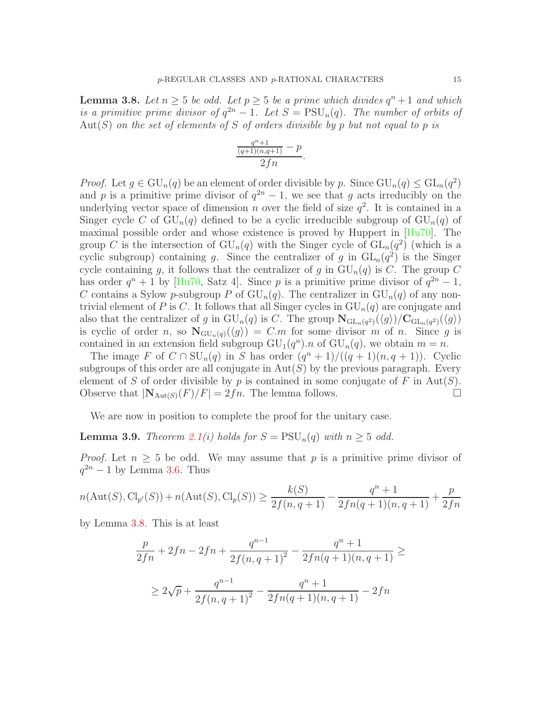<span id="page-14-0"></span>**Lemma 3.8.** Let  $n \geq 5$  be odd. Let  $p \geq 5$  be a prime which divides  $q^n + 1$  and which *is a primitive prime divisor of*  $q^{2n} - 1$ *. Let*  $S = \text{PSU}_n(q)$ *. The number of orbits of* Aut(S) *on the set of elements of* S *of orders divisible by* p *but not equal to* p *is*

$$
\frac{\frac{q^n+1}{(q+1)(n,q+1)}-p}{2fn}.
$$

*Proof.* Let  $g \in \mathrm{GU}_n(q)$  be an element of order divisible by p. Since  $\mathrm{GU}_n(q) \leq \mathrm{GL}_n(q^2)$ and p is a primitive prime divisor of  $q^{2n} - 1$ , we see that g acts irreducibly on the underlying vector space of dimension *n* over the field of size  $q^2$ . It is contained in a Singer cycle C of  $GU_n(q)$  defined to be a cyclic irreducible subgroup of  $GU_n(q)$  of maximal possible order and whose existence is proved by Huppert in [\[Hu70\]](#page-44-10). The group C is the intersection of  $GU_n(q)$  with the Singer cycle of  $GL_n(q^2)$  (which is a cyclic subgroup) containing g. Since the centralizer of g in  $GL_n(q^2)$  is the Singer cycle containing g, it follows that the centralizer of g in  $GU_n(q)$  is C. The group C has order  $q^{n} + 1$  by [\[Hu70,](#page-44-10) Satz 4]. Since p is a primitive prime divisor of  $q^{2n} - 1$ , C contains a Sylow p-subgroup P of  $GU_n(q)$ . The centralizer in  $GU_n(q)$  of any nontrivial element of P is C. It follows that all Singer cycles in  $GU_n(q)$  are conjugate and also that the centralizer of g in  $\mathrm{GU}_{n}(q)$  is C. The group  $\mathbf{N}_{\mathrm{GL}_{n}(q^{2})}(\langle g \rangle)/\mathbf{C}_{\mathrm{GL}_{n}(q^{2})}(\langle g \rangle)$ is cyclic of order n, so  $N_{GU_n(q)}(\langle g \rangle) = C.m$  for some divisor m of n. Since g is contained in an extension field subgroup  $GU_{1}(q^{n}).n$  of  $GU_{n}(q)$ , we obtain  $m = n$ .

The image F of  $C \cap \mathrm{SU}_n(q)$  in S has order  $(q^n + 1)/((q + 1)(n, q + 1))$ . Cyclic subgroups of this order are all conjugate in  $Aut(S)$  by the previous paragraph. Every element of S of order divisible by p is contained in some conjugate of F in  $Aut(S)$ . Observe that  $|\mathbf{N}_{\text{Aut}(S)}(F)/F| = 2fn$ . The lemma follows.

We are now in position to complete the proof for the unitary case.

**Lemma 3.9.** *Theorem [2.1\(](#page-3-1)i) holds for*  $S = \text{PSU}_n(q)$  *with*  $n \geq 5$  *odd.* 

*Proof.* Let  $n \geq 5$  be odd. We may assume that p is a primitive prime divisor of  $q^{2n} - 1$  by Lemma [3.6.](#page-12-0) Thus

$$
n(\text{Aut}(S), \text{Cl}_{p'}(S)) + n(\text{Aut}(S), \text{Cl}_p(S)) \ge \frac{k(S)}{2f(n, q + 1)} - \frac{q^n + 1}{2fn(q + 1)(n, q + 1)} + \frac{p}{2fn}
$$

by Lemma [3.8.](#page-14-0) This is at least

$$
\frac{p}{2fn} + 2fn - 2fn + \frac{q^{n-1}}{2f(n, q+1)^2} - \frac{q^n + 1}{2fn(q+1)(n, q+1)} \ge
$$
  
 
$$
\geq 2\sqrt{p} + \frac{q^{n-1}}{2f(n, q+1)^2} - \frac{q^n + 1}{2fn(q+1)(n, q+1)} - 2fn
$$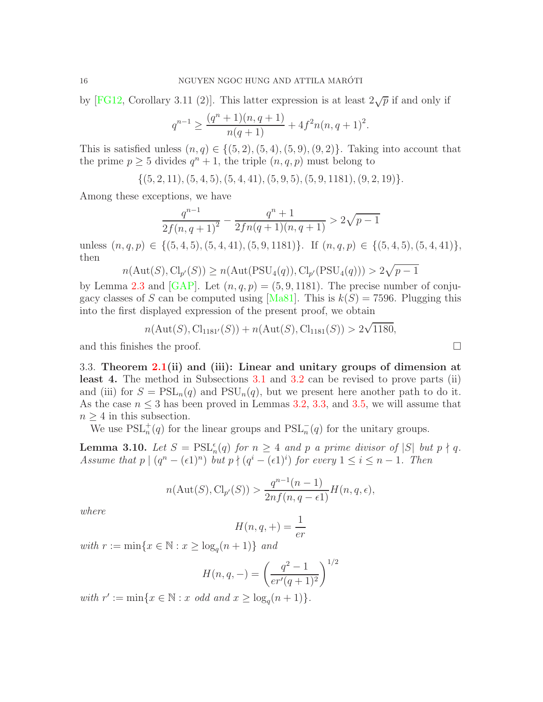by [\[FG12,](#page-44-7) Corollary 3.11 (2)]. This latter expression is at least  $2\sqrt{p}$  if and only if

$$
q^{n-1} \ge \frac{(q^n+1)(n,q+1)}{n(q+1)} + 4f^2 n(n,q+1)^2.
$$

This is satisfied unless  $(n,q) \in \{(5,2), (5,4), (5,9), (9,2)\}.$  Taking into account that the prime  $p \ge 5$  divides  $q^n + 1$ , the triple  $(n, q, p)$  must belong to

 $\{(5, 2, 11), (5, 4, 5), (5, 4, 41), (5, 9, 5), (5, 9, 1181), (9, 2, 19)\}.$ 

Among these exceptions, we have

$$
\frac{q^{n-1}}{2f(n,q+1)^2} - \frac{q^n+1}{2fn(q+1)(n,q+1)} > 2\sqrt{p-1}
$$

unless  $(n, q, p) \in \{(5, 4, 5), (5, 4, 41), (5, 9, 1181)\}.$  If  $(n, q, p) \in \{(5, 4, 5), (5, 4, 41)\}.$ then

$$
n(\mathrm{Aut}(S),\mathrm{Cl}_{p'}(S))\geq n(\mathrm{Aut}(\mathrm{PSU}_4(q)),\mathrm{Cl}_{p'}(\mathrm{PSU}_4(q)))>2\sqrt{p-1}
$$

by Lemma [2.3](#page-4-1) and [\[GAP\]](#page-44-8). Let  $(n, q, p) = (5, 9, 1181)$ . The precise number of conju-gacy classes of S can be computed using [\[Ma81\]](#page-44-11). This is  $k(S) = 7596$ . Plugging this into the first displayed expression of the present proof, we obtain

$$
n(\text{Aut}(S), \text{Cl}_{1181'}(S)) + n(\text{Aut}(S), \text{Cl}_{1181}(S)) > 2\sqrt{1180},
$$

and this finishes the proof.

3.3. Theorem  $2.1$ (ii) and (iii): Linear and unitary groups of dimension at least 4. The method in Subsections [3.1](#page-7-2) and [3.2](#page-11-1) can be revised to prove parts (ii) and (iii) for  $S = \text{PSL}_n(q)$  and  $\text{PSU}_n(q)$ , but we present here another path to do it. As the case  $n \leq 3$  has been proved in Lemmas [3.2,](#page-8-0) [3.3,](#page-9-0) and [3.5,](#page-11-0) we will assume that  $n \geq 4$  in this subsection.

We use  $PSL_n^+(q)$  for the linear groups and  $PSL_n^-(q)$  for the unitary groups.

<span id="page-15-0"></span>**Lemma 3.10.** *Let*  $S = \text{PSL}_{n}^{\epsilon}(q)$  *for*  $n \geq 4$  *and* p *a prime divisor of*  $|S|$  *but*  $p \nmid q$ . *Assume that*  $p \mid (q^n - (\epsilon 1)^n)$  *but*  $p \nmid (q^i - (\epsilon 1)^i)$  *for every*  $1 \le i \le n - 1$ *. Then* 

$$
n(\text{Aut}(S),\text{Cl}_{p'}(S)) > \frac{q^{n-1}(n-1)}{2nf(n,q-\epsilon)}H(n,q,\epsilon),
$$

*where*

$$
H(n,q,+) = \frac{1}{er}
$$

 $with r := min\{x \in \mathbb{N} : x \ge log_q(n+1)\}$  *and* 

$$
H(n,q,-) = \left(\frac{q^2 - 1}{er'(q+1)^2}\right)^{1/2}
$$

*with*  $r' := \min\{x \in \mathbb{N} : x \text{ odd and } x \ge \log_q(n+1)\}.$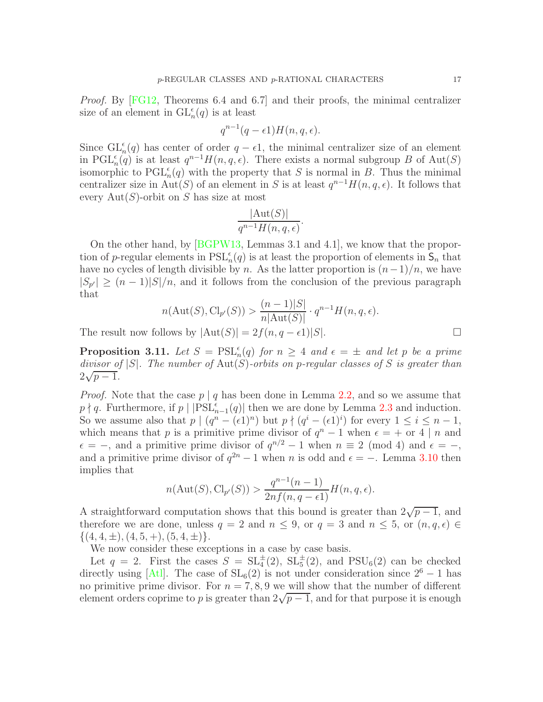*Proof.* By [\[FG12,](#page-44-7) Theorems 6.4 and 6.7] and their proofs, the minimal centralizer size of an element in  $\mathrm{GL}_n^{\epsilon}(q)$  is at least

$$
q^{n-1}(q-\epsilon 1)H(n,q,\epsilon).
$$

Since  $\operatorname{GL}_n^{\epsilon}(q)$  has center of order  $q - \epsilon 1$ , the minimal centralizer size of an element in PGL<sup> $\epsilon$ </sup><sub>n</sub> $(q)$  is at least  $q^{n-1}H(n, q, \epsilon)$ . There exists a normal subgroup B of Aut(S) isomorphic to  $\text{PGL}_n^{\epsilon}(q)$  with the property that S is normal in B. Thus the minimal centralizer size in Aut(S) of an element in S is at least  $q^{n-1}H(n, q, \epsilon)$ . It follows that every  $Aut(S)$ -orbit on S has size at most

$$
\frac{|\mathrm{Aut}(S)|}{q^{n-1}H(n,q,\epsilon)}.
$$

On the other hand, by [\[BGPW13,](#page-43-7) Lemmas 3.1 and 4.1], we know that the proportion of p-regular elements in  $PSL_n^{\epsilon}(q)$  is at least the proportion of elements in  $\mathsf{S}_n$  that have no cycles of length divisible by n. As the latter proportion is  $(n-1)/n$ , we have  $|S_{p'}| \ge (n-1)|S|/n$ , and it follows from the conclusion of the previous paragraph that

$$
n(\text{Aut}(S), \text{Cl}_{p'}(S)) > \frac{(n-1)|S|}{n|\text{Aut}(S)|} \cdot q^{n-1} H(n, q, \epsilon).
$$

The result now follows by  $|\text{Aut}(S)| = 2f(n, q - \epsilon 1)|S|$ .

**Proposition 3.11.** Let  $S = \text{PSL}_{n}^{\epsilon}(q)$  for  $n \geq 4$  and  $\epsilon = \pm$  and let p be a prime *divisor of* |S|*. The number of* Aut(S)*-orbits on* p*-regular classes of* S *is greater than*  $\frac{2\sqrt{p-1}}{p}$ .

*Proof.* Note that the case  $p \mid q$  has been done in Lemma [2.2,](#page-3-2) and so we assume that  $p \nmid q$ . Furthermore, if  $p \mid \left| \text{PSL}_{n-1}^{\epsilon}(q) \right|$  then we are done by Lemma [2.3](#page-4-1) and induction. So we assume also that  $p \mid (q^n - (\epsilon 1)^n)$  but  $p \nmid (q^i - (\epsilon 1)^i)$  for every  $1 \leq i \leq n - 1$ , which means that p is a primitive prime divisor of  $q^{n} - 1$  when  $\epsilon = +$  or 4 | n and  $\epsilon = -$ , and a primitive prime divisor of  $q^{n/2} - 1$  when  $n \equiv 2 \pmod{4}$  and  $\epsilon = -$ , and a primitive prime divisor of  $q^{2n} - 1$  when n is odd and  $\epsilon = -$ . Lemma [3.10](#page-15-0) then implies that

$$
n(\text{Aut}(S),\text{Cl}_{p'}(S)) > \frac{q^{n-1}(n-1)}{2nf(n,q-\epsilon)}H(n,q,\epsilon).
$$

A straightforward computation shows that this bound is greater than  $2\sqrt{p-1}$ , and therefore we are done, unless  $q = 2$  and  $n \leq 9$ , or  $q = 3$  and  $n \leq 5$ , or  $(n, q, \epsilon) \in$  $\{(4, 4, \pm), (4, 5, +), (5, 4, \pm)\}.$ 

We now consider these exceptions in a case by case basis.

Let  $q = 2$ . First the cases  $S = SL_4^{\pm}(2)$ ,  $SL_5^{\pm}(2)$ , and  $PSU_6(2)$  can be checked directly using [\[Atl\]](#page-43-4). The case of  $SL_6(2)$  is not under consideration since  $2^6 - 1$  has no primitive prime divisor. For  $n = 7, 8, 9$  we will show that the number of different element orders coprime to p is greater than  $2\sqrt{p-1}$ , and for that purpose it is enough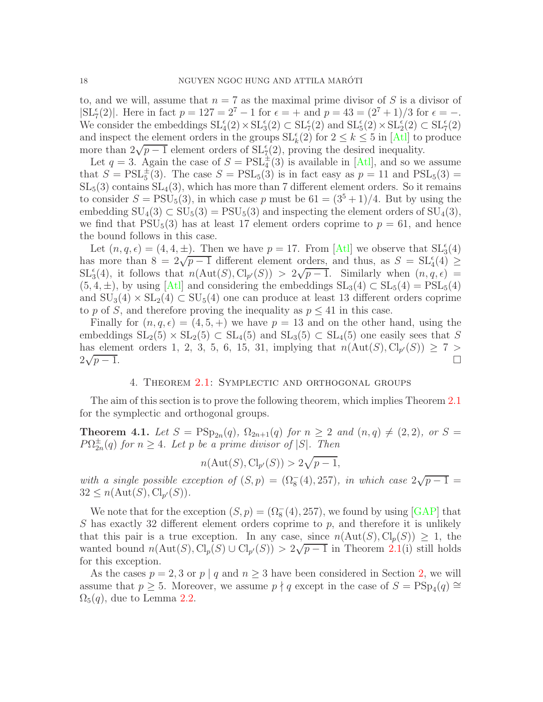to, and we will, assume that  $n = 7$  as the maximal prime divisor of S is a divisor of  $|\text{SL}_7^{\epsilon}(2)|$ . Here in fact  $p = 127 = 2^7 - 1$  for  $\epsilon = +$  and  $p = 43 = (2^7 + 1)/3$  for  $\epsilon = -$ . We consider the embeddings  $SL_4^{\epsilon}(2) \times SL_3^{\epsilon}(2) \subset SL_7^{\epsilon}(2)$  and  $SL_5^{\epsilon}(2) \times SL_2^{\epsilon}(2) \subset SL_7^{\epsilon}(2)$ and inspect the element orders in the groups  $\mathrm{SL}_k^{\epsilon}(2)$  for  $2 \leq k \leq 5$  in [\[Atl\]](#page-43-4) to produce more than  $2\sqrt{p-1}$  element orders of  $SL_7^{\epsilon}(2)$ , proving the desired inequality.

Let  $q = 3$ . Again the case of  $S = \text{PSL}_4^{\pm}(3)$  is available in [\[Atl\]](#page-43-4), and so we assume that  $S = \text{PSL}_5^{\pm}(3)$ . The case  $S = \text{PSL}_5(3)$  is in fact easy as  $p = 11$  and  $\text{PSL}_5(3) =$  $SL_5(3)$  contains  $SL_4(3)$ , which has more than 7 different element orders. So it remains to consider  $S = \text{PSU}_5(3)$ , in which case p must be  $61 = (3^5 + 1)/4$ . But by using the embedding  $SU_4(3) \subset SU_5(3) = PSU_5(3)$  and inspecting the element orders of  $SU_4(3)$ , we find that  $PSU_5(3)$  has at least 17 element orders coprime to  $p = 61$ , and hence the bound follows in this case.

Let  $(n, q, \epsilon) = (4, 4, \pm)$ . Then we have  $p = 17$ . From [\[Atl\]](#page-43-4) we observe that  $SL_3^{\epsilon}(4)$ has more than  $8 = 2\sqrt{p-1}$  different element orders, and thus, as  $S = SL_4^c(4) \ge$  $SL_3^{\epsilon}(4)$ , it follows that  $n(\text{Aut}(S), \text{Cl}_{p'}(S)) > 2\sqrt{p-1}$ . Similarly when  $(n, q, \epsilon) =$  $(5, 4, \pm)$ , by using [\[Atl\]](#page-43-4) and considering the embeddings  $SL_3(4) \subset SL_5(4) = PSL_5(4)$ and  $SU_3(4) \times SL_2(4) \subset SU_5(4)$  one can produce at least 13 different orders coprime to p of S, and therefore proving the inequality as  $p \leq 41$  in this case.

Finally for  $(n, q, \epsilon) = (4, 5, +)$  we have  $p = 13$  and on the other hand, using the embeddings  $SL_2(5) \times SL_2(5) \subset SL_4(5)$  and  $SL_3(5) \subset SL_4(5)$  one easily sees that S has element orders 1, 2, 3, 5, 6, 15, 31, implying that  $n(\text{Aut}(S), \text{Cl}_{p'}(S)) \geq 7 >$  $2\sqrt{ }$  $p-1.$ 

## 4. Theorem [2.1:](#page-3-1) Symplectic and orthogonal groups

<span id="page-17-0"></span>The aim of this section is to prove the following theorem, which implies Theorem [2.1](#page-3-1) for the symplectic and orthogonal groups.

<span id="page-17-1"></span>**Theorem 4.1.** Let  $S = \text{PSp}_{2n}(q)$ ,  $\Omega_{2n+1}(q)$  for  $n \ge 2$  and  $(n,q) \ne (2,2)$ , or  $S =$  $P\Omega_{2n}^{\pm}(q)$  *for*  $n \geq 4$ *. Let* p *be a prime divisor of*  $|S|$ *. Then* 

$$
n(\text{Aut}(S), \text{Cl}_{p'}(S)) > 2\sqrt{p-1},
$$

with a single possible exception of  $(S, p) = (\Omega_8^-(4), 257)$ *, in which case*  $2\sqrt{p-1}$  $32 \leq n(\text{Aut}(S), \text{Cl}_{p'}(S)).$ 

We note that for the exception  $(S, p) = (\Omega_8^-(4), 257)$ , we found by using [\[GAP\]](#page-44-8) that S has exactly 32 different element orders coprime to  $p$ , and therefore it is unlikely that this pair is a true exception. In any case, since  $n(\text{Aut}(S), \text{Cl}_p(S)) \geq 1$ , the wanted bound  $n(\text{Aut}(S), \text{Cl}_p(S) \cup \text{Cl}_{p'}(S)) > 2\sqrt{p-1}$  in Theorem [2.1\(](#page-3-1)i) still holds for this exception.

As the cases  $p = 2, 3$  $p = 2, 3$  $p = 2, 3$  or  $p \mid q$  and  $n \geq 3$  have been considered in Section 2, we will assume that  $p \geq 5$ . Moreover, we assume  $p \nmid q$  except in the case of  $S = \text{PSp}_4(q) \cong$  $\Omega_5(q)$ , due to Lemma [2.2.](#page-3-2)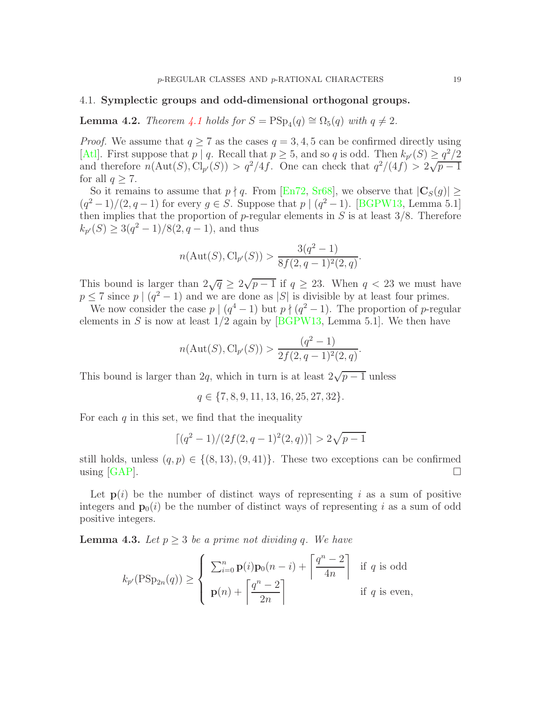#### 4.1. Symplectic groups and odd-dimensional orthogonal groups.

**Lemma 4.2.** *Theorem [4.1](#page-17-1) holds for*  $S = \text{PSp}_4(q) \cong \Omega_5(q)$  *with*  $q \neq 2$ *.* 

*Proof.* We assume that  $q \ge 7$  as the cases  $q = 3, 4, 5$  can be confirmed directly using [\[Atl\]](#page-43-4). First suppose that  $p | q$ . Recall that  $p \ge 5$ , and so q is odd. Then  $k_{p'}(S) \ge \frac{q^2}{2}$ and therefore  $n(\text{Aut}(S), \text{Cl}_{p'}(S)) > q^2/4f$ . One can check that  $q^2/(4f) > 2\sqrt{p-1}$ for all  $q \geq 7$ .

So it remains to assume that  $p \nmid q$ . From [\[En72,](#page-44-12) [Sr68\]](#page-45-5), we observe that  $|\mathbf{C}_S(q)| \ge$  $(q^2-1)/(2, q-1)$  for every  $g \in S$ . Suppose that  $p \mid (q^2-1)$ . [\[BGPW13,](#page-43-7) Lemma 5.1] then implies that the proportion of  $p$ -regular elements in S is at least  $3/8$ . Therefore  $k_{p'}(S) \geq 3(q^2-1)/8(2,q-1)$ , and thus

$$
n(\text{Aut}(S), \text{Cl}_{p'}(S)) > \frac{3(q^2-1)}{8f(2,q-1)^2(2,q)}.
$$

This bound is larger than  $2\sqrt{q} \ge 2\sqrt{p-1}$  if  $q \ge 23$ . When  $q < 23$  we must have  $p \leq 7$  since  $p \mid (q^2 - 1)$  and we are done as  $|S|$  is divisible by at least four primes.

We now consider the case  $p \mid (q^4 - 1)$  but  $p \nmid (q^2 - 1)$ . The proportion of p-regular elements in S is now at least  $1/2$  again by [\[BGPW13,](#page-43-7) Lemma 5.1]. We then have

$$
n(\text{Aut}(S), \text{Cl}_{p'}(S)) > \frac{(q^2 - 1)}{2f(2, q - 1)^2(2, q)}.
$$

This bound is larger than 2q, which in turn is at least  $2\sqrt{p-1}$  unless

$$
q \in \{7, 8, 9, 11, 13, 16, 25, 27, 32\}.
$$

For each  $q$  in this set, we find that the inequality

$$
\lceil (q^2-1)/(2f(2,q-1)^2(2,q)) \rceil > 2\sqrt{p-1}
$$

still holds, unless  $(q, p) \in \{(8, 13), (9, 41)\}$ . These two exceptions can be confirmed using [GAP]. using [\[GAP\]](#page-44-8).

Let  $p(i)$  be the number of distinct ways of representing i as a sum of positive integers and  $\mathbf{p}_0(i)$  be the number of distinct ways of representing i as a sum of odd positive integers.

<span id="page-18-0"></span>**Lemma 4.3.** Let  $p \geq 3$  be a prime not dividing q. We have

$$
k_{p'}(\text{PSp}_{2n}(q)) \ge \begin{cases} \sum_{i=0}^{n} \mathbf{p}(i)\mathbf{p}_0(n-i) + \left\lceil \frac{q^n - 2}{4n} \right\rceil & \text{if } q \text{ is odd} \\ \mathbf{p}(n) + \left\lceil \frac{q^n - 2}{2n} \right\rceil & \text{if } q \text{ is even,} \end{cases}
$$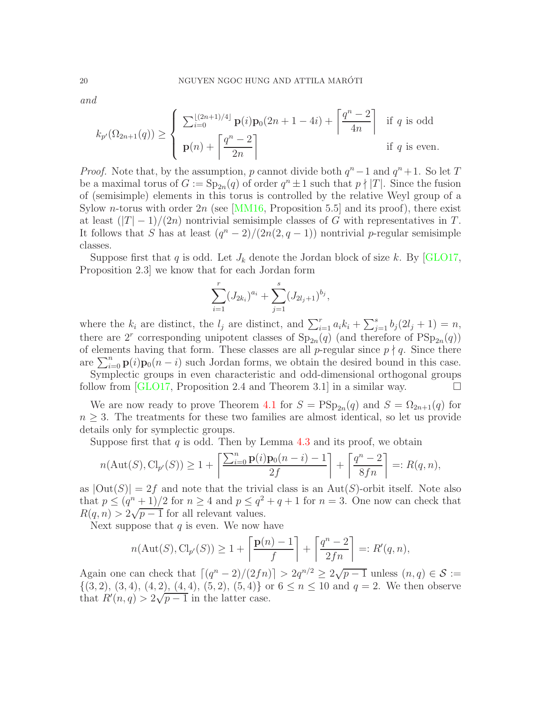*and*

$$
k_{p'}(\Omega_{2n+1}(q)) \ge \left\{\begin{array}{ll} \sum_{i=0}^{\lfloor (2n+1)/4 \rfloor} \mathbf{p}(i)\mathbf{p}_0(2n+1-4i) + \left\lceil \frac{q^n-2}{4n} \right\rceil & \text{if } q \text{ is odd} \\ \mathbf{p}(n) + \left\lceil \frac{q^n-2}{2n} \right\rceil & \text{if } q \text{ is even.} \end{array}\right.
$$

*Proof.* Note that, by the assumption, p cannot divide both  $q^n - 1$  and  $q^n + 1$ . So let T be a maximal torus of  $G := \text{Sp}_{2n}(q)$  of order  $q^n \pm 1$  such that  $p \nmid |T|$ . Since the fusion of (semisimple) elements in this torus is controlled by the relative Weyl group of a Sylow *n*-torus with order  $2n$  (see [\[MM16,](#page-45-6) Proposition 5.5] and its proof), there exist at least  $(|T|-1)/(2n)$  nontrivial semisimple classes of G with representatives in T. It follows that S has at least  $(q^{n} - 2)/(2n(2, q - 1))$  nontrivial p-regular semisimple classes.

Suppose first that q is odd. Let  $J_k$  denote the Jordan block of size k. By [\[GLO17,](#page-44-13) Proposition 2.3] we know that for each Jordan form

$$
\sum_{i=1}^r (J_{2k_i})^{a_i} + \sum_{j=1}^s (J_{2l_j+1})^{b_j},
$$

where the  $k_i$  are distinct, the  $l_j$  are distinct, and  $\sum_{i=1}^r a_i k_i + \sum_{j=1}^s b_j (2l_j + 1) = n$ , there are 2<sup>*r*</sup> corresponding unipotent classes of  $Sp_{2n}(q)$  (and therefore of  $PSp_{2n}(q)$ ) of elements having that form. These classes are all p-regular since  $p \nmid q$ . Since there are  $\sum_{i=0}^{n} \mathbf{p}(i)\mathbf{p}_0(n-i)$  such Jordan forms, we obtain the desired bound in this case.

Symplectic groups in even characteristic and odd-dimensional orthogonal groups follow from  $[GLO17,$  Proposition 2.4 and Theorem 3.1 in a similar way.  $\square$ 

We are now ready to prove Theorem [4.1](#page-17-1) for  $S = \text{PSp}_{2n}(q)$  and  $S = \Omega_{2n+1}(q)$  for  $n \geq 3$ . The treatments for these two families are almost identical, so let us provide details only for symplectic groups.

Suppose first that  $q$  is odd. Then by Lemma [4.3](#page-18-0) and its proof, we obtain

$$
n(\mathrm{Aut}(S),\mathrm{Cl}_{p'}(S)) \ge 1 + \left\lceil \frac{\sum_{i=0}^{n} \mathbf{p}(i)\mathbf{p}_0(n-i)-1}{2f} \right\rceil + \left\lceil \frac{q^n-2}{8fn} \right\rceil =: R(q,n),
$$

as  $|\text{Out}(S)| = 2f$  and note that the trivial class is an Aut(S)-orbit itself. Note also that  $p \le (q^n + 1)/2$  for  $n \ge 4$  and  $p \le q^2 + q + 1$  for  $n = 3$ . One now can check that  $R(q, n) > 2\sqrt{p-1}$  for all relevant values.

Next suppose that  $q$  is even. We now have

$$
n(\text{Aut}(S), \text{Cl}_{p'}(S)) \ge 1 + \left\lceil \frac{\mathbf{p}(n) - 1}{f} \right\rceil + \left\lceil \frac{q^n - 2}{2fn} \right\rceil =: R'(q, n),
$$

Again one can check that  $\lceil (q^n-2)/(2fn) \rceil > 2q^{n/2} \ge 2\sqrt{p-1}$  unless  $(n, q) \in S :=$  $\{(3, 2), (3, 4), (4, 2), (4, 4), (5, 2), (5, 4)\}\text{ or } 6 \leq n \leq 10 \text{ and } q = 2.$  We then observe that  $R'(n,q) > 2\sqrt{p-1}$  in the latter case.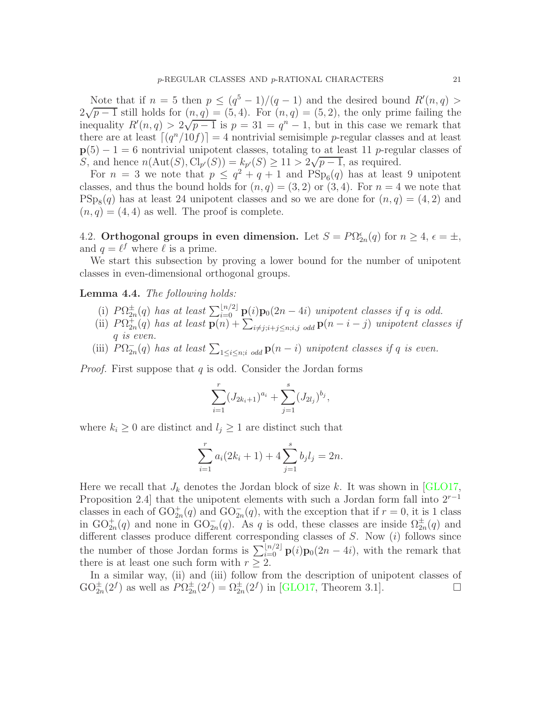Note that if  $n = 5$  then  $p \leq (q^5 - 1)/(q - 1)$  and the desired bound  $R'(n, q)$  $2\sqrt{p-1}$  still holds for  $(n,q) = (5,4)$ . For  $(n,q) = (5,2)$ , the only prime failing the inequality  $R'(n, q) > 2\sqrt{p-1}$  is  $p = 31 = q<sup>n</sup> - 1$ , but in this case we remark that there are at least  $\lceil (q^n/10f) \rceil = 4$  nontrivial semisimple p-regular classes and at least  $p(5) - 1 = 6$  nontrivial unipotent classes, totaling to at least 11 p-regular classes of S, and hence  $n(\text{Aut}(S), \text{Cl}_{p'}(S)) = k_{p'}(S) \ge 11 > 2\sqrt{p-1}$ , as required.

For  $n = 3$  we note that  $p \leq q^2 + q + 1$  and  $PSp_6(q)$  has at least 9 unipotent classes, and thus the bound holds for  $(n, q) = (3, 2)$  or  $(3, 4)$ . For  $n = 4$  we note that  $\text{PSp}_8(q)$  has at least 24 unipotent classes and so we are done for  $(n,q) = (4,2)$  and  $(n, q) = (4, 4)$  as well. The proof is complete.

<span id="page-20-1"></span>4.2. Orthogonal groups in even dimension. Let  $S = P\Omega_{2n}^{\epsilon}(q)$  for  $n \geq 4$ ,  $\epsilon = \pm$ , and  $q = \ell^f$  where  $\ell$  is a prime.

We start this subsection by proving a lower bound for the number of unipotent classes in even-dimensional orthogonal groups.

<span id="page-20-0"></span>Lemma 4.4. *The following holds:*

- (i)  $P\Omega_{2n}^{\pm}(q)$  has at least  $\sum_{i=0}^{\lfloor n/2 \rfloor} \mathbf{p}(i)\mathbf{p}_0(2n-4i)$  *unipotent classes if* q *is odd.*
- (ii)  $P\Omega_{2n}^{+}(q)$  has at least  $\overline{\mathbf{p}(n)} + \sum_{i \neq j; i+j \leq n; i,j \text{ odd}} \mathbf{p}(n-i-j)$  unipotent classes if q *is even.*
- (iii)  $P\Omega_{2n}^-(q)$  has at least  $\sum_{1 \leq i \leq n; i \text{ odd}} \mathbf{p}(n-i)$  *unipotent classes if* q *is even.*

*Proof.* First suppose that q is odd. Consider the Jordan forms

$$
\sum_{i=1}^r (J_{2k_i+1})^{a_i} + \sum_{j=1}^s (J_{2l_j})^{b_j},
$$

where  $k_i \geq 0$  are distinct and  $l_j \geq 1$  are distinct such that

$$
\sum_{i=1}^{r} a_i (2k_i + 1) + 4 \sum_{j=1}^{s} b_j l_j = 2n.
$$

Here we recall that  $J_k$  denotes the Jordan block of size k. It was shown in [\[GLO17,](#page-44-13) Proposition 2.4] that the unipotent elements with such a Jordan form fall into  $2^{r-1}$ classes in each of  $\mathrm{GO}_{2n}^+(q)$  and  $\mathrm{GO}_{2n}^-(q)$ , with the exception that if  $r=0$ , it is 1 class in  $GO_{2n}^+(q)$  and none in  $GO_{2n}^-(q)$ . As q is odd, these classes are inside  $\Omega_{2n}^+(q)$  and different classes produce different corresponding classes of  $S$ . Now  $(i)$  follows since the number of those Jordan forms is  $\sum_{i=0}^{\lfloor n/2 \rfloor} \mathbf{p}(i) \mathbf{p}_0(2n-4i)$ , with the remark that there is at least one such form with  $r \geq 2$ .

In a similar way, (ii) and (iii) follow from the description of unipotent classes of  $GO_{2n}^{\pm}(2^f)$  as well as  $P\Omega_{2n}^{\pm}(2^f) = \Omega_{2n}^{\pm}(2^f)$  in [\[GLO17,](#page-44-13) Theorem 3.1].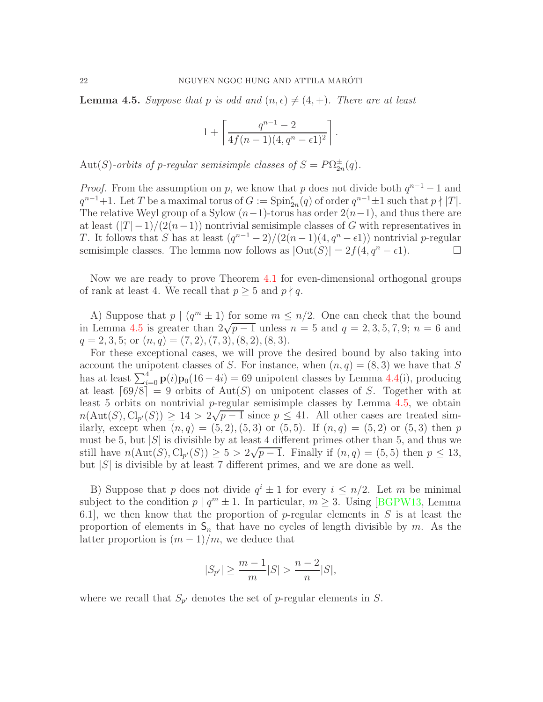<span id="page-21-0"></span>**Lemma 4.5.** Suppose that p is odd and  $(n, \epsilon) \neq (4, +)$ . There are at least

$$
1 + \left\lceil \frac{q^{n-1} - 2}{4f(n-1)(4, q^n - \epsilon 1)^2} \right\rceil.
$$

 $Aut(S)$ -orbits of p-regular semisimple classes of  $S = P\Omega_{2n}^{\pm}(q)$ .

*Proof.* From the assumption on p, we know that p does not divide both  $q^{n-1} - 1$  and  $q^{n-1}+1$ . Let T be a maximal torus of  $G := \mathrm{Spin}_{2n}^{\epsilon}(q)$  of order  $q^{n-1} \pm 1$  such that  $p \nmid |T|$ . The relative Weyl group of a Sylow  $(n-1)$ -torus has order  $2(n-1)$ , and thus there are at least  $(|T|-1)/(2(n-1))$  nontrivial semisimple classes of G with representatives in T. It follows that S has at least  $(q^{n-1}-2)/(2(n-1)(4,q^n-6))$  nontrivial p-regular semisimple classes. The lemma now follows as  $|\text{Out}(S)| = 2f(4, q^n - \epsilon 1)$ .

Now we are ready to prove Theorem [4.1](#page-17-1) for even-dimensional orthogonal groups of rank at least 4. We recall that  $p \geq 5$  and  $p \nmid q$ .

A) Suppose that  $p \mid (q^m \pm 1)$  for some  $m \leq n/2$ . One can check that the bound in Lemma [4.5](#page-21-0) is greater than  $2\sqrt{p-1}$  unless  $n = 5$  and  $q = 2, 3, 5, 7, 9$ ;  $n = 6$  and  $q = 2, 3, 5;$  or  $(n, q) = (7, 2), (7, 3), (8, 2), (8, 3).$ 

For these exceptional cases, we will prove the desired bound by also taking into account the unipotent classes of S. For instance, when  $(n, q) = (8, 3)$  we have that S has at least  $\sum_{i=0}^{4} \mathbf{p}(i) \mathbf{p}_0(16-4i) = 69$  unipotent classes by Lemma [4.4\(](#page-20-0)i), producing at least  $\lceil 69/8 \rceil = 9$  orbits of Aut(S) on unipotent classes of S. Together with at least 5 orbits on nontrivial p-regular semisimple classes by Lemma  $4.5$ , we obtain  $n(\text{Aut}(S), \text{Cl}_{p'}(S)) \ge 14 > 2\sqrt{p-1}$  since  $p \le 41$ . All other cases are treated similarly, except when  $(n, q) = (5, 2), (5, 3)$  or  $(5, 5)$ . If  $(n, q) = (5, 2)$  or  $(5, 3)$  then p must be 5, but  $|S|$  is divisible by at least 4 different primes other than 5, and thus we still have  $n(\text{Aut}(S), \text{Cl}_{p'}(S)) \ge 5 > 2\sqrt{p-1}$ . Finally if  $(n, q) = (5, 5)$  then  $p \le 13$ , but  $|S|$  is divisible by at least 7 different primes, and we are done as well.

B) Suppose that p does not divide  $q^i \pm 1$  for every  $i \leq n/2$ . Let m be minimal subject to the condition  $p \mid q^m \pm 1$ . In particular,  $m \geq 3$ . Using [\[BGPW13,](#page-43-7) Lemma 6.1, we then know that the proportion of p-regular elements in  $S$  is at least the proportion of elements in  $S_n$  that have no cycles of length divisible by m. As the latter proportion is  $(m-1)/m$ , we deduce that

$$
|S_{p'}| \ge \frac{m-1}{m}|S| > \frac{n-2}{n}|S|,
$$

where we recall that  $S_{p'}$  denotes the set of p-regular elements in S.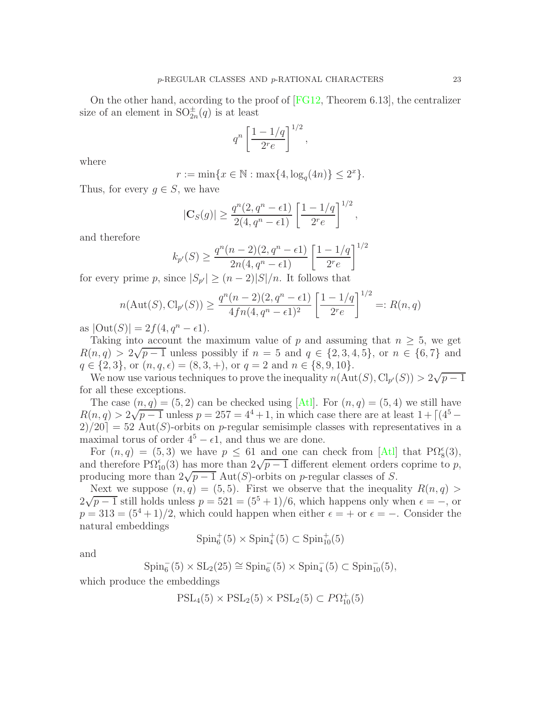On the other hand, according to the proof of  $|FG12,$  Theorem 6.13, the centralizer size of an element in  $SO^{\pm}_{2n}(q)$  is at least

$$
q^n \left[ \frac{1 - 1/q}{2^r e} \right]^{1/2},
$$

where

$$
r := \min\{x \in \mathbb{N} : \max\{4, \log_q(4n)\} \le 2^x\}.
$$

Thus, for every  $g \in S$ , we have

$$
|\mathbf{C}_S(g)| \ge \frac{q^n(2, q^n - \epsilon 1)}{2(4, q^n - \epsilon 1)} \left[\frac{1 - 1/q}{2^r e}\right]^{1/2},
$$

and therefore

$$
k_{p'}(S) \ge \frac{q^n(n-2)(2, q^n - \epsilon)}{2n(4, q^n - \epsilon)} \left[\frac{1 - 1/q}{2^r e}\right]^{1/2}
$$

for every prime p, since  $|S_{p'}| \ge (n-2)|S|/n$ . It follows that

$$
n(\text{Aut}(S), \text{Cl}_{p'}(S)) \ge \frac{q^n(n-2)(2, q^n - \epsilon)}{4fn(4, q^n - \epsilon)} \left[ \frac{1 - 1/q}{2^r e} \right]^{1/2} =: R(n, q)
$$

as  $|\text{Out}(S)| = 2f(4, q^n - \epsilon 1).$ 

Taking into account the maximum value of p and assuming that  $n \geq 5$ , we get  $R(n,q) > 2\sqrt{p-1}$  unless possibly if  $n = 5$  and  $q \in \{2, 3, 4, 5\}$ , or  $n \in \{6, 7\}$  and  $q \in \{2, 3\}$ , or  $(n, q, \epsilon) = (8, 3, +)$ , or  $q = 2$  and  $n \in \{8, 9, 10\}$ .

We now use various techniques to prove the inequality  $n(\text{Aut}(S), \text{Cl}_{p'}(S)) > 2\sqrt{p-1}$ for all these exceptions.

The case  $(n, q) = (5, 2)$  can be checked using [\[Atl\]](#page-43-4). For  $(n, q) = (5, 4)$  we still have  $R(n,q) > 2\sqrt{p-1}$  unless  $p = 257 = 4^4 + 1$ , in which case there are at least  $1 + \lceil (4^5 2/20$  = 52 Aut(S)-orbits on p-regular semisimple classes with representatives in a maximal torus of order  $4^5 - \epsilon 1$ , and thus we are done.

For  $(n, q) = (5, 3)$  we have  $p \le 61$  and one can check from [\[Atl\]](#page-43-4) that  $\text{P}\Omega_8^{\epsilon}(3)$ , and therefore  $\widehat{P}\Omega_{10}^{(\epsilon)}(3)$  has more than  $2\sqrt{p-1}$  different element orders coprime to p, producing more than  $2\sqrt{p-1}$  Aut(S)-orbits on p-regular classes of S.

Next we suppose  $(n, q) = (5, 5)$ . First we observe that the inequality  $R(n, q)$  $2\sqrt{p-1}$  still holds unless  $p = 521 = (5^5 + 1)/6$ , which happens only when  $\epsilon = -$ , or  $p = 313 = (5^4 + 1)/2$ , which could happen when either  $\epsilon = +$  or  $\epsilon = -$ . Consider the natural embeddings

 $Spin_6^+(5) \times Spin_4^+(5) \subset Spin_{10}^+(5)$ 

and

 $\text{Spin}_{6}^{-}(5) \times \text{SL}_{2}(25) \cong \text{Spin}_{6}^{-}(5) \times \text{Spin}_{4}^{-}(5) \subset \text{Spin}_{10}^{-}(5),$ 

which produce the embeddings

$$
PSL_4(5) \times PSL_2(5) \times PSL_2(5) \subset P\Omega_{10}^+(5)
$$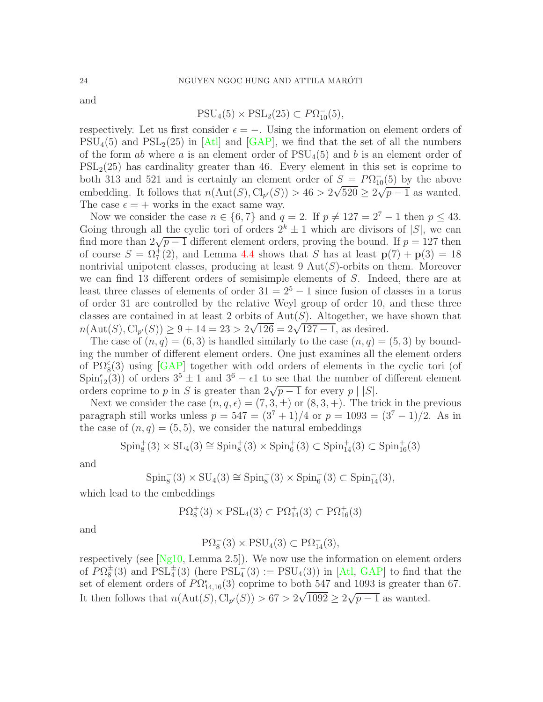and

$$
PSU_4(5) \times PSL_2(25) \subset P\Omega_{10}^{-}(5),
$$

respectively. Let us first consider  $\epsilon = -$ . Using the information on element orders of  $PSU_4(5)$  and  $PSL_2(25)$  in [\[Atl\]](#page-43-4) and [\[GAP\]](#page-44-8), we find that the set of all the numbers of the form ab where a is an element order of  $PSU<sub>4</sub>(5)$  and b is an element order of  $PSL<sub>2</sub>(25)$  has cardinality greater than 46. Every element in this set is coprime to both 313 and 521 and is certainly an element order of  $S = P\Omega_{10}^{-}(5)$  by the above embedding. It follows that  $n(\text{Aut}(S), \text{Cl}_{p'}(S)) > 46 > 2\sqrt{520} \geq 2\sqrt{p-1}$  as wanted. The case  $\epsilon = +$  works in the exact same way.

Now we consider the case  $n \in \{6, 7\}$  and  $q = 2$ . If  $p \neq 127 = 2^7 - 1$  then  $p \leq 43$ . Going through all the cyclic tori of orders  $2^k \pm 1$  which are divisors of |S|, we can find more than  $2\sqrt{p-1}$  different element orders, proving the bound. If  $p = 127$  then of course  $S = \Omega_7^+(2)$ , and Lemma [4.4](#page-20-0) shows that S has at least  $p(7) + p(3) = 18$ nontrivial unipotent classes, producing at least  $9 \text{ Aut}(S)$ -orbits on them. Moreover we can find 13 different orders of semisimple elements of S. Indeed, there are at least three classes of elements of order  $31 = 2^5 - 1$  since fusion of classes in a torus of order 31 are controlled by the relative Weyl group of order 10, and these three classes are contained in at least 2 orbits of  $Aut(S)$ . Altogether, we have shown that  $n(\text{Aut}(S), \text{Cl}_{p'}(S)) \geq 9 + 14 = 23 > 2\sqrt{126} = 2\sqrt{127 - 1}$ , as desired.

The case of  $(n, q) = (6, 3)$  is handled similarly to the case  $(n, q) = (5, 3)$  by bounding the number of different element orders. One just examines all the element orders of  $\text{P}\Omega_8^{\epsilon}(3)$  using [\[GAP\]](#page-44-8) together with odd orders of elements in the cyclic tori (of  $Spin_{12}^{\epsilon}(3)$  of orders  $3^{5} \pm 1$  and  $3^{6} - \epsilon 1$  to see that the number of different element orders coprime to p in S is greater than  $2\sqrt{p-1}$  for every p | |S|.

Next we consider the case  $(n, q, \epsilon) = (7, 3, \pm)$  or  $(8, 3, +)$ . The trick in the previous paragraph still works unless  $p = 547 = (3^7 + 1)/4$  or  $p = 1093 = (3^7 - 1)/2$ . As in the case of  $(n, q) = (5, 5)$ , we consider the natural embeddings

$$
Spin_8^+(3) \times SL_4(3) \cong Spin_8^+(3) \times Spin_6^+(3) \subset Spin_{14}^+(3) \subset Spin_{16}^+(3)
$$

and

$$
\operatorname{Spin}_8^-(3) \times \operatorname{SU}_4(3) \cong \operatorname{Spin}_8^-(3) \times \operatorname{Spin}_6^-(3) \subset \operatorname{Spin}_{14}^-(3),
$$

which lead to the embeddings

$$
P\Omega_8^+(3) \times PSL_4(3) \subset P\Omega_{14}^+(3) \subset P\Omega_{16}^+(3)
$$

and

$$
P\Omega_8^-(3) \times PSU_4(3) \subset P\Omega_{14}^-(3),
$$

respectively (see [\[Ng10,](#page-45-7) Lemma 2.5]). We now use the information on element orders of  $P\Omega_8^{\pm}(3)$  and  $PSL_4^{\pm}(3)$  (here  $PSL_4^{\pm}(3) := PSU_4(3)$ ) in [\[Atl,](#page-43-4) [GAP\]](#page-44-8) to find that the set of element orders of  $P\Omega_{14,16}^{\epsilon}(3)$  coprime to both 547 and 1093 is greater than 67. It then follows that  $n(\text{Aut}(S), \text{Cl}_{p'}(S)) > 67 > 2\sqrt{1092} \ge 2\sqrt{p-1}$  as wanted.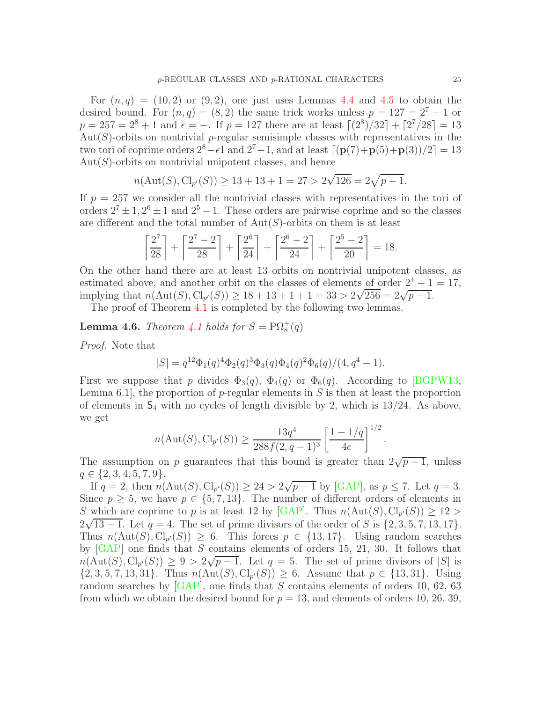For  $(n, q) = (10, 2)$  or  $(9, 2)$ , one just uses Lemmas [4.4](#page-20-0) and [4.5](#page-21-0) to obtain the desired bound. For  $(n, q) = (8, 2)$  the same trick works unless  $p = 127 = 2^7 - 1$  or  $p = 257 = 2^8 + 1$  and  $\epsilon = -.$  If  $p = 127$  there are at least  $\lceil (2^8)/32 \rceil + \lceil 2^7/28 \rceil = 13$  $Aut(S)$ -orbits on nontrivial p-regular semisimple classes with representatives in the two tori of coprime orders  $2^8 - \epsilon 1$  and  $2^7 + 1$ , and at least  $\lceil (\mathbf{p}(7) + \mathbf{p}(5) + \mathbf{p}(3))/2 \rceil = 13$  $Aut(S)$ -orbits on nontrivial unipotent classes, and hence

$$
n(\text{Aut}(S), \text{Cl}_{p'}(S)) \ge 13 + 13 + 1 = 27 > 2\sqrt{126} = 2\sqrt{p-1}.
$$

If  $p = 257$  we consider all the nontrivial classes with representatives in the tori of orders  $2^7 \pm 1$ ,  $2^6 \pm 1$  and  $2^5 - 1$ . These orders are pairwise coprime and so the classes are different and the total number of  $Aut(S)$ -orbits on them is at least

$$
\left\lceil \frac{2^7}{28} \right\rceil + \left\lceil \frac{2^7 - 2}{28} \right\rceil + \left\lceil \frac{2^6}{24} \right\rceil + \left\lceil \frac{2^6 - 2}{24} \right\rceil + \left\lceil \frac{2^5 - 2}{20} \right\rceil = 18.
$$

On the other hand there are at least 13 orbits on nontrivial unipotent classes, as estimated above, and another orbit on the classes of elements of order  $2^4 + 1 = 17$ , implying that  $n(\text{Aut}(S), \text{Cl}_{p'}(S)) \ge 18 + 13 + 1 + 1 = 33 > 2\sqrt{256} = 2\sqrt{p-1}$ .

The proof of Theorem [4.1](#page-17-1) is completed by the following two lemmas.

<span id="page-24-0"></span>**Lemma 4.6.** *Theorem [4.1](#page-17-1) holds for*  $S = \text{P}\Omega_8^+(q)$ 

*Proof.* Note that

$$
|S| = q^{12} \Phi_1(q)^4 \Phi_2(q)^3 \Phi_3(q) \Phi_4(q)^2 \Phi_6(q)/(4, q^4 - 1).
$$

First we suppose that p divides  $\Phi_3(q)$ ,  $\Phi_4(q)$  or  $\Phi_6(q)$ . According to [\[BGPW13,](#page-43-7) Lemma 6.1, the proportion of  $p$ -regular elements in  $S$  is then at least the proportion of elements in  $S_4$  with no cycles of length divisible by 2, which is 13/24. As above, we get

$$
n(\text{Aut}(S), \text{Cl}_{p'}(S)) \ge \frac{13q^4}{288f(2, q-1)^3} \left[ \frac{1-1/q}{4e} \right]^{1/2}.
$$

The assumption on p guarantees that this bound is greater than  $2\sqrt{p-1}$ , unless  $q \in \{2, 3, 4, 5, 7, 9\}.$ 

If  $q = 2$ , then  $n(\text{Aut}(S), \text{Cl}_{p'}(S)) \geq 24 > 2\sqrt{p-1}$  by [\[GAP\]](#page-44-8), as  $p \leq 7$ . Let  $q = 3$ . Since  $p \geq 5$ , we have  $p \in \{5, 7, 13\}$ . The number of different orders of elements in S which are coprime to p is at least 12 by [\[GAP\]](#page-44-8). Thus  $n(\text{Aut}(S), \text{Cl}_{p'}(S)) \geq 12 >$  $2\sqrt{13-1}$ . Let  $q = 4$ . The set of prime divisors of the order of S is  $\{2, 3, 5, 7, 13, 17\}$ . Thus  $n(\text{Aut}(S), \text{Cl}_{p'}(S)) \geq 6$ . This forces  $p \in \{13, 17\}$ . Using random searches by  $[GAP]$  one finds that S contains elements of orders 15, 21, 30. It follows that  $n(\text{Aut}(S), \text{Cl}_{p'}(S)) \geq 9 > 2\sqrt{p-1}$ . Let  $q = 5$ . The set of prime divisors of |S| is  $\{2, 3, 5, 7, 13, 31\}.$  Thus  $n(\text{Aut}(S), \text{Cl}_{p'}(S)) \geq 6.$  Assume that  $p \in \{13, 31\}.$  Using random searches by  $[GAP]$ , one finds that S contains elements of orders 10, 62, 63 from which we obtain the desired bound for  $p = 13$ , and elements of orders 10, 26, 39,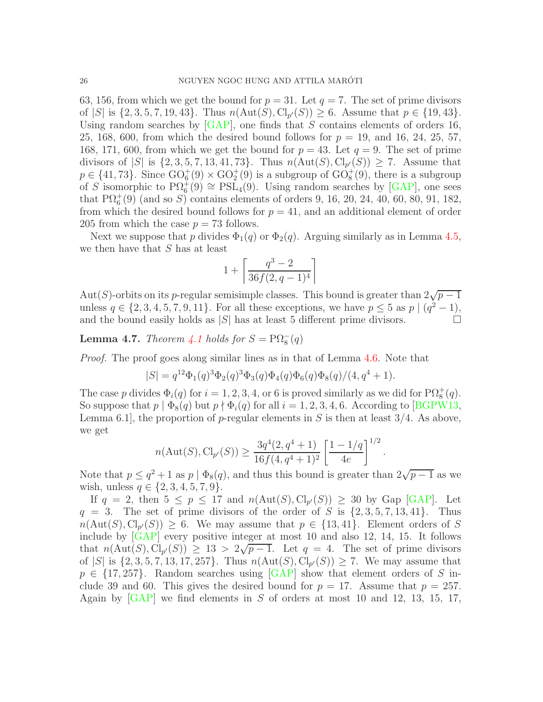63, 156, from which we get the bound for  $p = 31$ . Let  $q = 7$ . The set of prime divisors of |S| is  $\{2, 3, 5, 7, 19, 43\}$ . Thus  $n(\text{Aut}(S), \text{Cl}_{p'}(S)) \ge 6$ . Assume that  $p \in \{19, 43\}$ . Using random searches by  $\overline{[GAP]}$ , one finds that S contains elements of orders 16, 25, 168, 600, from which the desired bound follows for  $p = 19$ , and 16, 24, 25, 57, 168, 171, 600, from which we get the bound for  $p = 43$ . Let  $q = 9$ . The set of prime divisors of  $|S|$  is  $\{2, 3, 5, 7, 13, 41, 73\}$ . Thus  $n(\text{Aut}(S), \text{Cl}_{p'}(S)) \geq 7$ . Assume that  $p \in \{41, 73\}$ . Since  $\text{GO}_{6}^{+}(9) \times \text{GO}_{2}^{+}(9)$  is a subgroup of  $\text{GO}_{8}^{+}(9)$ , there is a subgroup of S isomorphic to  $\text{P}\Omega_6^+(9) \cong \text{PSL}_4(9)$ . Using random searches by [\[GAP\]](#page-44-8), one sees that  $\mathrm{P}\Omega_6^+(9)$  (and so S) contains elements of orders 9, 16, 20, 24, 40, 60, 80, 91, 182, from which the desired bound follows for  $p = 41$ , and an additional element of order 205 from which the case  $p = 73$  follows.

Next we suppose that p divides  $\Phi_1(q)$  or  $\Phi_2(q)$ . Arguing similarly as in Lemma [4.5,](#page-21-0) we then have that  $S$  has at least

$$
1+\left\lceil \frac{q^3-2}{36f(2,q-1)^4} \right\rceil
$$

Aut(S)-orbits on its p-regular semisimple classes. This bound is greater than  $2\sqrt{p-1}$ unless  $q \in \{2, 3, 4, 5, 7, 9, 11\}$ . For all these exceptions, we have  $p \leq 5$  as  $p \mid (q^2 - 1)$ , and the bound easily holds as  $|S|$  has at least 5 different prime divisors.

<span id="page-25-0"></span>**Lemma 4.7.** *Theorem [4.1](#page-17-1) holds for*  $S = \text{P}\Omega_8^-(q)$ 

*Proof.* The proof goes along similar lines as in that of Lemma [4.6.](#page-24-0) Note that

$$
|S| = q^{12} \Phi_1(q)^3 \Phi_2(q)^3 \Phi_3(q) \Phi_4(q) \Phi_6(q) \Phi_8(q) / (4, q^4 + 1).
$$

The case p divides  $\Phi_i(q)$  for  $i = 1, 2, 3, 4$ , or 6 is proved similarly as we did for  $\text{P}\Omega_8^+(q)$ . So suppose that  $p | \Phi_8(q)$  but  $p \nmid \Phi_i(q)$  for all  $i = 1, 2, 3, 4, 6$ . According to [\[BGPW13,](#page-43-7) Lemma 6.1, the proportion of p-regular elements in S is then at least  $3/4$ . As above, we get

$$
n(\text{Aut}(S), \text{Cl}_{p'}(S)) \ge \frac{3q^4(2, q^4 + 1)}{16f(4, q^4 + 1)^2} \left[\frac{1 - 1/q}{4e}\right]^{1/2}
$$

.

Note that  $p \leq q^2 + 1$  as  $p | \Phi_8(q)$ , and thus this bound is greater than  $2\sqrt{p-1}$  as we wish, unless  $q \in \{2, 3, 4, 5, 7, 9\}.$ 

If  $q = 2$ , then  $5 \leq p \leq 17$  and  $n(\text{Aut}(S), \text{Cl}_{p'}(S)) \geq 30$  by Gap [\[GAP\]](#page-44-8). Let  $q = 3$ . The set of prime divisors of the order of S is  $\{2, 3, 5, 7, 13, 41\}$ . Thus  $n(\text{Aut}(S), \text{Cl}_{p'}(S)) \geq 6$ . We may assume that  $p \in \{13, 41\}$ . Element orders of S include by [\[GAP\]](#page-44-8) every positive integer at most 10 and also 12, 14, 15. It follows that  $n(\text{Aut}(S), \text{Cl}_{p'}(S)) \geq 13 > 2\sqrt{p-1}$ . Let  $q = 4$ . The set of prime divisors of  $|S|$  is  $\{2, 3, 5, 7, 13, 17, 257\}$ . Thus  $n(\text{Aut}(S), \text{Cl}_{p'}(S)) \geq 7$ . We may assume that  $p \in \{17, 257\}$ . Random searches using  $\lbrack \text{GAP} \rbrack$  show that element orders of S include 39 and 60. This gives the desired bound for  $p = 17$ . Assume that  $p = 257$ . Again by  $[GAP]$  we find elements in S of orders at most 10 and 12, 13, 15, 17,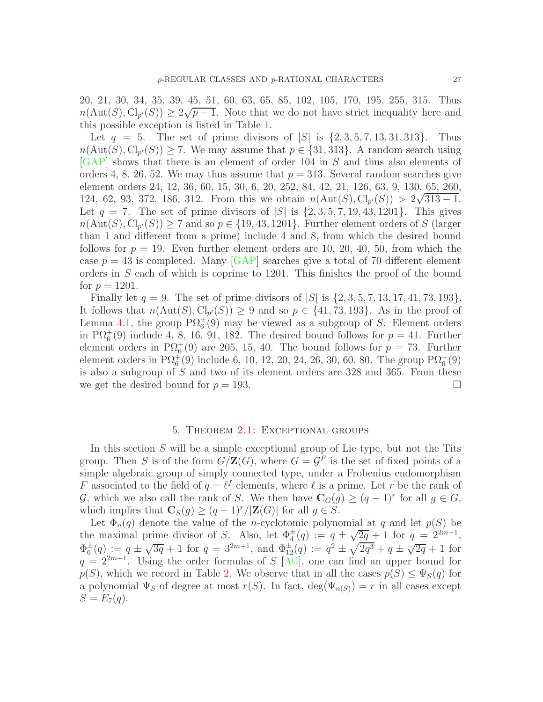20, 21, 30, 34, 35, 39, 45, 51, 60, 63, 65, 85, 102, 105, 170, 195, 255, 315. Thus  $n(\text{Aut}(S), \text{Cl}_{p'}(S)) \geq 2\sqrt{p-1}$ . Note that we do not have strict inequality here and this possible exception is listed in Table [1.](#page-4-0)

Let  $q = 5$ . The set of prime divisors of  $|S|$  is  $\{2, 3, 5, 7, 13, 31, 313\}$ . Thus  $n(\text{Aut}(S), \text{Cl}_{p'}(S)) \ge 7$ . We may assume that  $p \in \{31, 313\}$ . A random search using [\[GAP\]](#page-44-8) shows that there is an element of order 104 in S and thus also elements of orders 4, 8, 26, 52. We may thus assume that  $p = 313$ . Several random searches give element orders 24, 12, 36, 60, 15, 30, 6, 20, 252, 84, 42, 21, 126, 63, 9, 130, 65, 260, 124, 62, 93, 372, 186, 312. From this we obtain  $n(\text{Aut}(S), \text{Cl}_{p'}(S)) > 2\sqrt{313 - 1}$ . Let  $q = 7$ . The set of prime divisors of  $|S|$  is  $\{2, 3, 5, 7, 19, 43, 1201\}$ . This gives  $n(\text{Aut}(S), \text{Cl}_{p'}(S)) \geq 7$  and so  $p \in \{19, 43, 1201\}$ . Further element orders of S (larger than 1 and different from a prime) include 4 and 8, from which the desired bound follows for  $p = 19$ . Even further element orders are 10, 20, 40, 50, from which the case  $p = 43$  is completed. Many [\[GAP\]](#page-44-8) searches give a total of 70 different element orders in S each of which is coprime to 1201. This finishes the proof of the bound for  $p = 1201$ .

Finally let  $q = 9$ . The set of prime divisors of  $|S|$  is  $\{2, 3, 5, 7, 13, 17, 41, 73, 193\}$ . It follows that  $n(\text{Aut}(S), \text{Cl}_{p'}(S)) \geq 9$  and so  $p \in \{41, 73, 193\}$ . As in the proof of Lemma [4.1,](#page-17-1) the group  $\mathrm{P}\Omega_6^+(9)$  may be viewed as a subgroup of S. Element orders in  $\text{P}\Omega_6^+(9)$  include 4, 8, 16, 91, 182. The desired bound follows for  $p = 41$ . Further element orders in P $\Omega_6^+(9)$  are 205, 15, 40. The bound follows for  $p = 73$ . Further element orders in  $\mathrm{P}\Omega_6^+(9)$  include 6, 10, 12, 20, 24, 26, 30, 60, 80. The group  $\mathrm{P}\Omega_6^-(9)$ is also a subgroup of S and two of its element orders are 328 and 365. From these we get the desired bound for  $p = 193$ .

#### 5. Theorem [2.1:](#page-3-1) Exceptional groups

<span id="page-26-0"></span>In this section  $S$  will be a simple exceptional group of Lie type, but not the Tits group. Then S is of the form  $G/\mathbf{Z}(G)$ , where  $G = \mathcal{G}^F$  is the set of fixed points of a simple algebraic group of simply connected type, under a Frobenius endomorphism F associated to the field of  $q = \ell^f$  elements, where  $\ell$  is a prime. Let r be the rank of G, which we also call the rank of S. We then have  $\mathbf{C}_G(g) \geq (q-1)^r$  for all  $g \in G$ , which implies that  $\mathbf{C}_S(g) \geq (q-1)^r/|\mathbf{Z}(G)|$  for all  $g \in S$ .

Let  $\Phi_n(q)$  denote the value of the *n*-cyclotomic polynomial at q and let  $p(S)$  be the maximal prime divisor of S. Also, let  $\Phi_4^{\pm}(q) := q \pm \sqrt{2q} + 1$  for  $q = 2^{2m+1}$ ,  $\Phi_6^{\pm}(q) := q \pm \sqrt{3q} + 1$  for  $q = 3^{2m+1}$ , and  $\Phi_{12}^{\pm}(q) := q^2 \pm \sqrt{2q^3} + q \pm \sqrt{2q} + 1$  for  $q = 2^{2m+1}$ . Using the order formulas of S [\[Atl\]](#page-43-4), one can find an upper bound for  $p(S)$ , which we record in Table [2.](#page-27-0) We observe that in all the cases  $p(S) \leq \Psi_S(q)$  for a polynomial  $\Psi_S$  of degree at most  $r(S)$ . In fact,  $\deg(\Psi_{n(S)}) = r$  in all cases except  $S = E_7(q)$ .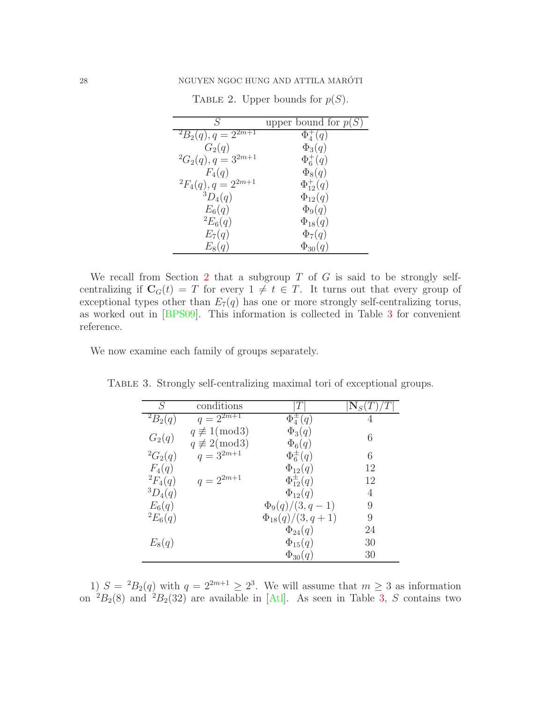| S                              | upper bound for $p(S)$ |
|--------------------------------|------------------------|
| ${}^{2}B_{2}(q), q=2^{2m+1}$   | $\Phi_4^+(q)$          |
| $G_2(q)$                       | $\Phi_3(q)$            |
| ${}^{2}G_{2}(q), q = 3^{2m+1}$ | $\Phi_6^+(q)$          |
| $F_4(q)$                       | $\Phi_8(q)$            |
| ${}^{2}F_{4}(q), q = 2^{2m+1}$ | $\Phi_{12}^+(q)$       |
| ${}^3D_4(q)$                   | $\Phi_{12}(q)$         |
| $E_6(q)$                       | $\Phi_9(q)$            |
| ${}^{2}E_{6}(q)$               | $\Phi_{18}(q)$         |
| $E_7(q)$                       | $\Phi_7(q)$            |
| $E_8(q)$                       | $\Phi_{30}(q)$         |

<span id="page-27-0"></span>TABLE 2. Upper bounds for  $p(S)$ .

We recall from Section [2](#page-3-0) that a subgroup  $T$  of  $G$  is said to be strongly selfcentralizing if  $C_G(t) = T$  for every  $1 \neq t \in T$ . It turns out that every group of exceptional types other than  $E_7(q)$  has one or more strongly self-centralizing torus, as worked out in [\[BPS09\]](#page-43-6). This information is collected in Table [3](#page-27-1) for convenient reference.

We now examine each family of groups separately.

<span id="page-27-1"></span>

| S                | conditions                |                        | ${\rm N}_S$ |
|------------------|---------------------------|------------------------|-------------|
| $^{2}B_{2}(q)$   | $q = 2^{\overline{2m+1}}$ | $\Phi_4^{\pm}(q)$      | 4           |
| $G_2(q)$         | $q \not\equiv 1 \pmod{3}$ | $\Phi_3(q)$            | 6           |
|                  | $q \not\equiv 2 \pmod{3}$ | $\Phi_6(q)$            |             |
| ${}^{2}G_{2}(q)$ | $q=3^{2m+1}$              | $\Phi_6^{\pm}(q)$      | 6           |
| $F_4(q)$         |                           | $\Phi_{12}(q)$         | 12          |
| ${}^{2}F_{4}(q)$ | $q=2^{2m+1}$              | $\Phi_{12}^{\pm}(q)$   | 12          |
| ${}^3D_4(q)$     |                           | $\Phi_{12}(q)$         | 4           |
| $E_6(q)$         |                           | $\Phi_9(q)/(3, q-1)$   | 9           |
| ${}^{2}E_{6}(q)$ |                           | $\Phi_{18}(q)/(3,q+1)$ | 9           |
|                  |                           | $\Phi_{24}(q)$         | 24          |
| $E_8(q)$         |                           | $\Phi_{15}(q)$         | 30          |
|                  |                           | $\Phi_{30}(q)$         | 30          |

TABLE 3. Strongly self-centralizing maximal tori of exceptional groups.

1)  $S = {}^2B_2(q)$  with  $q = 2^{2m+1} \geq 2^3$ . We will assume that  $m \geq 3$  as information on  ${}^{2}B_{2}(8)$  and  ${}^{2}B_{2}(32)$  are available in [\[Atl\]](#page-43-4). As seen in Table [3,](#page-27-1) S contains two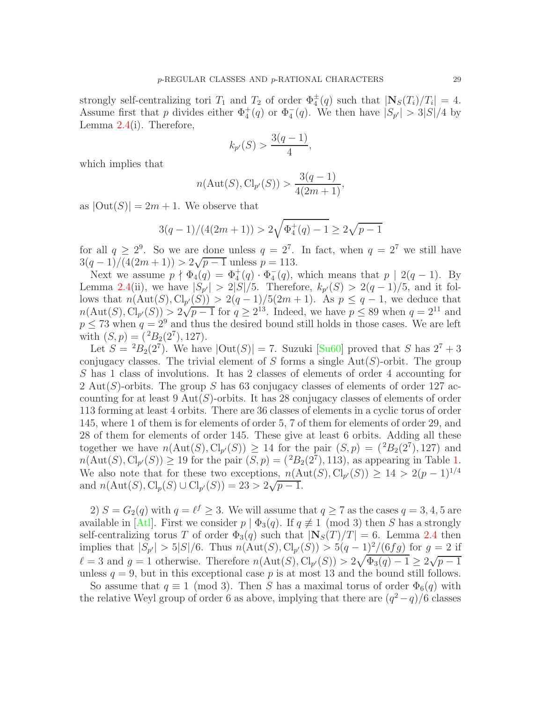strongly self-centralizing tori  $T_1$  and  $T_2$  of order  $\Phi_4^{\pm}(q)$  such that  $|\mathbf{N}_S(T_i)/T_i| = 4$ . Assume first that p divides either  $\Phi_4^+(q)$  or  $\Phi_4^-(q)$ . We then have  $|S_{p'}| > 3|S|/4$  by Lemma  $2.4(i)$  $2.4(i)$ . Therefore,

$$
k_{p'}(S) > \frac{3(q-1)}{4},
$$

which implies that

$$
n(\text{Aut}(S), \text{Cl}_{p'}(S)) > \frac{3(q-1)}{4(2m+1)},
$$

as  $|\text{Out}(S)| = 2m + 1$ . We observe that

$$
3(q-1)/(4(2m+1)) > 2\sqrt{\Phi_4^+(q)-1} \ge 2\sqrt{p-1}
$$

for all  $q \ge 2^9$ . So we are done unless  $q = 2^7$ . In fact, when  $q = 2^7$  we still have  $3(q-1)/\overline{(4(2m+1))} > 2\sqrt{p-1}$  unless  $p = 113$ .

Next we assume  $p \nmid \Phi_4(q) = \Phi_4^+(q) \cdot \Phi_4^-(q)$ , which means that  $p \mid 2(q-1)$ . By Lemma [2.4\(](#page-6-0)ii), we have  $|S_{p'}| > 2|S|/5$ . Therefore,  $k_{p'}(S) > 2(q-1)/5$ , and it follows that  $n(\text{Aut}(S), \text{Cl}_{p'}(S)) > 2(q-1)/5(2m+1)$ . As  $p \leq q-1$ , we deduce that  $n(\text{Aut}(S), \text{Cl}_{p'}(S)) > 2\sqrt{p-1}$  for  $q \ge 2^{13}$ . Indeed, we have  $p \le 89$  when  $q = 2^{11}$  and  $p \le 73$  when  $q = 2^9$  and thus the desired bound still holds in those cases. We are left with  $(S, p) = {^{2}B_2(2^7), 127}.$ 

Let  $S = {}^2B_2(2^7)$ . We have  $|\text{Out}(S)| = 7$ . Suzuki [\[Su60\]](#page-45-8) proved that S has  $2^7 + 3$ conjugacy classes. The trivial element of S forms a single  $Aut(S)$ -orbit. The group S has 1 class of involutions. It has 2 classes of elements of order 4 accounting for 2 Aut(S)-orbits. The group S has 63 conjugacy classes of elements of order 127 accounting for at least  $9 \text{ Aut}(S)$ -orbits. It has 28 conjugacy classes of elements of order 113 forming at least 4 orbits. There are 36 classes of elements in a cyclic torus of order 145, where 1 of them is for elements of order 5, 7 of them for elements of order 29, and 28 of them for elements of order 145. These give at least 6 orbits. Adding all these together we have  $n(\text{Aut}(S), \text{Cl}_{p'}(S)) \geq 14$  for the pair  $(S, p) = {^{2}B_{2}(2^{7}), 127}$  and  $n(\text{Aut}(S), \text{Cl}_{p'}(S)) \ge 19$  for the pair  $(S, p) = {^{2}B_{2}(2^{7}), 113}$ , as appearing in Table [1.](#page-4-0) We also note that for these two exceptions,  $n(\text{Aut}(S), \text{Cl}_{p'}(S)) \geq 14 > 2(p-1)^{1/4}$ and  $n(\text{Aut}(S), \text{Cl}_p(S) \cup \text{Cl}_{p'}(S)) = 23 > 2\sqrt{p-1}$ .

2)  $S = G_2(q)$  with  $q = \ell^f \geq 3$ . We will assume that  $q \geq 7$  as the cases  $q = 3, 4, 5$  are available in [\[Atl\]](#page-43-4). First we consider  $p | \Phi_3(q)$ . If  $q \not\equiv 1 \pmod{3}$  then S has a strongly self-centralizing torus T of order  $\Phi_3(q)$  such that  $|\mathbf{N}_S(T)/T| = 6$ . Lemma [2.4](#page-6-0) then implies that  $|S_{p'}| > 5|S|/6$ . Thus  $n(\text{Aut}(S), \text{Cl}_{p'}(S)) > 5(q-1)^2/(6fg)$  for  $g = 2$  if  $\ell = 3$  and  $g = 1$  otherwise. Therefore  $n(\text{Aut}(S), \text{Cl}_{p'}(S)) > 2\sqrt{\Phi_3(q) - 1} \geq 2\sqrt{p-1}$ unless  $q = 9$ , but in this exceptional case p is at most 13 and the bound still follows.

So assume that  $q \equiv 1 \pmod{3}$ . Then S has a maximal torus of order  $\Phi_6(q)$  with the relative Weyl group of order 6 as above, implying that there are  $(q^2 - q)/6$  classes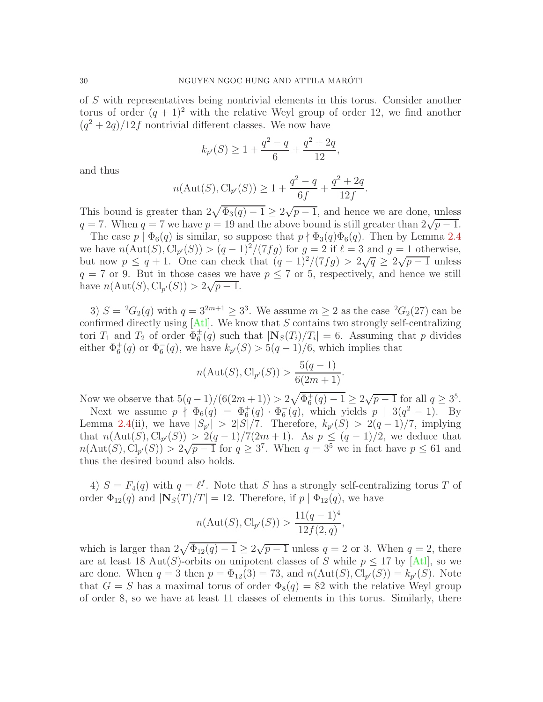of S with representatives being nontrivial elements in this torus. Consider another torus of order  $(q + 1)^2$  with the relative Weyl group of order 12, we find another  $(q^2+2q)/12f$  nontrivial different classes. We now have

$$
k_{p'}(S) \ge 1 + \frac{q^2 - q}{6} + \frac{q^2 + 2q}{12},
$$

and thus

$$
n(\text{Aut}(S), \text{Cl}_{p'}(S)) \ge 1 + \frac{q^2 - q}{6f} + \frac{q^2 + 2q}{12f}.
$$

This bound is greater than  $2\sqrt{\Phi_3(q)-1} \geq 2\sqrt{p-1}$ , and hence we are done, unless  $q = 7$ . When  $q = 7$  we have  $p = 19$  and the above bound is still greater than  $2\sqrt{p-1}$ .

The case  $p | \Phi_6(q)$  is similar, so suppose that  $p \nmid \Phi_3(q) \Phi_6(q)$ . Then by Lemma [2.4](#page-6-0) we have  $n(\text{Aut}(S), \text{Cl}_{p'}(S)) > (q-1)^2/(7fg)$  for  $g = 2$  if  $\ell = 3$  and  $g = 1$  otherwise, but now  $p \leq q+1$ . One can check that  $(q-1)^2/(7fg) > 2\sqrt{q} \geq 2\sqrt{p-1}$  unless  $q = 7$  or 9. But in those cases we have  $p \leq 7$  or 5, respectively, and hence we still have  $n(\text{Aut}(S), \text{Cl}_{p'}(S)) > 2\sqrt{p-1}$ .

3)  $S = {}^{2}G_{2}(q)$  with  $q = 3^{2m+1} \geq 3^{3}$ . We assume  $m \geq 2$  as the case  ${}^{2}G_{2}(27)$  can be confirmed directly using  $[At]$ . We know that S contains two strongly self-centralizing tori  $T_1$  and  $T_2$  of order  $\Phi_6^{\pm}(q)$  such that  $|\mathbf{N}_S(T_i)/T_i| = 6$ . Assuming that p divides either  $\Phi_6^+(q)$  or  $\Phi_6^-(q)$ , we have  $k_{p'}(S) > 5(q-1)/6$ , which implies that

$$
n(\text{Aut}(S), \text{Cl}_{p'}(S)) > \frac{5(q-1)}{6(2m+1)}.
$$

Now we observe that  $5(q-1)/(6(2m+1)) > 2\sqrt{\Phi_6^+(q)-1} \ge 2\sqrt{p-1}$  for all  $q \ge 3^5$ .

Next we assume  $p \nmid \Phi_6(q) = \Phi_6^+(q) \cdot \Phi_6^-(q)$ , which yields  $p \mid 3(q^2-1)$ . By Lemma [2.4\(](#page-6-0)ii), we have  $|S_{p'}| > 2|S|/7$ . Therefore,  $k_{p'}(S) > 2(q-1)/7$ , implying that  $n(\text{Aut}(S), \text{Cl}_{p'}(S)) \geq 2(q-1)/7(2m+1)$ . As  $p \leq (q-1)/2$ , we deduce that  $n(\text{Aut}(S), \text{Cl}_{p'}(S)) > 2\sqrt{p-1}$  for  $q \geq 3^7$ . When  $q = 3^5$  we in fact have  $p \leq 61$  and thus the desired bound also holds.

4)  $S = F_4(q)$  with  $q = \ell^f$ . Note that S has a strongly self-centralizing torus T of order  $\Phi_{12}(q)$  and  $|\mathbf{N}_S(T)/T| = 12$ . Therefore, if  $p | \Phi_{12}(q)$ , we have

$$
n(\text{Aut}(S), \text{Cl}_{p'}(S)) > \frac{11(q-1)^4}{12f(2,q)},
$$

which is larger than  $2\sqrt{\Phi_{12}(q)-1} \ge 2\sqrt{p-1}$  unless  $q=2$  or 3. When  $q=2$ , there are at least 18 Aut(S)-orbits on unipotent classes of S while  $p \leq 17$  by [\[Atl\]](#page-43-4), so we are done. When  $q = 3$  then  $p = \Phi_{12}(3) = 73$ , and  $n(\text{Aut}(S), \text{Cl}_{p'}(S)) = k_{p'}(S)$ . Note that  $G = S$  has a maximal torus of order  $\Phi_8(q) = 82$  with the relative Weyl group of order 8, so we have at least 11 classes of elements in this torus. Similarly, there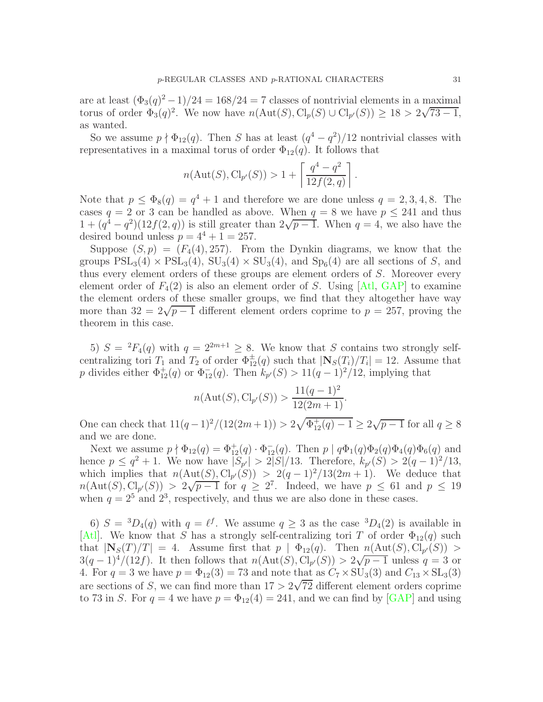are at least  $(\Phi_3(q)^2 - 1)/24 = 168/24 = 7$  classes of nontrivial elements in a maximal torus of order  $\Phi_3(q)^2$ . We now have  $n(\text{Aut}(S), \text{Cl}_p(S) \cup \text{Cl}_{p'}(S)) \geq 18 > 2\sqrt{73-1}$ , as wanted.

So we assume  $p \nmid \Phi_{12}(q)$ . Then S has at least  $(q^4 - q^2)/12$  nontrivial classes with representatives in a maximal torus of order  $\Phi_{12}(q)$ . It follows that

$$
n(\text{Aut}(S), \text{Cl}_{p'}(S)) > 1 + \left\lceil \frac{q^4 - q^2}{12f(2, q)} \right\rceil.
$$

Note that  $p \leq \Phi_8(q) = q^4 + 1$  and therefore we are done unless  $q = 2, 3, 4, 8$ . The cases  $q = 2$  or 3 can be handled as above. When  $q = 8$  we have  $p \le 241$  and thus  $1 + (q^4 - q^2)(12f(2, q))$  is still greater than  $2\sqrt{p-1}$ . When  $q = 4$ , we also have the desired bound unless  $p = 4^4 + 1 = 257$ .

Suppose  $(S, p) = (F_4(4), 257)$ . From the Dynkin diagrams, we know that the groups  $PSL_3(4) \times PSL_3(4)$ ,  $SU_3(4) \times SU_3(4)$ , and  $Sp_6(4)$  are all sections of S, and thus every element orders of these groups are element orders of S. Moreover every element order of  $F_4(2)$  is also an element order of S. Using [\[Atl,](#page-43-4) [GAP\]](#page-44-8) to examine the element orders of these smaller groups, we find that they altogether have way more than  $32 = 2\sqrt{p-1}$  different element orders coprime to  $p = 257$ , proving the theorem in this case.

5)  $S = {}^{2}F_{4}(q)$  with  $q = 2^{2m+1} > 8$ . We know that S contains two strongly selfcentralizing tori  $T_1$  and  $T_2$  of order  $\Phi_{12}^{\pm}(q)$  such that  $|\mathbf{N}_S(T_i)/T_i|=12$ . Assume that p divides either  $\Phi_{12}^+(q)$  or  $\Phi_{12}^-(q)$ . Then  $k_{p'}(S) > 11(q-1)^2/12$ , implying that

$$
n(\text{Aut}(S), \text{Cl}_{p'}(S)) > \frac{11(q-1)^2}{12(2m+1)}.
$$

One can check that  $11(q-1)^2/(12(2m+1)) > 2\sqrt{\Phi_{12}^+(q)-1} \geq 2\sqrt{p-1}$  for all  $q \geq 8$ and we are done.

Next we assume  $p \nmid \Phi_{12}(q) = \Phi_{12}^+(q) \cdot \Phi_{12}^-(q)$ . Then  $p \mid q\Phi_1(q)\Phi_2(q)\Phi_4(q)\Phi_6(q)$  and hence  $p \leq q^2 + 1$ . We now have  $|S_{p'}| > 2|S|/13$ . Therefore,  $k_{p'}(S) > 2(q-1)^2/13$ , which implies that  $n(\text{Aut}(S), \text{Cl}_{p'}(S)) > 2(q-1)^2/13(2m+1)$ . We deduce that  $n(\text{Aut}(S), \text{Cl}_{p'}(S)) > 2\sqrt{p-1}$  for  $q \geq 2^7$ . Indeed, we have  $p \leq 61$  and  $p \leq 19$ when  $q = 2^5$  and  $2^3$ , respectively, and thus we are also done in these cases.

6)  $S = {}^{3}D_{4}(q)$  with  $q = \ell^{f}$ . We assume  $q \geq 3$  as the case  ${}^{3}D_{4}(2)$  is available in [\[Atl\]](#page-43-4). We know that S has a strongly self-centralizing tori T of order  $\Phi_{12}(q)$  such that  $|\mathbf{N}_S(T)/T| = 4$ . Assume first that  $p \mid \Phi_{12}(q)$ . Then  $n(\text{Aut}(S), \text{Cl}_{p'}(S)) >$  $3(q-1)^4/(12f)$ . It then follows that  $n(\text{Aut}(S), \text{Cl}_{p'}(S)) > 2\sqrt{p-1}$  unless  $q = 3$  or 4. For  $q = 3$  we have  $p = \Phi_{12}(3) = 73$  and note that as  $C_7 \times SU_3(3)$  and  $C_{13} \times SL_3(3)$ are sections of S, we can find more than  $17 > 2\sqrt{72}$  different element orders coprime to 73 in S. For  $q = 4$  we have  $p = \Phi_{12}(4) = 241$ , and we can find by [\[GAP\]](#page-44-8) and using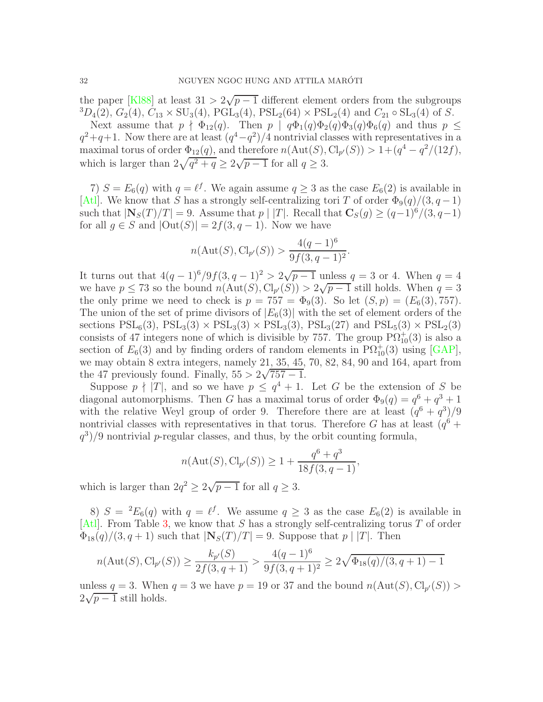the paper [\[Kl88\]](#page-44-14) at least  $31 > 2\sqrt{p-1}$  different element orders from the subgroups  ${}^{3}D_{4}(2)$ ,  $G_{2}(4)$ ,  $C_{13} \times SU_{3}(4)$ ,  $PGL_{3}(4)$ ,  $PSL_{2}(64) \times PSL_{2}(4)$  and  $C_{21} \circ SL_{3}(4)$  of S.

Next assume that  $p \nmid \Phi_{12}(q)$ . Then  $p \mid q\Phi_1(q)\Phi_2(q)\Phi_3(q)\Phi_6(q)$  and thus  $p \leq$  $q^2+q+1$ . Now there are at least  $(q^4-q^2)/4$  nontrivial classes with representatives in a maximal torus of order  $\Phi_{12}(q)$ , and therefore  $n(\text{Aut}(S), \text{Cl}_{p'}(S)) > 1 + (q^4 - q^2/(12f)),$ which is larger than  $2\sqrt{q^2+q} \ge 2\sqrt{p-1}$  for all  $q \ge 3$ .

7)  $S = E_6(q)$  with  $q = \ell^f$ . We again assume  $q \geq 3$  as the case  $E_6(2)$  is available in [\[Atl\]](#page-43-4). We know that S has a strongly self-centralizing tori T of order  $\Phi_9(q)/(3, q-1)$ such that  $|\mathbf{N}_S(T)/T| = 9$ . Assume that  $p \mid |T|$ . Recall that  $\mathbf{C}_S(q) \geq (q-1)^6/(3, q-1)$ for all  $g \in S$  and  $|\text{Out}(S)| = 2f(3, q-1)$ . Now we have

$$
n(\text{Aut}(S), \text{Cl}_{p'}(S)) > \frac{4(q-1)^6}{9f(3, q-1)^2}.
$$

It turns out that  $4(q-1)^6/9f(3, q-1)^2 > 2\sqrt{p-1}$  unless  $q = 3$  or 4. When  $q = 4$ we have  $p \le 73$  so the bound  $n(\text{Aut}(S), \text{Cl}_{p'}(S)) > 2\sqrt{p-1}$  still holds. When  $q = 3$ the only prime we need to check is  $p = 757 = \Phi_9(3)$ . So let  $(S, p) = (E_6(3), 757)$ . The union of the set of prime divisors of  $|E_6(3)|$  with the set of element orders of the sections  $PSL_6(3)$ ,  $PSL_3(3) \times PSL_3(3) \times PSL_3(3)$ ,  $PSL_3(27)$  and  $PSL_5(3) \times PSL_2(3)$ consists of 47 integers none of which is divisible by 757. The group  $P\Omega_{10}^{+}(3)$  is also a section of  $E_6(3)$  and by finding orders of random elements in  $\mathrm{P}\Omega_{10}^+(3)$  using [\[GAP\]](#page-44-8), we may obtain 8 extra integers, namely 21, 35, 45, 70, 82, 84, 90 and 164, apart from the 47 previously found. Finally,  $55 > 2\sqrt{757 - 1}$ .

Suppose  $p \nmid |T|$ , and so we have  $p \leq q^4 + 1$ . Let G be the extension of S be diagonal automorphisms. Then G has a maximal torus of order  $\Phi_9(q) = q^6 + q^3 + 1$ with the relative Weyl group of order 9. Therefore there are at least  $(q^6 + q^3)/9$ nontrivial classes with representatives in that torus. Therefore G has at least  $(q<sup>6</sup> +$  $(q^3)/9$  nontrivial p-regular classes, and thus, by the orbit counting formula,

$$
n(\text{Aut}(S), \text{Cl}_{p'}(S)) \ge 1 + \frac{q^6 + q^3}{18f(3, q - 1)},
$$

which is larger than  $2q^2 \ge 2\sqrt{p-1}$  for all  $q \ge 3$ .

8)  $S = {}^2E_6(q)$  with  $q = \ell^f$ . We assume  $q \geq 3$  as the case  $E_6(2)$  is available in  $[At]$ . From Table [3,](#page-27-1) we know that S has a strongly self-centralizing torus T of order  $\Phi_{18}(q)/(3, q+1)$  such that  $|\mathbf{N}_S(T)/T| = 9$ . Suppose that  $p \mid |T|$ . Then

$$
n(\text{Aut}(S), \text{Cl}_{p'}(S)) \ge \frac{k_{p'}(S)}{2f(3, q + 1)} > \frac{4(q - 1)^6}{9f(3, q + 1)^2} \ge 2\sqrt{\Phi_{18}(q)/(3, q + 1) - 1}
$$

unless  $q = 3$ . When  $q = 3$  we have  $p = 19$  or 37 and the bound  $n(\text{Aut}(S), \text{Cl}_{p'}(S)) >$  $2\sqrt{p-1}$  still holds.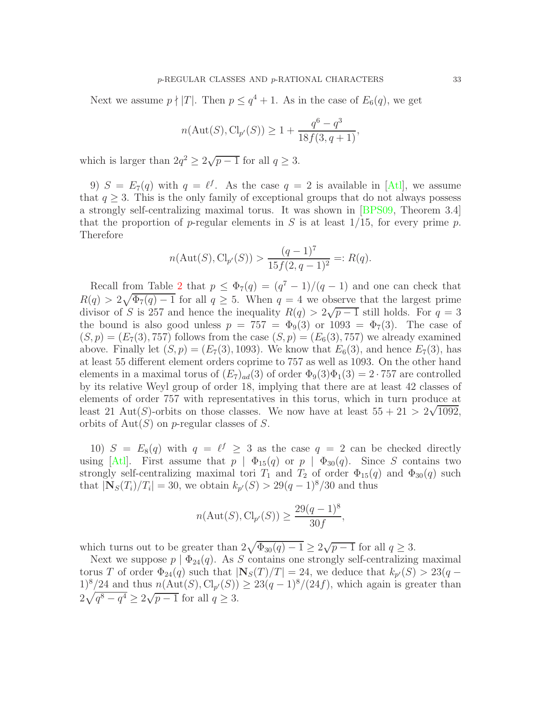Next we assume  $p \nmid |T|$ . Then  $p \leq q^4 + 1$ . As in the case of  $E_6(q)$ , we get

$$
n(\text{Aut}(S), \text{Cl}_{p'}(S)) \ge 1 + \frac{q^6 - q^3}{18f(3, q + 1)},
$$

which is larger than  $2q^2 \ge 2\sqrt{p-1}$  for all  $q \ge 3$ .

9)  $S = E_7(q)$  with  $q = \ell^f$ . As the case  $q = 2$  is available in [\[Atl\]](#page-43-4), we assume that  $q \geq 3$ . This is the only family of exceptional groups that do not always possess a strongly self-centralizing maximal torus. It was shown in [\[BPS09,](#page-43-6) Theorem 3.4] that the proportion of p-regular elements in S is at least  $1/15$ , for every prime p. Therefore

$$
n(\text{Aut}(S), \text{Cl}_{p'}(S)) > \frac{(q-1)^7}{15f(2, q-1)^2} =: R(q).
$$

Recall from Table [2](#page-27-0) that  $p \leq \Phi_7(q) = (q^7 - 1)/(q - 1)$  and one can check that  $R(q) > 2\sqrt{\Phi_7(q)-1}$  for all  $q \geq 5$ . When  $q = 4$  we observe that the largest prime divisor of S is 257 and hence the inequality  $R(q) > 2\sqrt{p-1}$  still holds. For  $q = 3$ the bound is also good unless  $p = 757 = \Phi_9(3)$  or  $1093 = \Phi_7(3)$ . The case of  $(S, p) = (E_7(3), 757)$  follows from the case  $(S, p) = (E_6(3), 757)$  we already examined above. Finally let  $(S, p) = (E_7(3), 1093)$ . We know that  $E_6(3)$ , and hence  $E_7(3)$ , has at least 55 different element orders coprime to 757 as well as 1093. On the other hand elements in a maximal torus of  $(E_7)_{ad}(3)$  of order  $\Phi_9(3)\Phi_1(3) = 2 \cdot 757$  are controlled by its relative Weyl group of order 18, implying that there are at least 42 classes of elements of order 757 with representatives in this torus, which in turn produce at least 21 Aut(S)-orbits on those classes. We now have at least  $55 + 21 > 2\sqrt{1092}$ , orbits of  $Aut(S)$  on p-regular classes of S.

10)  $S = E_8(q)$  with  $q = \ell^f \geq 3$  as the case  $q = 2$  can be checked directly using [\[Atl\]](#page-43-4). First assume that  $p \mid \Phi_{15}(q)$  or  $p \mid \Phi_{30}(q)$ . Since S contains two strongly self-centralizing maximal tori  $T_1$  and  $T_2$  of order  $\Phi_{15}(q)$  and  $\Phi_{30}(q)$  such that  $|\mathbf{N}_S(T_i)/T_i| = 30$ , we obtain  $k_{p'}(S) > 29(q-1)^8/30$  and thus

$$
n(\text{Aut}(S), \text{Cl}_{p'}(S)) \ge \frac{29(q-1)^8}{30f},
$$

which turns out to be greater than  $2\sqrt{\Phi_{30}(q)-1} \geq 2\sqrt{p-1}$  for all  $q \geq 3$ .

Next we suppose  $p | \Phi_{24}(q)$ . As S contains one strongly self-centralizing maximal torus T of order  $\Phi_{24}(q)$  such that  $|\mathbf{N}_S(T)/T| = 24$ , we deduce that  $k_{p'}(S) > 23(q 1)^8/24$  and thus  $n(\text{Aut}(S), \text{Cl}_{p'}(S)) \geq 23(q-1)^8/(24f)$ , which again is greater than  $2\sqrt{q^8-q^4} \ge 2\sqrt{p-1}$  for all  $q \ge 3$ .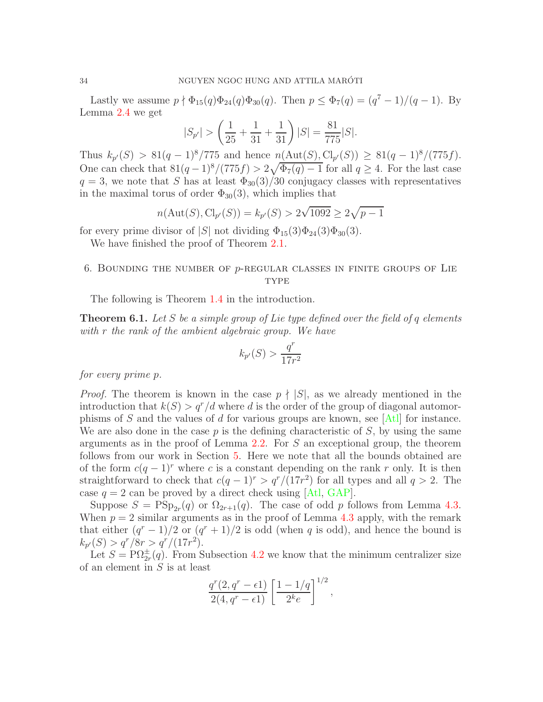Lastly we assume  $p \nmid \Phi_{15}(q) \Phi_{24}(q) \Phi_{30}(q)$ . Then  $p \leq \Phi_7(q) = (q^7 - 1)/(q - 1)$ . By Lemma [2.4](#page-6-0) we get

$$
|S_{p'}| > \left(\frac{1}{25} + \frac{1}{31} + \frac{1}{31}\right)|S| = \frac{81}{775}|S|.
$$

Thus  $k_{p'}(S) > 81(q-1)^8/775$  and hence  $n(\text{Aut}(S), \text{Cl}_{p'}(S)) \geq 81(q-1)^8/(775f)$ . One can check that  $81(q-1)^8/(775f) > 2\sqrt{\Phi_7(q)-1}$  for all  $q \ge 4$ . For the last case  $q = 3$ , we note that S has at least  $\Phi_{30}(3)/30$  conjugacy classes with representatives in the maximal torus of order  $\Phi_{30}(3)$ , which implies that

$$
n(\text{Aut}(S), \text{Cl}_{p'}(S)) = k_{p'}(S) > 2\sqrt{1092} \ge 2\sqrt{p-1}
$$

for every prime divisor of |S| not dividing  $\Phi_{15}(3)\Phi_{24}(3)\Phi_{30}(3)$ .

We have finished the proof of Theorem [2.1.](#page-3-1)

# <span id="page-33-0"></span>6. BOUNDING THE NUMBER OF  $p$ -REGULAR CLASSES IN FINITE GROUPS OF LIE **TYPE**

The following is Theorem [1.4](#page-2-1) in the introduction.

<span id="page-33-1"></span>Theorem 6.1. *Let* S *be a simple group of Lie type defined over the field of* q *elements with* r *the rank of the ambient algebraic group. We have*

$$
k_{p'}(S) > \frac{q^r}{17r^2}
$$

*for every prime* p*.*

*Proof.* The theorem is known in the case  $p \nmid |S|$ , as we already mentioned in the introduction that  $k(S) > q^r/d$  where d is the order of the group of diagonal automor-phisms of S and the values of d for various groups are known, see [\[Atl\]](#page-43-4) for instance. We are also done in the case  $p$  is the defining characteristic of  $S$ , by using the same arguments as in the proof of Lemma [2.2.](#page-3-2) For S an exceptional group, the theorem follows from our work in Section [5.](#page-26-0) Here we note that all the bounds obtained are of the form  $c(q-1)^r$  where c is a constant depending on the rank r only. It is then straightforward to check that  $c(q-1)^r > q^r/(17r^2)$  for all types and all  $q > 2$ . The case  $q = 2$  can be proved by a direct check using [\[Atl,](#page-43-4) [GAP\]](#page-44-8).

Suppose  $S = \text{PSp}_{2r}(q)$  or  $\Omega_{2r+1}(q)$ . The case of odd p follows from Lemma [4.3.](#page-18-0) When  $p = 2$  similar arguments as in the proof of Lemma [4.3](#page-18-0) apply, with the remark that either  $(q^r - 1)/2$  or  $(q^r + 1)/2$  is odd (when q is odd), and hence the bound is  $k_{p'}(S) > q^r/8r > q^r/(17r^2).$ 

Let  $S = \mathrm{P}\Omega_{2r}^{\pm}(q)$ . From Subsection [4.2](#page-20-1) we know that the minimum centralizer size of an element in S is at least

$$
\frac{q^r(2,q^r-\epsilon 1)}{2(4,q^r-\epsilon 1)}\left[\frac{1-1/q}{2^k e}\right]^{1/2},\,
$$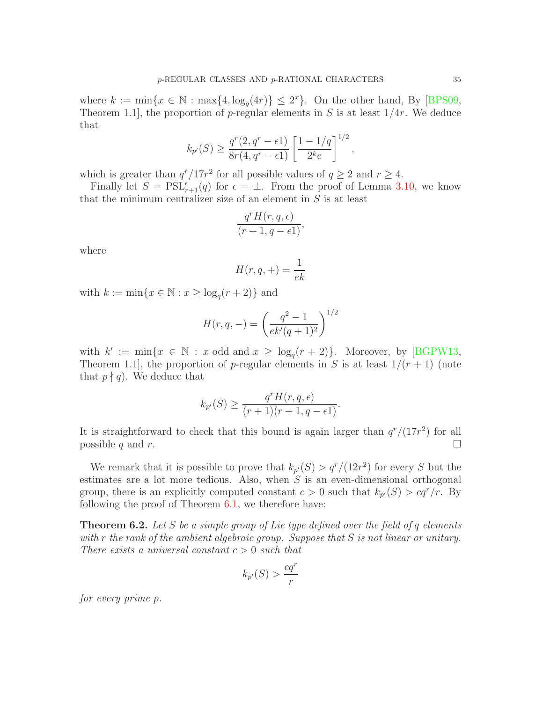where  $k := \min\{x \in \mathbb{N} : \max\{4, \log_q(4r)\} \leq 2^x\}$ . On the other hand, By [\[BPS09,](#page-43-6) Theorem 1.1, the proportion of p-regular elements in S is at least  $1/4r$ . We deduce that

$$
k_{p'}(S) \ge \frac{q^r(2, q^r - \epsilon 1)}{8r(4, q^r - \epsilon 1)} \left[ \frac{1 - 1/q}{2^k e} \right]^{1/2},
$$

which is greater than  $q^r/17r^2$  for all possible values of  $q \ge 2$  and  $r \ge 4$ .

Finally let  $S = \text{PSL}_{r+1}^{\epsilon}(q)$  for  $\epsilon = \pm$ . From the proof of Lemma [3.10,](#page-15-0) we know that the minimum centralizer size of an element in  $S$  is at least

$$
\frac{q^r H(r, q, \epsilon)}{(r+1, q-\epsilon 1)},
$$

where

$$
H(r, q, +) = \frac{1}{ek}
$$

with  $k := \min\{x \in \mathbb{N} : x \ge \log_q(r+2)\}\$ and

$$
H(r, q, -) = \left(\frac{q^2 - 1}{ek'(q+1)^2}\right)^{1/2}
$$

with  $k' := \min\{x \in \mathbb{N} : x \text{ odd and } x \ge \log_q(r+2)\}\.$  Moreover, by [\[BGPW13,](#page-43-7) Theorem 1.1, the proportion of p-regular elements in S is at least  $1/(r+1)$  (note that  $p \nmid q$ . We deduce that

$$
k_{p'}(S) \ge \frac{q^r H(r, q, \epsilon)}{(r+1)(r+1, q-\epsilon)}.
$$

It is straightforward to check that this bound is again larger than  $q^r/(17r^2)$  for all possible q and r.

We remark that it is possible to prove that  $k_{p'}(S) > q^{r'}/(12r^2)$  for every S but the estimates are a lot more tedious. Also, when  $S$  is an even-dimensional orthogonal group, there is an explicitly computed constant  $c > 0$  such that  $k_{p'}(S) > cq^{r}/r$ . By following the proof of Theorem [6.1,](#page-33-1) we therefore have:

Theorem 6.2. *Let* S *be a simple group of Lie type defined over the field of* q *elements with* r *the rank of the ambient algebraic group. Suppose that* S *is not linear or unitary. There exists a universal constant* c > 0 *such that*

$$
k_{p'}(S) > \frac{cq^r}{r}
$$

*for every prime* p*.*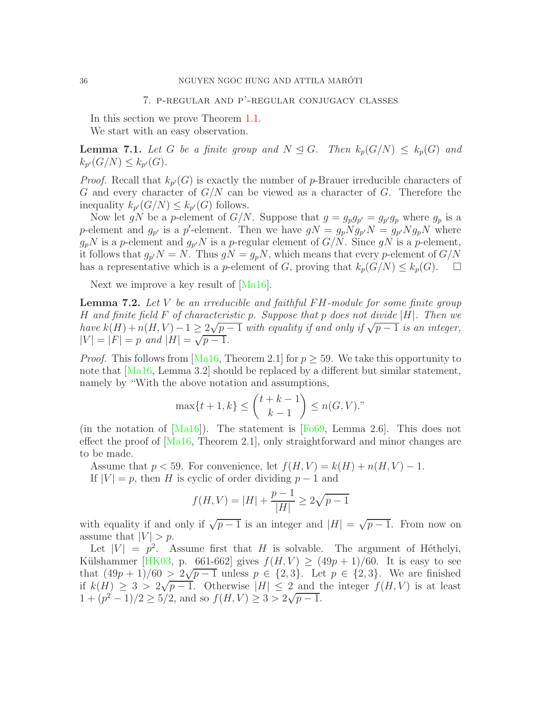<span id="page-35-0"></span>In this section we prove Theorem [1.1.](#page-1-0) We start with an easy observation.

<span id="page-35-1"></span>**Lemma 7.1.** Let G be a finite group and  $N \leq G$ . Then  $k_p(G/N) \leq k_p(G)$  and  $k_{p'}(G/N) \leq k_{p'}(G)$ .

*Proof.* Recall that  $k_{p'}(G)$  is exactly the number of p-Brauer irreducible characters of G and every character of  $G/N$  can be viewed as a character of G. Therefore the inequality  $k_{p'}(G/N) \leq k_{p'}(G)$  follows.

Now let gN be a p-element of  $G/N$ . Suppose that  $g = g_p g_{p'} = g_{p'} g_p$  where  $g_p$  is a p-element and  $g_{p'}$  is a p'-element. Then we have  $gN = g_p N g_{p'} N = g_{p'} N g_p N$  where  $g_p N$  is a p-element and  $g_{p'} N$  is a p-regular element of  $G/N$ . Since  $gN$  is a p-element, it follows that  $g_{p}N = N$ . Thus  $gN = g_pN$ , which means that every p-element of  $G/N$ has a representative which is a p-element of G, proving that  $k_p(G/N) \leq k_p(G)$ .  $\Box$ 

Next we improve a key result of [\[Ma16\]](#page-45-1).

<span id="page-35-2"></span>Lemma 7.2. *Let* V *be an irreducible and faithful* F H*-module for some finite group* H *and finite field* F *of characteristic* p*. Suppose that* p *does not divide* |H|*. Then we have*  $k(H) + n(H, V) - 1 \geq \frac{2\sqrt{p-1}}{p}$  *with equality if and only if*  $\sqrt{p-1}$  *is an integer,*  $|V| = |F| = p$  and  $|H| = \sqrt{p-1}$ .

*Proof.* This follows from [\[Ma16,](#page-45-1) Theorem 2.1] for  $p > 59$ . We take this opportunity to note that [\[Ma16,](#page-45-1) Lemma 3.2] should be replaced by a different but similar statement, namely by "With the above notation and assumptions,

$$
\max\{t+1, k\} \le \binom{t+k-1}{k-1} \le n(G, V)."
$$

(in the notation of  $[Ma16]$ ). The statement is [\[Fo69,](#page-44-15) Lemma 2.6]. This does not effect the proof of  $[Ma16, Theorem 2.1]$ , only straightforward and minor changes are to be made.

Assume that  $p < 59$ . For convenience, let  $f(H, V) = k(H) + n(H, V) - 1$ .

If  $|V| = p$ , then H is cyclic of order dividing  $p - 1$  and

$$
f(H, V) = |H| + \frac{p-1}{|H|} \ge 2\sqrt{p-1}
$$

with equality if and only if  $\sqrt{p-1}$  is an integer and  $|H| = \sqrt{p-1}$ . From now on assume that  $|V| > p$ .

Let  $|V| = p^2$ . Assume first that H is solvable. The argument of Héthelyi, Külshammer [\[HK03,](#page-44-3) p. 661-662] gives  $f(H, V) \ge (49p + 1)/60$ . It is easy to see that  $(49p + 1)/60 > 2\sqrt{p-1}$  unless  $p \in \{2, 3\}$ . Let  $p \in \{2, 3\}$ . We are finished if  $k(H) \geq 3 > 2\sqrt{p-1}$ . Otherwise  $|H| \leq 2$  and the integer  $f(H, V)$  is at least  $(1+(p^2-1)/2 \ge 5/2,$  and so  $f(H, V) \ge 3 > 2\sqrt{p-1}.$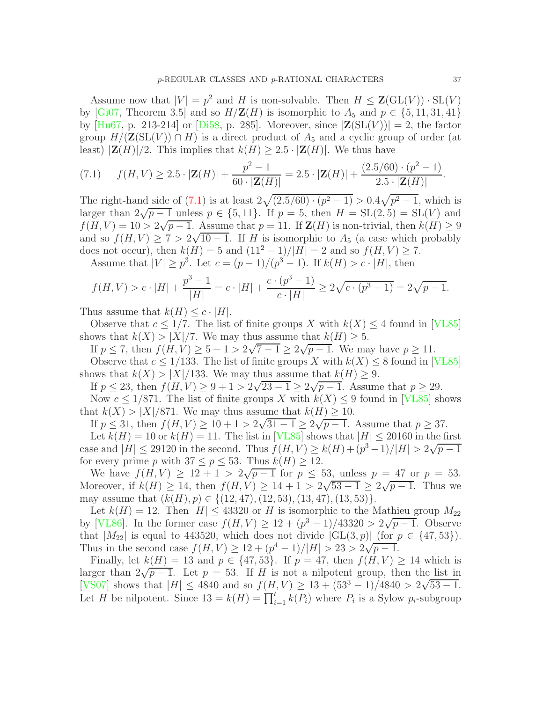Assume now that  $|V| = p^2$  and H is non-solvable. Then  $H \leq \mathbf{Z}(\mathrm{GL}(V)) \cdot \mathrm{SL}(V)$ by [\[Gi07,](#page-44-16) Theorem 3.5] and so  $H/Z(H)$  is isomorphic to  $A_5$  and  $p \in \{5, 11, 31, 41\}$ by  $[Hu67, p. 213-214]$  or  $[Di58, p. 285]$ . Moreover, since  $|\mathbf{Z}(\mathrm{SL}(V))|=2$ , the factor group  $H/(\mathbf{Z}(\mathrm{SL}(V)) \cap H)$  is a direct product of  $A_5$  and a cyclic group of order (at least)  $|\mathbf{Z}(H)|/2$ . This implies that  $k(H) \geq 2.5 \cdot |\mathbf{Z}(H)|$ . We thus have

<span id="page-36-0"></span>(7.1) 
$$
f(H, V) \ge 2.5 \cdot |\mathbf{Z}(H)| + \frac{p^2 - 1}{60 \cdot |\mathbf{Z}(H)|} = 2.5 \cdot |\mathbf{Z}(H)| + \frac{(2.5/60) \cdot (p^2 - 1)}{2.5 \cdot |\mathbf{Z}(H)|}.
$$

The right-hand side of [\(7.1\)](#page-36-0) is at least  $2\sqrt{(2.5/60)\cdot(p^2-1)} > 0.4\sqrt{p^2-1}$ , which is larger than  $2\sqrt{p-1}$  unless  $p \in \{5, 11\}$ . If  $p = 5$ , then  $H = SL(2, 5) = SL(V)$  and  $f(H, V) = 10 > 2\sqrt{p-1}$ . Assume that  $p = 11$ . If  $\mathbf{Z}(H)$  is non-trivial, then  $k(H) \ge 9$ and so  $f(H, V) \geq 7 > 2\sqrt{10 - 1}$ . If H is isomorphic to  $A_5$  (a case which probably does not occur), then  $k(H) = 5$  and  $(11^2 - 1)/|H| = 2$  and so  $f(H, V) \ge 7$ .

Assume that  $|V| \ge p^3$ . Let  $c = (p-1)/(p^3-1)$ . If  $k(H) > c \cdot |H|$ , then

$$
f(H, V) > c \cdot |H| + \frac{p^3 - 1}{|H|} = c \cdot |H| + \frac{c \cdot (p^3 - 1)}{c \cdot |H|} \ge 2\sqrt{c \cdot (p^3 - 1)} = 2\sqrt{p - 1}.
$$

Thus assume that  $k(H) \leq c \cdot |H|$ .

Observe that  $c \leq 1/7$ . The list of finite groups X with  $k(X) \leq 4$  found in [\[VL85\]](#page-45-9) shows that  $k(X) > |X|/7$ . We may thus assume that  $k(H) \geq 5$ .

If  $p \le 7$ , then  $f(H, V) \ge 5 + 1 > 2\sqrt{7 - 1} \ge 2\sqrt{p - 1}$ . We may have  $p \ge 11$ .

Observe that  $c \leq 1/133$ . The list of finite groups X with  $k(X) \leq 8$  found in [\[VL85\]](#page-45-9) shows that  $k(X) > |X|/133$ . We may thus assume that  $k(H) \geq 9$ .

If  $p \le 23$ , then  $f(H, V) \ge 9 + 1 > 2\sqrt{23 - 1} \ge 2\sqrt{p - 1}$ . Assume that  $p \ge 29$ .

Now  $c \leq 1/871$ . The list of finite groups X with  $k(X) \leq 9$  found in [\[VL85\]](#page-45-9) shows that  $k(X) > |X|/871$ . We may thus assume that  $k(H) \geq 10$ .

If  $p \le 31$ , then  $f(H, V) \ge 10 + 1 > 2\sqrt{31 - 1} \ge 2\sqrt{p - 1}$ . Assume that  $p \ge 37$ .

Let  $k(H) = 10$  or  $k(H) = 11$ . The list in [\[VL85\]](#page-45-9) shows that  $|H| \le 20160$  in the first case and  $|H| \le 29120$  in the second. Thus  $f(H, V) \ge k(H) + (p^3 - 1)/|H| > 2\sqrt{p-1}$ for every prime p with  $37 \le p \le 53$ . Thus  $k(H) \ge 12$ .

We have  $f(H, V) \ge 12 + 1 > 2\sqrt{p-1}$  for  $p \le 53$ , unless  $p = 47$  or  $p = 53$ . Moreover, if  $k(H) \ge 14$ , then  $f(H, V) \ge 14 + 1 > 2\sqrt{53 - 1} \ge 2\sqrt{p - 1}$ . Thus we may assume that  $(k(H), p) \in \{(12, 47), (12, 53), (13, 47), (13, 53)\}.$ 

Let  $k(H) = 12$ . Then  $|H| \leq 43320$  or H is isomorphic to the Mathieu group  $M_{22}$ by [\[VL86\]](#page-45-10). In the former case  $f(H, V) \geq 12 + (p^3 - 1)/43320 > 2\sqrt{p-1}$ . Observe that  $|M_{22}|$  is equal to 443520, which does not divide  $|GL(3, p)|$  (for  $p \in \{47, 53\}$ ). Thus in the second case  $f(H, V) \geq 12 + (p^4 - 1)/|H| > 23 > 2\sqrt{p-1}$ .

Finally, let  $k(H) = 13$  and  $p \in \{47, 53\}$ . If  $p = 47$ , then  $f(H, V) \ge 14$  which is larger than  $2\sqrt{p-1}$ . Let  $p = 53$ . If H is not a nilpotent group, then the list in [\[VS07\]](#page-45-11) shows that  $|H| \le 4840$  and so  $f(H, V) \ge 13 + (53^3 - 1)/4840 > 2\sqrt{53 - 1}$ . Let H be nilpotent. Since  $13 = k(H) = \prod_{i=1}^{t} k(P_i)$  where  $P_i$  is a Sylow  $p_i$ -subgroup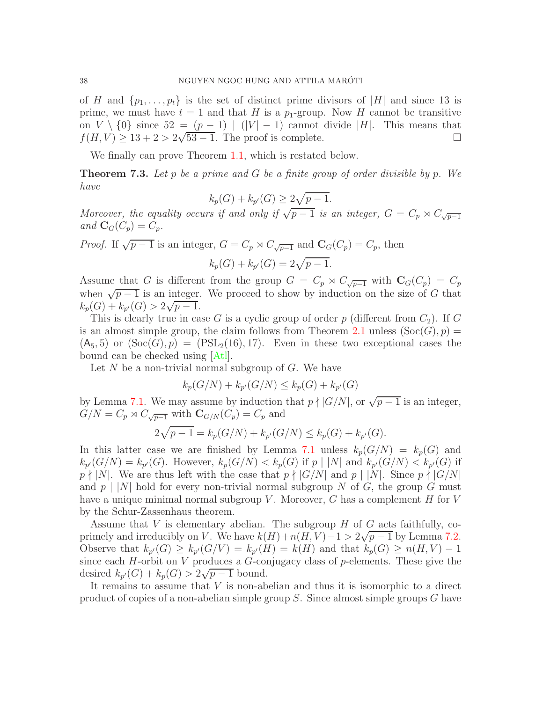of H and  $\{p_1, \ldots, p_t\}$  is the set of distinct prime divisors of  $|H|$  and since 13 is prime, we must have  $t = 1$  and that H is a  $p_1$ -group. Now H cannot be transitive on  $V \setminus \{0\}$  since  $52 = (p-1) | (|V| - 1)$  cannot divide |H|. This means that  $f(H, V) > 13 + 2 > 2\sqrt{53 - 1}$ . The proof is complete.  $f(H, V) \geq 13 + 2 > 2\sqrt{53 - 1}$ . The proof is complete.

We finally can prove Theorem [1.1,](#page-1-0) which is restated below.

Theorem 7.3. *Let* p *be a prime and* G *be a finite group of order divisible by* p*. We have*

$$
k_p(G) + k_{p'}(G) \ge 2\sqrt{p-1}.
$$

*Moreover, the equality occurs if and only if*  $\sqrt{p-1}$  *is an integer,*  $G = C_p \rtimes C_{\sqrt{p-1}}$ and  $\mathbf{C}_G(C_p) = C_p$ .

*Proof.* If  $\sqrt{p-1}$  is an integer,  $G = C_p \rtimes C_{\sqrt{p-1}}$  and  $\mathbf{C}_G(C_p) = C_p$ , then

$$
k_p(G) + k_{p'}(G) = 2\sqrt{p-1}.
$$

Assume that G is different from the group  $G = C_p \rtimes C_{\sqrt{p-1}}$  with  $\mathbf{C}_G(C_p) = C_p$ when  $\sqrt{p-1}$  is an integer. We proceed to show by induction on the size of G that  $k_p(G) + k_{p'}(G) > 2\sqrt{p-1}.$ 

This is clearly true in case G is a cyclic group of order  $p$  (different from  $C_2$ ). If G is an almost simple group, the claim follows from Theorem [2.1](#page-3-1) unless  $(Soc(G), p)$  =  $(A_5, 5)$  or  $(Soc(G), p) = (PSL<sub>2</sub>(16), 17)$ . Even in these two exceptional cases the bound can be checked using [\[Atl\]](#page-43-4).

Let  $N$  be a non-trivial normal subgroup of  $G$ . We have

$$
k_p(G/N) + k_{p'}(G/N) \le k_p(G) + k_{p'}(G)
$$

by Lemma [7.1.](#page-35-1) We may assume by induction that  $p \nmid |G/N|$ , or  $\sqrt{p-1}$  is an integer,  $G/N = C_p \rtimes C_{\sqrt{p-1}}$  with  $\mathbf{C}_{G/N}(C_p) = C_p$  and

$$
2\sqrt{p-1} = k_p(G/N) + k_{p'}(G/N) \le k_p(G) + k_{p'}(G).
$$

In this latter case we are finished by Lemma [7.1](#page-35-1) unless  $k_p(G/N) = k_p(G)$  and  $k_{p'}(G/N) = k_{p'}(G)$ . However,  $k_p(G/N) < k_p(G)$  if  $p \mid |N|$  and  $k_{p'}(G/N) < k_{p'}(G)$  if  $p \nmid |N|$ . We are thus left with the case that  $p \nmid |G/N|$  and  $p \mid |N|$ . Since  $p \nmid |G/N|$ and  $p \mid |N|$  hold for every non-trivial normal subgroup N of G, the group G must have a unique minimal normal subgroup V. Moreover, G has a complement  $H$  for V by the Schur-Zassenhaus theorem.

Assume that V is elementary abelian. The subgroup  $H$  of  $G$  acts faithfully, coprimely and irreducibly on V. We have  $k(H) + n(H, V) - 1 > 2\sqrt{p-1}$  by Lemma [7.2.](#page-35-2) Observe that  $k_{p'}(G) \geq k_{p'}(G/V) = k_{p'}(H) = k(H)$  and that  $k_p(G) \geq n(H, V) - 1$ since each  $H$ -orbit on  $V$  produces a  $G$ -conjugacy class of  $p$ -elements. These give the desired  $k_{p'}(G) + k_p(G) > 2\sqrt{p-1}$  bound.

It remains to assume that  $V$  is non-abelian and thus it is isomorphic to a direct product of copies of a non-abelian simple group  $S$ . Since almost simple groups  $G$  have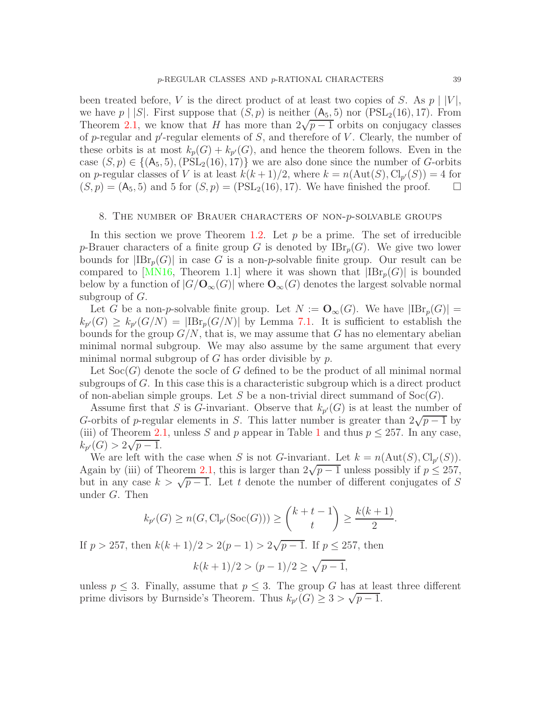been treated before, V is the direct product of at least two copies of S. As  $p \mid |V|$ , we have  $p \mid |S|$ . First suppose that  $(S, p)$  is neither  $(A_5, 5)$  nor  $(PSL_2(16), 17)$ . From Theorem [2.1,](#page-3-1) we know that H has more than  $2\sqrt{p-1}$  orbits on conjugacy classes of p-regular and p'-regular elements of  $S$ , and therefore of  $V$ . Clearly, the number of these orbits is at most  $k_p(G) + k_{p'}(G)$ , and hence the theorem follows. Even in the case  $(S, p) \in \{(\mathsf{A}_5, 5), (\mathrm{PSL}_2(16), 17)\}\$  we are also done since the number of G-orbits on p-regular classes of V is at least  $k(k+1)/2$ , where  $k = n(\text{Aut}(S), \text{Cl}_{p'}(S)) = 4$  for  $(S, p) = (A_5, 5)$  and 5 for  $(S, p) = (PSL_2(16), 17)$ . We have finished the proof.  $\square$ 

#### <span id="page-38-0"></span>8. The number of Brauer characters of non-p-solvable groups

In this section we prove Theorem [1.2.](#page-1-1) Let  $p$  be a prime. The set of irreducible p-Brauer characters of a finite group G is denoted by  $IBr<sub>p</sub>(G)$ . We give two lower bounds for  $|IBr_p(G)|$  in case G is a non-p-solvable finite group. Our result can be compared to MN16, Theorem 1.1 where it was shown that  $|IBr_p(G)|$  is bounded below by a function of  $|G/O_\infty(G)|$  where  $\mathbf{O}_\infty(G)$  denotes the largest solvable normal subgroup of  $G$ .

Let G be a non-p-solvable finite group. Let  $N := \mathbf{O}_{\infty}(G)$ . We have  $|\text{IBr}_p(G)| =$  $k_{p'}(G) \geq k_{p'}(G/N) = |IBr_p(G/N)|$  by Lemma [7.1.](#page-35-1) It is sufficient to establish the bounds for the group  $G/N$ , that is, we may assume that G has no elementary abelian minimal normal subgroup. We may also assume by the same argument that every minimal normal subgroup of  $G$  has order divisible by  $p$ .

Let  $Soc(G)$  denote the socle of G defined to be the product of all minimal normal subgroups of G. In this case this is a characteristic subgroup which is a direct product of non-abelian simple groups. Let S be a non-trivial direct summand of  $Soc(G)$ .

Assume first that S is G-invariant. Observe that  $k_{p'}(G)$  is at least the number of G-orbits of p-regular elements in S. This latter number is greater than  $2\sqrt{p-1}$  by (iii) of Theorem [2.1,](#page-3-1) unless S and p appear in Table [1](#page-4-0) and thus  $p \le 257$ . In any case,  $k_{p'}(G) > 2\sqrt{p-1}.$ 

We are left with the case when S is not G-invariant. Let  $k = n(\text{Aut}(S), \text{Cl}_{p'}(S)).$ Again by (iii) of Theorem [2.1,](#page-3-1) this is larger than  $2\sqrt{p-1}$  unless possibly if  $p \le 257$ , but in any case  $k > \sqrt{p-1}$ . Let t denote the number of different conjugates of S under G. Then

$$
k_{p'}(G) \ge n(G, Cl_{p'}(\text{Soc}(G))) \ge \binom{k+t-1}{t} \ge \frac{k(k+1)}{2}.
$$

If  $p > 257$ , then  $k(k + 1)/2 > 2(p - 1) > 2\sqrt{p - 1}$ . If  $p \le 257$ , then

$$
k(k+1)/2 > (p-1)/2 \ge \sqrt{p-1},
$$

unless  $p \leq 3$ . Finally, assume that  $p \leq 3$ . The group G has at least three different prime divisors by Burnside's Theorem. Thus  $k_{p'}(G) \geq 3 > \sqrt{p-1}$ .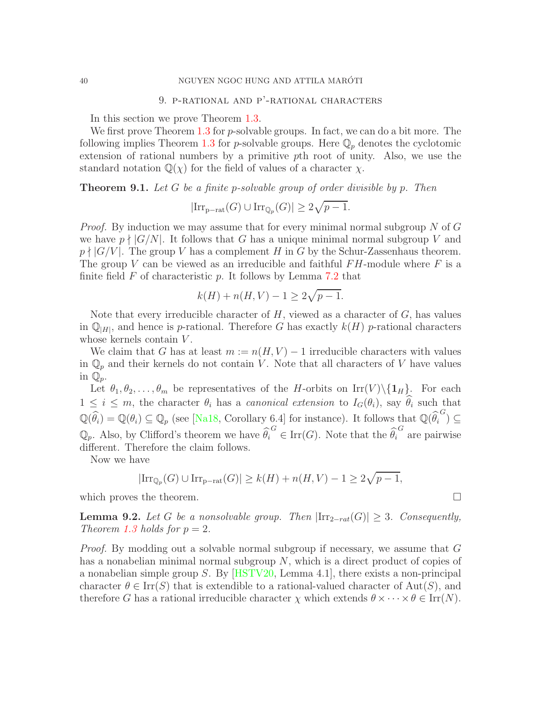# 9. P-RATIONAL AND P'-RATIONAL CHARACTERS

<span id="page-39-0"></span>In this section we prove Theorem [1.3.](#page-2-0)

We first prove Theorem [1.3](#page-2-0) for *p*-solvable groups. In fact, we can do a bit more. The following implies Theorem [1.3](#page-2-0) for p-solvable groups. Here  $\mathbb{Q}_p$  denotes the cyclotomic extension of rational numbers by a primitive pth root of unity. Also, we use the standard notation  $\mathbb{Q}(\chi)$  for the field of values of a character  $\chi$ .

<span id="page-39-1"></span>Theorem 9.1. *Let* G *be a finite* p*-solvable group of order divisible by* p*. Then*

$$
|\mathrm{Irr}_{p-\mathrm{rat}}(G) \cup \mathrm{Irr}_{\mathbb{Q}_p}(G)| \geq 2\sqrt{p-1}.
$$

*Proof.* By induction we may assume that for every minimal normal subgroup N of G we have  $p \nmid |G/N|$ . It follows that G has a unique minimal normal subgroup V and  $p \nmid |G/V|$ . The group V has a complement H in G by the Schur-Zassenhaus theorem. The group V can be viewed as an irreducible and faithful  $FH$ -module where F is a finite field  $F$  of characteristic  $p$ . It follows by Lemma [7.2](#page-35-2) that

$$
k(H) + n(H, V) - 1 \ge 2\sqrt{p - 1}.
$$

Note that every irreducible character of  $H$ , viewed as a character of  $G$ , has values in  $\mathbb{Q}_{|H|}$ , and hence is p-rational. Therefore G has exactly  $k(H)$  p-rational characters whose kernels contain  $V$ .

We claim that G has at least  $m := n(H, V) - 1$  irreducible characters with values in  $\mathbb{Q}_p$  and their kernels do not contain V. Note that all characters of V have values in  $\mathbb{Q}_p$ .

Let  $\theta_1, \theta_2, \ldots, \theta_m$  be representatives of the H-orbits on Irr(V)\{1H}. For each  $1 \leq i \leq m$ , the character  $\theta_i$  has a *canonical extension* to  $I_G(\theta_i)$ , say  $\widehat{\theta}_i$  such that  $\mathbb{Q}(\widehat{\theta}_i) = \mathbb{Q}(\theta_i) \subseteq \mathbb{Q}_p$  (see [\[Na18,](#page-45-13) Corollary 6.4] for instance). It follows that  $\mathbb{Q}(\widehat{\theta}_i^G) \subseteq$  $\mathbb{Q}_p$ . Also, by Clifford's theorem we have  $\widehat{\theta}_i^G \in \text{Irr}(G)$ . Note that the  $\widehat{\theta}_i^G$  are pairwise different. Therefore the claim follows.

Now we have

$$
|\mathrm{Irr}_{\mathbb{Q}_p}(G)\cup \mathrm{Irr}_{p-\mathrm{rat}}(G)|\geq k(H)+n(H,V)-1\geq 2\sqrt{p-1},
$$

which proves the theorem.  $\Box$ 

<span id="page-39-2"></span>**Lemma 9.2.** Let G be a nonsolvable group. Then  $|\text{Irr}_{2-rat}(G)| > 3$ . Consequently, *Theorem [1.3](#page-2-0) holds for*  $p = 2$ *.* 

*Proof.* By modding out a solvable normal subgroup if necessary, we assume that G has a nonabelian minimal normal subgroup  $N$ , which is a direct product of copies of a nonabelian simple group S. By  $[HSTV20, Lemma 4.1]$ , there exists a non-principal character  $\theta \in \text{Irr}(S)$  that is extendible to a rational-valued character of Aut(S), and therefore G has a rational irreducible character  $\chi$  which extends  $\theta \times \cdots \times \theta \in \text{Irr}(N)$ .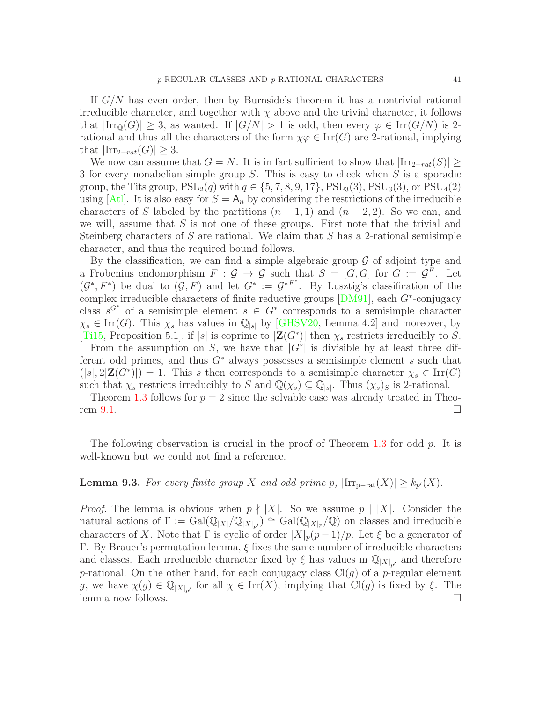If G/N has even order, then by Burnside's theorem it has a nontrivial rational irreducible character, and together with  $\chi$  above and the trivial character, it follows that  $|\text{Irr}_0(G)| \geq 3$ , as wanted. If  $|G/N| > 1$  is odd, then every  $\varphi \in \text{Irr}(G/N)$  is 2rational and thus all the characters of the form  $\chi\varphi \in \text{Irr}(G)$  are 2-rational, implying that  $|\text{Irr}_{2-rat}(G)| \geq 3$ .

We now can assume that  $G = N$ . It is in fact sufficient to show that  $|Irr_{2-rat}(S)| \ge$ 3 for every nonabelian simple group S. This is easy to check when S is a sporadic group, the Tits group,  $PSL_2(q)$  with  $q \in \{5, 7, 8, 9, 17\}$ ,  $PSL_3(3)$ ,  $PSU_3(3)$ , or  $PSU_4(2)$ using  $[At]$ . It is also easy for  $S = A_n$  by considering the restrictions of the irreducible characters of S labeled by the partitions  $(n-1,1)$  and  $(n-2,2)$ . So we can, and we will, assume that  $S$  is not one of these groups. First note that the trivial and Steinberg characters of S are rational. We claim that S has a 2-rational semisimple character, and thus the required bound follows.

By the classification, we can find a simple algebraic group  $\mathcal G$  of adjoint type and a Frobenius endomorphism  $F : \mathcal{G} \to \mathcal{G}$  such that  $S = [G, G]$  for  $G := \mathcal{G}^F$ . Let  $(\mathcal{G}^*, F^*)$  be dual to  $(\mathcal{G}, F)$  and let  $G^* := \mathcal{G}^{*F^*}$ . By Lusztig's classification of the complex irreducible characters of finite reductive groups [\[DM91\]](#page-44-20), each G<sup>∗</sup> -conjugacy class  $s^{G^*}$  of a semisimple element  $s \in G^*$  corresponds to a semisimple character  $\chi_s \in \text{Irr}(G)$ . This  $\chi_s$  has values in  $\mathbb{Q}_{|s|}$  by [\[GHSV20,](#page-44-21) Lemma 4.2] and moreover, by [\[Ti15,](#page-45-14) Proposition 5.1], if |s| is coprime to  $|\mathbf{Z}(G^*)|$  then  $\chi_s$  restricts irreducibly to S.

From the assumption on S, we have that  $|G^*|$  is divisible by at least three different odd primes, and thus  $G^*$  always possesses a semisimple element s such that  $(|s|, 2|\mathbf{Z}(G^*)|) = 1$ . This s then corresponds to a semisimple character  $\chi_s \in \text{Irr}(G)$ such that  $\chi_s$  restricts irreducibly to S and  $\mathbb{Q}(\chi_s) \subseteq \mathbb{Q}_{|s|}$ . Thus  $(\chi_s)_S$  is 2-rational.

Theorem [1.3](#page-2-0) follows for  $p = 2$  since the solvable case was already treated in Theo-rem [9.1.](#page-39-1)  $\Box$ 

The following observation is crucial in the proof of Theorem [1.3](#page-2-0) for odd  $p$ . It is well-known but we could not find a reference.

# <span id="page-40-0"></span>**Lemma 9.3.** *For every finite group* X and odd prime p,  $|\text{Irr}_{p-rat}(X)| \ge k_{p'}(X)$ *.*

*Proof.* The lemma is obvious when  $p \nmid |X|$ . So we assume  $p |X|$ . Consider the natural actions of  $\Gamma := \text{Gal}(\mathbb{Q}_{|X|}/\mathbb{Q}_{|X|_{p'}}) \cong \text{Gal}(\mathbb{Q}_{|X|p}/\mathbb{Q})$  on classes and irreducible characters of X. Note that  $\Gamma$  is cyclic of order  $|X|_p(p-1)/p$ . Let  $\xi$  be a generator of Γ. By Brauer's permutation lemma, ξ fixes the same number of irreducible characters and classes. Each irreducible character fixed by  $\xi$  has values in  $\mathbb{Q}_{|X|_{\alpha'}}$  and therefore p-rational. On the other hand, for each conjugacy class  $Cl(g)$  of a p-regular element g, we have  $\chi(g) \in \mathbb{Q}_{|X|_{p'}}$  for all  $\chi \in \text{Irr}(X)$ , implying that  $\text{Cl}(g)$  is fixed by  $\xi$ . The lemma now follows.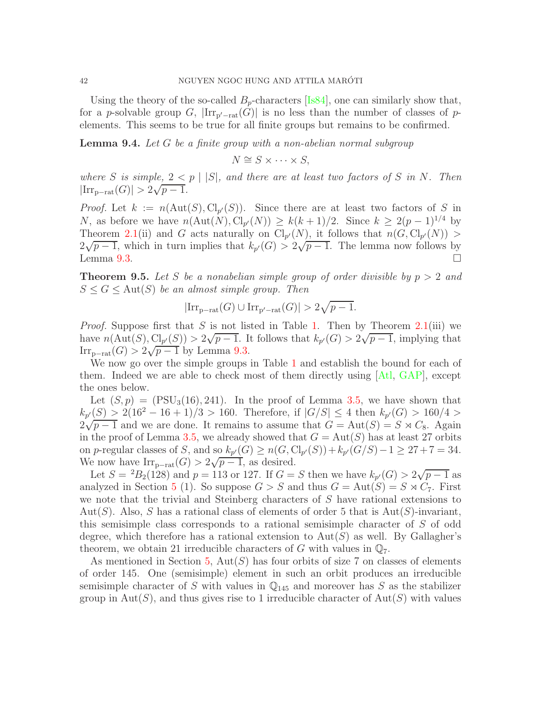Using the theory of the so-called  $B_p$ -characters [\[Is84\]](#page-44-22), one can similarly show that, for a p-solvable group G,  $\text{Irr}_{p'-rat}(G)$  is no less than the number of classes of pelements. This seems to be true for all finite groups but remains to be confirmed.

<span id="page-41-0"></span>Lemma 9.4. *Let* G *be a finite group with a non-abelian normal subgroup*

 $N \cong S \times \cdots \times S$ .

*where* S is simple,  $2 < p \mid |S|$ , and there are at least two factors of S in N. Then  $|\text{Irr}_{p-\text{rat}}(G)| > 2\sqrt{p-1}.$ 

*Proof.* Let  $k := n(\text{Aut}(S), \text{Cl}_{p'}(S))$ . Since there are at least two factors of S in N, as before we have  $n(\text{Aut}(N), \text{Cl}_{p'}(N)) \geq k(k+1)/2$ . Since  $k \geq 2(p-1)^{1/4}$  by Theorem [2.1\(](#page-3-1)ii) and G acts naturally on  $\text{Cl}_{p'}(N)$ , it follows that  $n(G, \text{Cl}_{p'}(N))$  $2\sqrt{p-1}$ , which in turn implies that  $k_{p'}(G) > 2\sqrt{p-1}$ . The lemma now follows by Lemma [9.3.](#page-40-0)

<span id="page-41-1"></span>**Theorem 9.5.** Let S be a nonabelian simple group of order divisible by  $p > 2$  and  $S \leq G \leq \text{Aut}(S)$  *be an almost simple group. Then* 

$$
|\mathrm{Irr}_{\mathrm{p-rat}}(G)\cup\mathrm{Irr}_{\mathrm{p'-rat}}(G)|>2\sqrt{p-1}.
$$

*Proof.* Suppose first that S is not listed in Table [1.](#page-4-0) Then by Theorem  $2.1(iii)$  $2.1(iii)$  we have  $n(\text{Aut}(S), \text{Cl}_{p'}(S)) > 2\sqrt{p-1}$ . It follows that  $k_{p'}(G) > 2\sqrt{p-1}$ , implying that  $\text{Irr}_{p-\text{rat}}(G) > 2\sqrt{p-1}$  by Lemma [9.3.](#page-40-0)

We now go over the simple groups in Table [1](#page-4-0) and establish the bound for each of them. Indeed we are able to check most of them directly using [\[Atl,](#page-43-4) [GAP\]](#page-44-8), except the ones below.

Let  $(S, p) = (PSU<sub>3</sub>(16), 241)$ . In the proof of Lemma [3.5,](#page-11-0) we have shown that  $k_{p'}(S) > 2(16^2 - 16 + 1)/3 > 160$ . Therefore, if  $|G/S| \leq 4$  then  $k_{p'}(G) > 160/4 >$  $2\sqrt{p-1}$  and we are done. It remains to assume that  $G = \text{Aut}(S) = S \rtimes C_8$ . Again in the proof of Lemma [3.5,](#page-11-0) we already showed that  $G = Aut(S)$  has at least 27 orbits on *p*-regular classes of *S*, and so  $k_{p'}(G) \ge n(G, Cl_{p'}(S)) + k_{p'}(G/S) - 1 \ge 27 + 7 = 34.$ We now have  $\text{Irr}_{p-\text{rat}}(G) > 2\sqrt{p-1}$ , as desired.

Let  $S = {}^2B_2(128)$  and  $p = 113$  or 127. If  $G = S$  then we have  $k_{p'}(G) > 2\sqrt{p-1}$  as analyzed in Section [5](#page-26-0) (1). So suppose  $G > S$  and thus  $G = Aut(S) = S \rtimes C_7$ . First we note that the trivial and Steinberg characters of S have rational extensions to Aut(S). Also, S has a rational class of elements of order 5 that is  $Aut(S)$ -invariant, this semisimple class corresponds to a rational semisimple character of S of odd degree, which therefore has a rational extension to  $Aut(S)$  as well. By Gallagher's theorem, we obtain 21 irreducible characters of G with values in  $\mathbb{Q}_7$ .

As mentioned in Section [5,](#page-26-0)  $Aut(S)$  has four orbits of size 7 on classes of elements of order 145. One (semisimple) element in such an orbit produces an irreducible semisimple character of S with values in  $\mathbb{Q}_{145}$  and moreover has S as the stabilizer group in Aut(S), and thus gives rise to 1 irreducible character of Aut(S) with values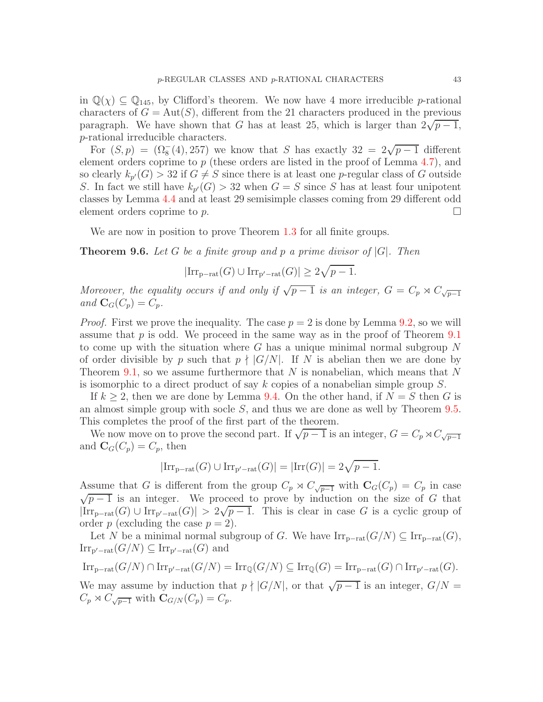in  $\mathbb{Q}(\chi) \subseteq \mathbb{Q}_{145}$ , by Clifford's theorem. We now have 4 more irreducible p-rational characters of  $G = Aut(S)$ , different from the 21 characters produced in the previous paragraph. We have shown that G has at least 25, which is larger than  $2\sqrt{p-1}$ , p-rational irreducible characters.

For  $(S, p) = (\Omega_8^-(4), 257)$  we know that S has exactly  $32 = 2\sqrt{p-1}$  different element orders coprime to  $p$  (these orders are listed in the proof of Lemma [4.7\)](#page-25-0), and so clearly  $k_{p'}(G) > 32$  if  $G \neq S$  since there is at least one p-regular class of G outside S. In fact we still have  $k_{p'}(G) > 32$  when  $G = S$  since S has at least four unipotent classes by Lemma [4.4](#page-20-0) and at least 29 semisimple classes coming from 29 different odd element orders coprime to  $p$ .

We are now in position to prove Theorem [1.3](#page-2-0) for all finite groups.

Theorem 9.6. *Let* G *be a finite group and* p *a prime divisor of* |G|*. Then*

 $|\mathrm{Irr}_{p-\mathrm{rat}}(G) \cup \mathrm{Irr}_{p'-\mathrm{rat}}(G)| \geq 2\sqrt{p-1}.$ 

*Moreover, the equality occurs if and only if*  $\sqrt{p-1}$  *is an integer,*  $G = C_p \rtimes C_{\sqrt{p-1}}$ *and*  $\mathbf{C}_G(C_p) = C_p$ *.* 

*Proof.* First we prove the inequality. The case  $p = 2$  is done by Lemma [9.2,](#page-39-2) so we will assume that  $p$  is odd. We proceed in the same way as in the proof of Theorem [9.1](#page-39-1) to come up with the situation where  $G$  has a unique minimal normal subgroup  $N$ of order divisible by p such that  $p \nmid |G/N|$ . If N is abelian then we are done by Theorem [9.1,](#page-39-1) so we assume furthermore that  $N$  is nonabelian, which means that  $N$ is isomorphic to a direct product of say  $k$  copies of a nonabelian simple group  $S$ .

If  $k \geq 2$ , then we are done by Lemma [9.4.](#page-41-0) On the other hand, if  $N = S$  then G is an almost simple group with socle S, and thus we are done as well by Theorem [9.5.](#page-41-1) This completes the proof of the first part of the theorem.

We now move on to prove the second part. If  $\sqrt{p-1}$  is an integer,  $G = C_p \rtimes C_{\sqrt{p-1}}$ and  $\mathbf{C}_G(C_p) = C_p$ , then

$$
|\mathrm{Irr}_{p-\mathrm{rat}}(G)\cup\mathrm{Irr}_{p'-\mathrm{rat}}(G)|=|\mathrm{Irr}(G)|=2\sqrt{p-1}.
$$

Assume that G is different from the group  $C_p \rtimes C_{\sqrt{p-1}}$  with  $\mathbf{C}_G(C_p) = C_p$  in case  $\sqrt{p-1}$  is an integer. We proceed to prove by induction on the size of G that  $|\text{Irr}_{p-rat}(G)| \cup \text{Irr}_{p'-rat}(G)| > 2\sqrt{p-1}$ . This is clear in case G is a cyclic group of order p (excluding the case  $p = 2$ ).

Let N be a minimal normal subgroup of G. We have  $\text{Irr}_{p-\text{rat}}(G/N) \subseteq \text{Irr}_{p-\text{rat}}(G)$ ,  $\operatorname{Irr}_{p'-\text{rat}}(G/N) \subseteq \operatorname{Irr}_{p'-\text{rat}}(G)$  and

$$
\operatorname{Irr}_{p-\operatorname{rat}}(G/N)\cap \operatorname{Irr}_{p'-\operatorname{rat}}(G/N)=\operatorname{Irr}_{\mathbb{Q}}(G/N)\subseteq \operatorname{Irr}_{\mathbb{Q}}(G)=\operatorname{Irr}_{p-\operatorname{rat}}(G)\cap \operatorname{Irr}_{p'-\operatorname{rat}}(G).
$$

We may assume by induction that  $p \nmid |G/N|$ , or that  $\sqrt{p-1}$  is an integer,  $G/N =$  $C_p \rtimes C_{\sqrt{p-1}}$  with  $\mathbf{C}_{G/N}(C_p) = C_p$ .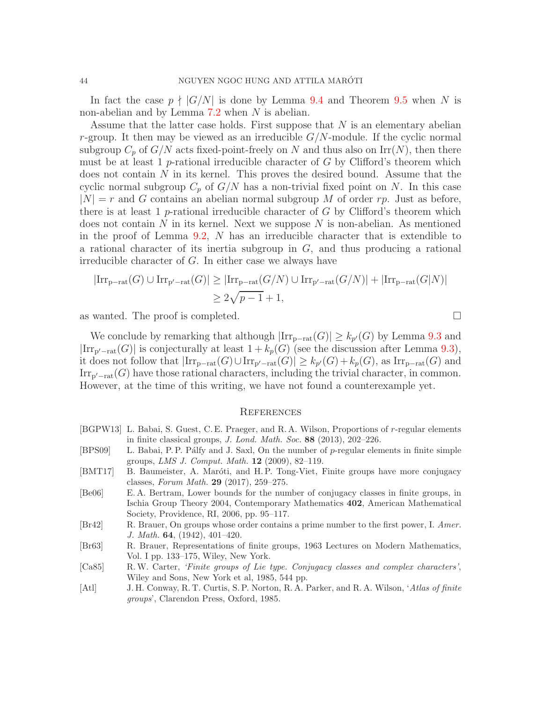In fact the case  $p \nmid |G/N|$  is done by Lemma [9.4](#page-41-0) and Theorem [9.5](#page-41-1) when N is non-abelian and by Lemma [7.2](#page-35-2) when N is abelian.

Assume that the latter case holds. First suppose that N is an elementary abelian r-group. It then may be viewed as an irreducible  $G/N$ -module. If the cyclic normal subgroup  $C_p$  of  $G/N$  acts fixed-point-freely on N and thus also on Irr(N), then there must be at least 1 p-rational irreducible character of  $G$  by Clifford's theorem which does not contain  $N$  in its kernel. This proves the desired bound. Assume that the cyclic normal subgroup  $C_p$  of  $G/N$  has a non-trivial fixed point on N. In this case  $|N| = r$  and G contains an abelian normal subgroup M of order rp. Just as before, there is at least 1 p-rational irreducible character of  $G$  by Clifford's theorem which does not contain N in its kernel. Next we suppose N is non-abelian. As mentioned in the proof of Lemma [9.2,](#page-39-2) N has an irreducible character that is extendible to a rational character of its inertia subgroup in  $G$ , and thus producing a rational irreducible character of G. In either case we always have

$$
|\mathrm{Irr}_{p-\mathrm{rat}}(G) \cup \mathrm{Irr}_{p'-\mathrm{rat}}(G)| \geq |\mathrm{Irr}_{p-\mathrm{rat}}(G/N) \cup \mathrm{Irr}_{p'-\mathrm{rat}}(G/N)| + |\mathrm{Irr}_{p-\mathrm{rat}}(G|N)|
$$
  

$$
\geq 2\sqrt{p-1} + 1,
$$

as wanted. The proof is completed.  $\Box$ 

We conclude by remarking that although  $|\text{Irr}_{p-\text{rat}}(G)| \geq k_{p'}(G)$  by Lemma [9.3](#page-40-0) and  $|\text{Irr}_{p'-\text{rat}}(G)|$  is conjecturally at least  $1 + k_p(G)$  (see the discussion after Lemma [9.3\)](#page-40-0), it does not follow that  $|\text{Irr}_{p-\text{rat}}(G) \cup \text{Irr}_{p'-\text{rat}}(G)| \ge k_{p'}(G) + k_p(G)$ , as  $\text{Irr}_{p-\text{rat}}(G)$  and  $\text{Irr}_{p'-\text{rat}}(G)$  have those rational characters, including the trivial character, in common. However, at the time of this writing, we have not found a counterexample yet.

#### **REFERENCES**

- <span id="page-43-7"></span>[BGPW13] L. Babai, S. Guest, C. E. Praeger, and R. A. Wilson, Proportions of r-regular elements in finite classical groups, J. Lond. Math. Soc. 88 (2013), 202–226.
- <span id="page-43-6"></span>[BPS09] L. Babai, P. P. Pálfy and J. Saxl, On the number of p-regular elements in finite simple groups, LMS J. Comput. Math. 12 (2009), 82–119.
- <span id="page-43-2"></span>[BMT17] B. Baumeister, A. Maróti, and H.P. Tong-Viet, Finite groups have more conjugacy classes, Forum Math. 29 (2017), 259–275.
- <span id="page-43-1"></span>[Be06] E. A. Bertram, Lower bounds for the number of conjugacy classes in finite groups, in Ischia Group Theory 2004, Contemporary Mathematics 402, American Mathematical Society, Providence, RI, 2006, pp. 95–117.
- <span id="page-43-3"></span>[Br42] R. Brauer, On groups whose order contains a prime number to the first power, I. Amer. J. Math. 64, (1942), 401–420.
- <span id="page-43-0"></span>[Br63] R. Brauer, Representations of finite groups, 1963 Lectures on Modern Mathematics, Vol. I pp. 133–175, Wiley, New York.
- <span id="page-43-5"></span>[Ca85] R.W. Carter, 'Finite groups of Lie type. Conjugacy classes and complex characters', Wiley and Sons, New York et al, 1985, 544 pp.
- <span id="page-43-4"></span>[Atl] J. H. Conway, R. T. Curtis, S. P. Norton, R. A. Parker, and R. A. Wilson, 'Atlas of finite groups', Clarendon Press, Oxford, 1985.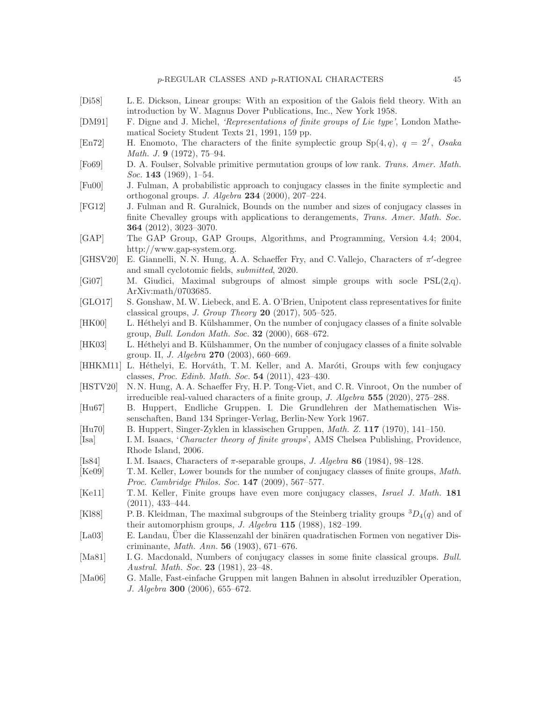- <span id="page-44-18"></span>[Di58] L. E. Dickson, Linear groups: With an exposition of the Galois field theory. With an introduction by W. Magnus Dover Publications, Inc., New York 1958.
- <span id="page-44-20"></span>[DM91] F. Digne and J. Michel, 'Representations of finite groups of Lie type', London Mathematical Society Student Texts 21, 1991, 159 pp.
- <span id="page-44-12"></span>[En72] H. Enomoto, The characters of the finite symplectic group  $Sp(4,q)$ ,  $q = 2^f$ , Osaka Math. J. 9 (1972), 75–94.
- <span id="page-44-15"></span>[Fo69] D. A. Foulser, Solvable primitive permutation groups of low rank. Trans. Amer. Math. Soc. **143** (1969), 1–54.
- <span id="page-44-9"></span>[Fu00] J. Fulman, A probabilistic approach to conjugacy classes in the finite symplectic and orthogonal groups. J. Algebra  $234$  (2000), 207–224.
- <span id="page-44-7"></span>[FG12] J. Fulman and R. Guralnick, Bounds on the number and sizes of conjugacy classes in finite Chevalley groups with applications to derangements, Trans. Amer. Math. Soc. 364 (2012), 3023–3070.
- <span id="page-44-8"></span>[GAP] The GAP Group, GAP Groups, Algorithms, and Programming, Version 4.4; 2004, http://www.gap-system.org.
- <span id="page-44-21"></span>[GHSV20] E. Giannelli, N.N. Hung, A.A. Schaeffer Fry, and C. Vallejo, Characters of  $\pi'$ -degree and small cyclotomic fields, submitted, 2020.
- <span id="page-44-16"></span>[Gi07] M. Giudici, Maximal subgroups of almost simple groups with socle PSL(2,q). ArXiv:math/0703685.
- <span id="page-44-13"></span>[GLO17] S. Gonshaw, M.W. Liebeck, and E. A. O'Brien, Unipotent class representatives for finite classical groups, *J. Group Theory* **20** (2017), 505–525.
- <span id="page-44-2"></span>[HK00] L. Héthelyi and B. Külshammer, On the number of conjugacy classes of a finite solvable group, Bull. London Math. Soc. 32 (2000), 668–672.
- <span id="page-44-3"></span>[HK03] L. Héthelyi and B. Külshammer, On the number of conjugacy classes of a finite solvable group. II, J. Algebra 270 (2003), 660–669.
- <span id="page-44-6"></span>[HHKM11] L. Héthelyi, E. Horváth, T. M. Keller, and A. Maróti, Groups with few conjugacy classes, Proc. Edinb. Math. Soc. 54 (2011), 423–430.
- <span id="page-44-19"></span>[HSTV20] N. N. Hung, A. A. Schaeffer Fry, H. P. Tong-Viet, and C. R. Vinroot, On the number of irreducible real-valued characters of a finite group, J. Algebra 555 (2020), 275–288.
- <span id="page-44-17"></span>[Hu67] B. Huppert, Endliche Gruppen. I. Die Grundlehren der Mathematischen Wissenschaften, Band 134 Springer-Verlag, Berlin-New York 1967.
- <span id="page-44-10"></span>[Hu70] B. Huppert, Singer-Zyklen in klassischen Gruppen, Math. Z. 117 (1970), 141–150.
- [Isa] I. M. Isaacs, 'Character theory of finite groups', AMS Chelsea Publishing, Providence, Rhode Island, 2006.
- <span id="page-44-22"></span>[Is84] I. M. Isaacs, Characters of  $\pi$ -separable groups, *J. Algebra* 86 (1984), 98–128.
- <span id="page-44-5"></span>[Ke09] T. M. Keller, Lower bounds for the number of conjugacy classes of finite groups, Math. Proc. Cambridge Philos. Soc. 147 (2009), 567–577.
- <span id="page-44-1"></span>[Ke11] T.M. Keller, Finite groups have even more conjugacy classes, *Israel J. Math.* 181 (2011), 433–444.
- <span id="page-44-14"></span>[Kl88] P. B. Kleidman, The maximal subgroups of the Steinberg triality groups  ${}^{3}D_{4}(q)$  and of their automorphism groups, J. Algebra 115 (1988), 182–199.
- <span id="page-44-0"></span>[La03] E. Landau, Über die Klassenzahl der binären quadratischen Formen von negativer Discriminante, Math. Ann. 56 (1903), 671–676.
- <span id="page-44-11"></span>[Ma81] I. G. Macdonald, Numbers of conjugacy classes in some finite classical groups. Bull. Austral. Math. Soc. 23 (1981), 23–48.
- <span id="page-44-4"></span>[Ma06] G. Malle, Fast-einfache Gruppen mit langen Bahnen in absolut irreduzibler Operation, J. Algebra 300 (2006), 655–672.